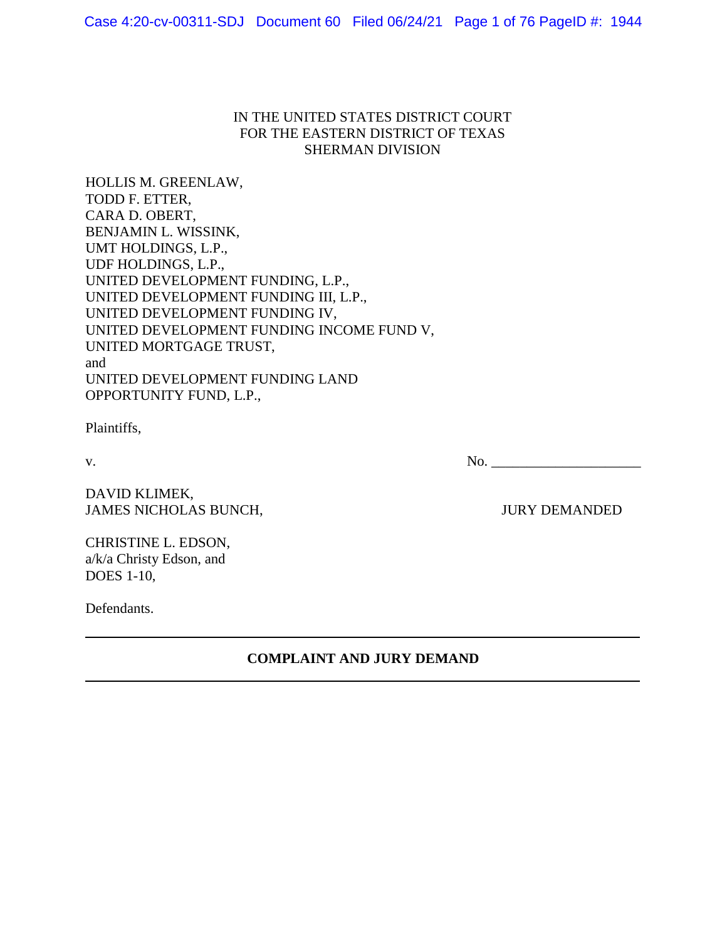# IN THE UNITED STATES DISTRICT COURT FOR THE EASTERN DISTRICT OF TEXAS SHERMAN DIVISION

HOLLIS M. GREENLAW, TODD F. ETTER, CARA D. OBERT, BENJAMIN L. WISSINK, UMT HOLDINGS, L.P., UDF HOLDINGS, L.P., UNITED DEVELOPMENT FUNDING, L.P., UNITED DEVELOPMENT FUNDING III, L.P., UNITED DEVELOPMENT FUNDING IV, UNITED DEVELOPMENT FUNDING INCOME FUND V, UNITED MORTGAGE TRUST, and UNITED DEVELOPMENT FUNDING LAND OPPORTUNITY FUND, L.P.,

Plaintiffs,

 $\rm v.$  No.  $\qquad \qquad$ 

DAVID KLIMEK, JAMES NICHOLAS BUNCH, JURY DEMANDED

CHRISTINE L. EDSON, a/k/a Christy Edson, and DOES 1-10,

Defendants.

**COMPLAINT AND JURY DEMAND**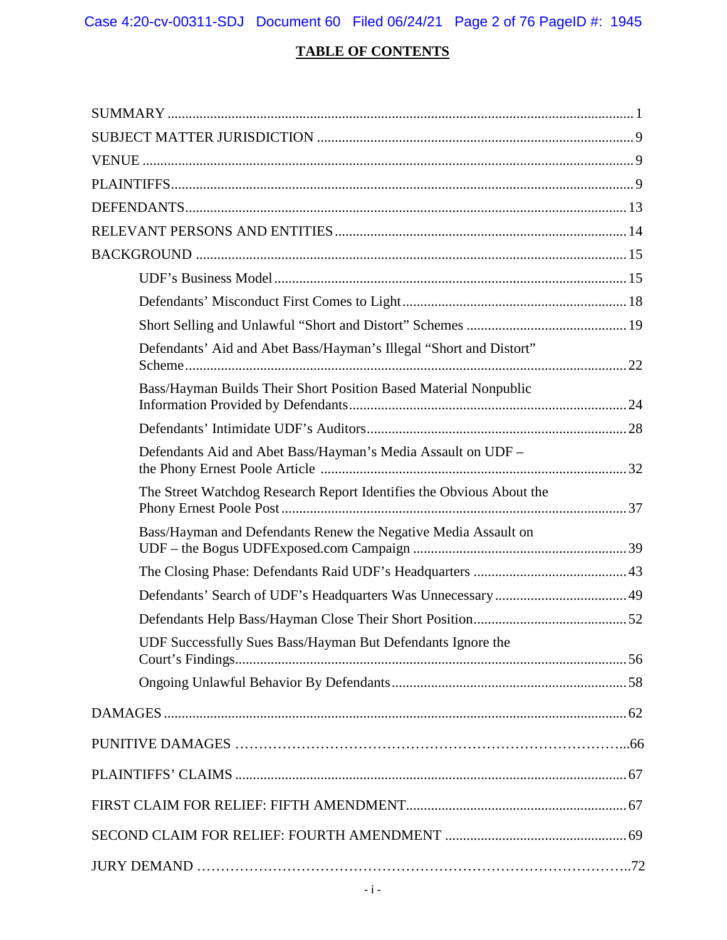# **TABLE OF CONTENTS**

| Defendants' Aid and Abet Bass/Hayman's Illegal "Short and Distort"   |  |
|----------------------------------------------------------------------|--|
| Bass/Hayman Builds Their Short Position Based Material Nonpublic     |  |
|                                                                      |  |
| Defendants Aid and Abet Bass/Hayman's Media Assault on UDF -         |  |
| The Street Watchdog Research Report Identifies the Obvious About the |  |
| Bass/Hayman and Defendants Renew the Negative Media Assault on       |  |
|                                                                      |  |
|                                                                      |  |
|                                                                      |  |
| UDF Successfully Sues Bass/Hayman But Defendants Ignore the          |  |
|                                                                      |  |
|                                                                      |  |
|                                                                      |  |
|                                                                      |  |
|                                                                      |  |
|                                                                      |  |
|                                                                      |  |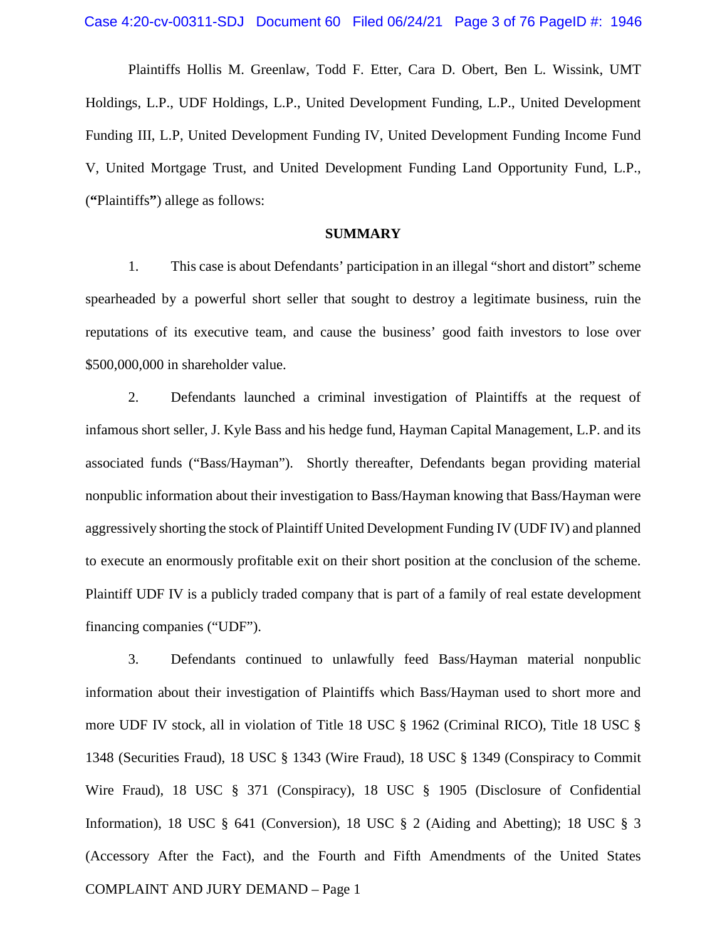Plaintiffs Hollis M. Greenlaw, Todd F. Etter, Cara D. Obert, Ben L. Wissink, UMT Holdings, L.P., UDF Holdings, L.P., United Development Funding, L.P., United Development Funding III, L.P, United Development Funding IV, United Development Funding Income Fund V, United Mortgage Trust, and United Development Funding Land Opportunity Fund, L.P., (**"**Plaintiffs**"**) allege as follows:

#### **SUMMARY**

1. This case is about Defendants' participation in an illegal "short and distort" scheme spearheaded by a powerful short seller that sought to destroy a legitimate business, ruin the reputations of its executive team, and cause the business' good faith investors to lose over \$500,000,000 in shareholder value.

2. Defendants launched a criminal investigation of Plaintiffs at the request of infamous short seller, J. Kyle Bass and his hedge fund, Hayman Capital Management, L.P. and its associated funds ("Bass/Hayman"). Shortly thereafter, Defendants began providing material nonpublic information about their investigation to Bass/Hayman knowing that Bass/Hayman were aggressively shorting the stock of Plaintiff United Development Funding IV (UDF IV) and planned to execute an enormously profitable exit on their short position at the conclusion of the scheme. Plaintiff UDF IV is a publicly traded company that is part of a family of real estate development financing companies ("UDF").

COMPLAINT AND JURY DEMAND – Page 1 3. Defendants continued to unlawfully feed Bass/Hayman material nonpublic information about their investigation of Plaintiffs which Bass/Hayman used to short more and more UDF IV stock, all in violation of Title 18 USC § 1962 (Criminal RICO), Title 18 USC § 1348 (Securities Fraud), 18 USC § 1343 (Wire Fraud), 18 USC § 1349 (Conspiracy to Commit Wire Fraud), 18 USC § 371 (Conspiracy), 18 USC § 1905 (Disclosure of Confidential Information), 18 USC § 641 (Conversion), 18 USC § 2 (Aiding and Abetting); 18 USC § 3 (Accessory After the Fact), and the Fourth and Fifth Amendments of the United States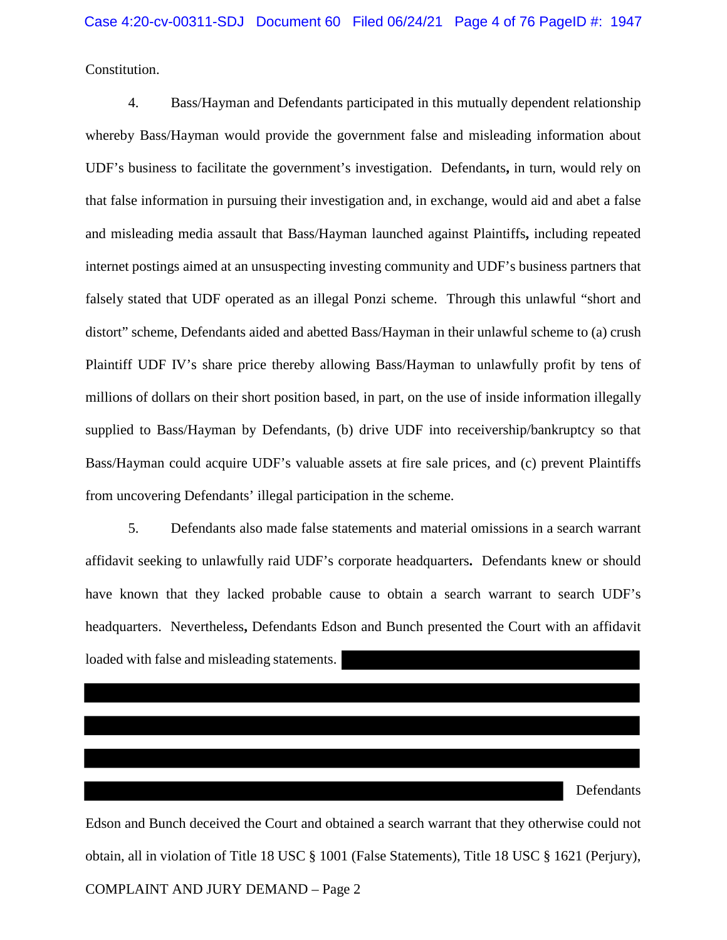Constitution.

4. Bass/Hayman and Defendants participated in this mutually dependent relationship whereby Bass/Hayman would provide the government false and misleading information about UDF's business to facilitate the government's investigation. Defendants**,** in turn, would rely on that false information in pursuing their investigation and, in exchange, would aid and abet a false and misleading media assault that Bass/Hayman launched against Plaintiffs**,** including repeated internet postings aimed at an unsuspecting investing community and UDF's business partners that falsely stated that UDF operated as an illegal Ponzi scheme. Through this unlawful "short and distort" scheme, Defendants aided and abetted Bass/Hayman in their unlawful scheme to (a) crush Plaintiff UDF IV's share price thereby allowing Bass/Hayman to unlawfully profit by tens of millions of dollars on their short position based, in part, on the use of inside information illegally supplied to Bass/Hayman by Defendants, (b) drive UDF into receivership/bankruptcy so that Bass/Hayman could acquire UDF's valuable assets at fire sale prices, and (c) prevent Plaintiffs from uncovering Defendants' illegal participation in the scheme.

5. Defendants also made false statements and material omissions in a search warrant affidavit seeking to unlawfully raid UDF's corporate headquarters**.** Defendants knew or should have known that they lacked probable cause to obtain a search warrant to search UDF's headquarters. Nevertheless**,** Defendants Edson and Bunch presented the Court with an affidavit loaded with false and misleading statements.

**Defendants** 

COMPLAINT AND JURY DEMAND – Page 2 Edson and Bunch deceived the Court and obtained a search warrant that they otherwise could not obtain, all in violation of Title 18 USC § 1001 (False Statements), Title 18 USC § 1621 (Perjury),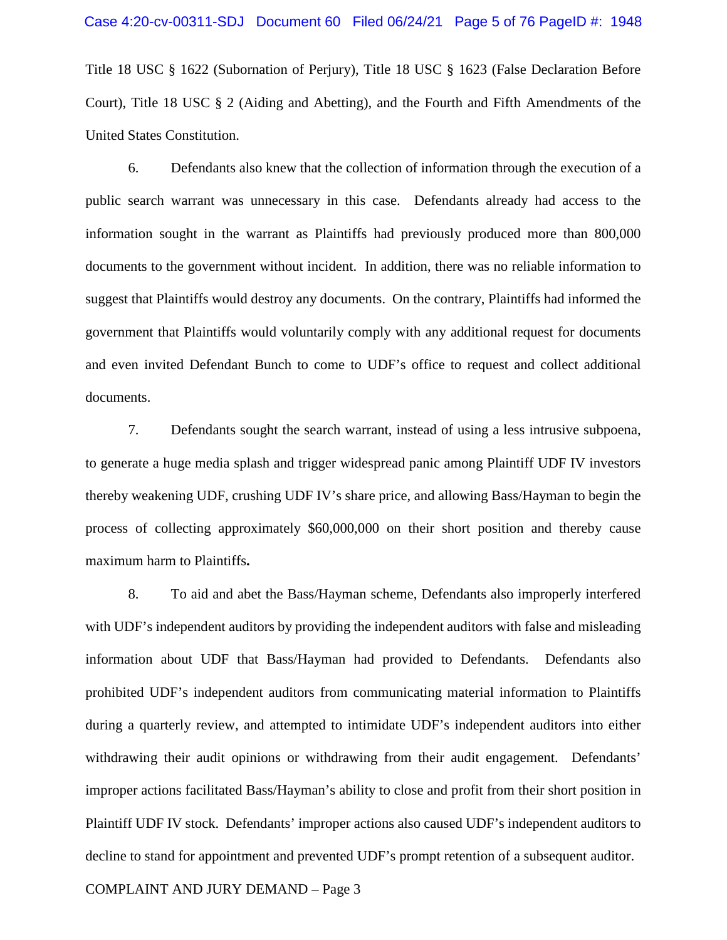Title 18 USC § 1622 (Subornation of Perjury), Title 18 USC § 1623 (False Declaration Before Court), Title 18 USC § 2 (Aiding and Abetting), and the Fourth and Fifth Amendments of the United States Constitution.

6. Defendants also knew that the collection of information through the execution of a public search warrant was unnecessary in this case. Defendants already had access to the information sought in the warrant as Plaintiffs had previously produced more than 800,000 documents to the government without incident. In addition, there was no reliable information to suggest that Plaintiffs would destroy any documents. On the contrary, Plaintiffs had informed the government that Plaintiffs would voluntarily comply with any additional request for documents and even invited Defendant Bunch to come to UDF's office to request and collect additional documents.

7. Defendants sought the search warrant, instead of using a less intrusive subpoena, to generate a huge media splash and trigger widespread panic among Plaintiff UDF IV investors thereby weakening UDF, crushing UDF IV's share price, and allowing Bass/Hayman to begin the process of collecting approximately \$60,000,000 on their short position and thereby cause maximum harm to Plaintiffs**.**

8. To aid and abet the Bass/Hayman scheme, Defendants also improperly interfered with UDF's independent auditors by providing the independent auditors with false and misleading information about UDF that Bass/Hayman had provided to Defendants. Defendants also prohibited UDF's independent auditors from communicating material information to Plaintiffs during a quarterly review, and attempted to intimidate UDF's independent auditors into either withdrawing their audit opinions or withdrawing from their audit engagement. Defendants' improper actions facilitated Bass/Hayman's ability to close and profit from their short position in Plaintiff UDF IV stock. Defendants' improper actions also caused UDF's independent auditors to decline to stand for appointment and prevented UDF's prompt retention of a subsequent auditor.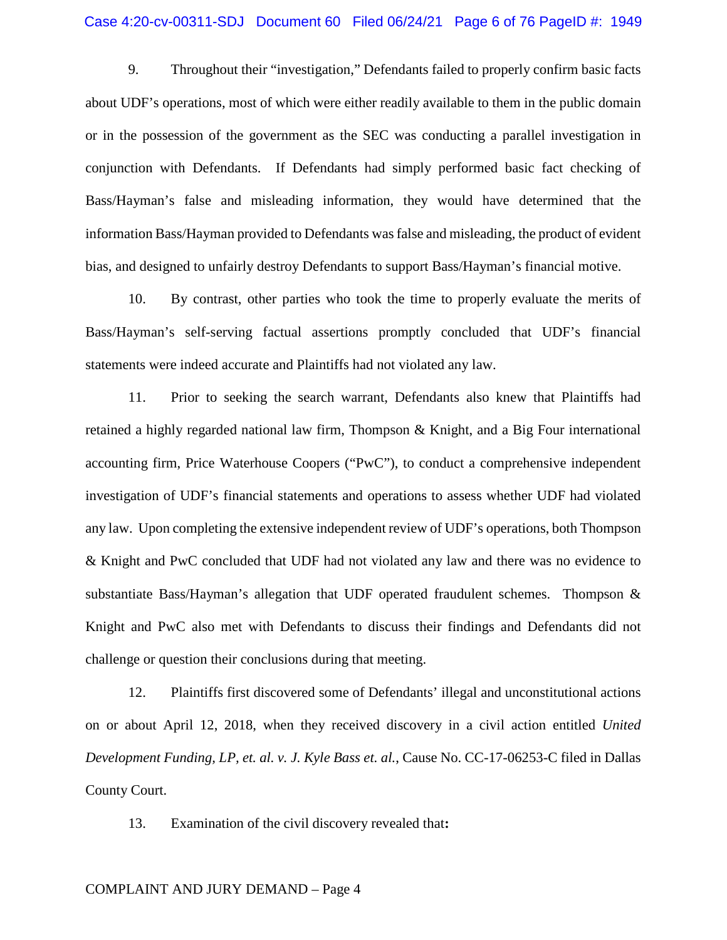9. Throughout their "investigation," Defendants failed to properly confirm basic facts about UDF's operations, most of which were either readily available to them in the public domain or in the possession of the government as the SEC was conducting a parallel investigation in conjunction with Defendants. If Defendants had simply performed basic fact checking of Bass/Hayman's false and misleading information, they would have determined that the information Bass/Hayman provided to Defendants was false and misleading, the product of evident bias, and designed to unfairly destroy Defendants to support Bass/Hayman's financial motive.

10. By contrast, other parties who took the time to properly evaluate the merits of Bass/Hayman's self-serving factual assertions promptly concluded that UDF's financial statements were indeed accurate and Plaintiffs had not violated any law.

11. Prior to seeking the search warrant, Defendants also knew that Plaintiffs had retained a highly regarded national law firm, Thompson & Knight, and a Big Four international accounting firm, Price Waterhouse Coopers ("PwC"), to conduct a comprehensive independent investigation of UDF's financial statements and operations to assess whether UDF had violated any law. Upon completing the extensive independent review of UDF's operations, both Thompson & Knight and PwC concluded that UDF had not violated any law and there was no evidence to substantiate Bass/Hayman's allegation that UDF operated fraudulent schemes. Thompson & Knight and PwC also met with Defendants to discuss their findings and Defendants did not challenge or question their conclusions during that meeting.

12. Plaintiffs first discovered some of Defendants' illegal and unconstitutional actions on or about April 12, 2018, when they received discovery in a civil action entitled *United Development Funding, LP, et. al. v. J. Kyle Bass et. al.*, Cause No. CC-17-06253-C filed in Dallas County Court.

13. Examination of the civil discovery revealed that**:**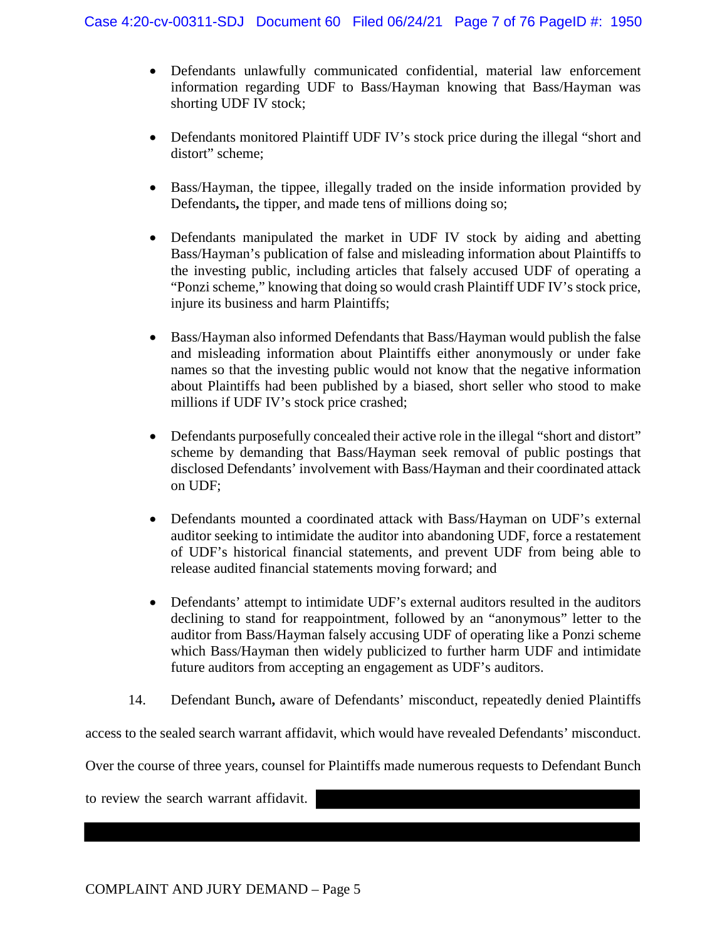- Defendants unlawfully communicated confidential, material law enforcement information regarding UDF to Bass/Hayman knowing that Bass/Hayman was shorting UDF IV stock;
- Defendants monitored Plaintiff UDF IV's stock price during the illegal "short and distort" scheme:
- Bass/Hayman, the tippee, illegally traded on the inside information provided by Defendants**,** the tipper, and made tens of millions doing so;
- Defendants manipulated the market in UDF IV stock by aiding and abetting Bass/Hayman's publication of false and misleading information about Plaintiffs to the investing public, including articles that falsely accused UDF of operating a "Ponzi scheme," knowing that doing so would crash Plaintiff UDF IV's stock price, injure its business and harm Plaintiffs;
- Bass/Hayman also informed Defendants that Bass/Hayman would publish the false and misleading information about Plaintiffs either anonymously or under fake names so that the investing public would not know that the negative information about Plaintiffs had been published by a biased, short seller who stood to make millions if UDF IV's stock price crashed;
- Defendants purposefully concealed their active role in the illegal "short and distort" scheme by demanding that Bass/Hayman seek removal of public postings that disclosed Defendants' involvement with Bass/Hayman and their coordinated attack on UDF;
- Defendants mounted a coordinated attack with Bass/Hayman on UDF's external auditor seeking to intimidate the auditor into abandoning UDF, force a restatement of UDF's historical financial statements, and prevent UDF from being able to release audited financial statements moving forward; and
- Defendants' attempt to intimidate UDF's external auditors resulted in the auditors declining to stand for reappointment, followed by an "anonymous" letter to the auditor from Bass/Hayman falsely accusing UDF of operating like a Ponzi scheme which Bass/Hayman then widely publicized to further harm UDF and intimidate future auditors from accepting an engagement as UDF's auditors.
- 14. Defendant Bunch**,** aware of Defendants' misconduct, repeatedly denied Plaintiffs

access to the sealed search warrant affidavit, which would have revealed Defendants' misconduct.

Over the course of three years, counsel for Plaintiffs made numerous requests to Defendant Bunch

to review the search warrant affidavit.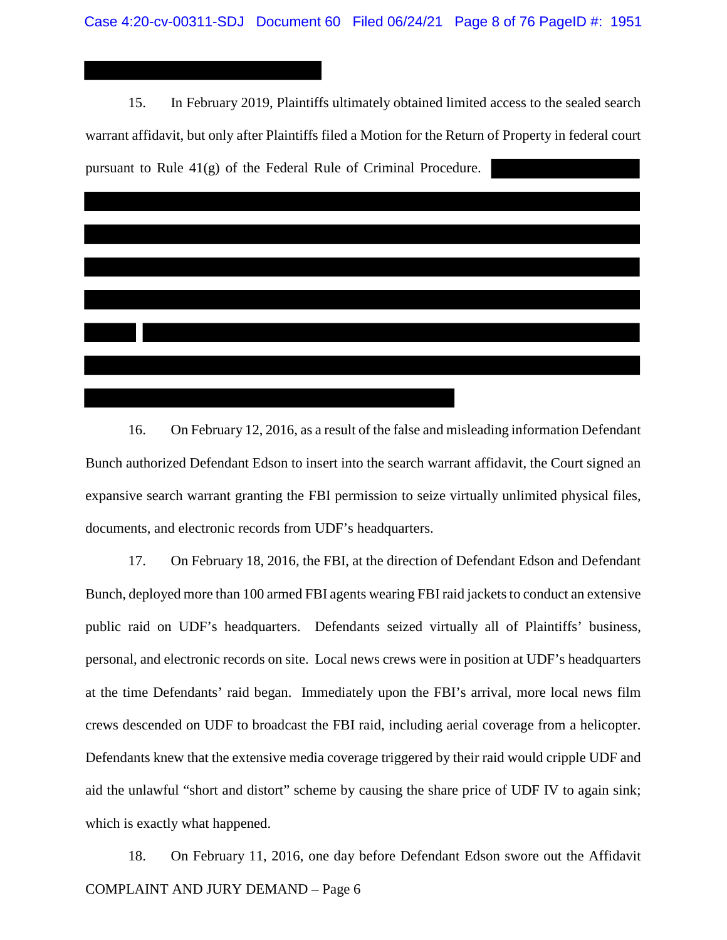15. In February 2019, Plaintiffs ultimately obtained limited access to the sealed search warrant affidavit, but only after Plaintiffs filed a Motion for the Return of Property in federal court pursuant to Rule 41(g) of the Federal Rule of Criminal Procedure.



16. On February 12, 2016, as a result of the false and misleading information Defendant Bunch authorized Defendant Edson to insert into the search warrant affidavit, the Court signed an expansive search warrant granting the FBI permission to seize virtually unlimited physical files, documents, and electronic records from UDF's headquarters.

17. On February 18, 2016, the FBI, at the direction of Defendant Edson and Defendant Bunch, deployed more than 100 armed FBI agents wearing FBI raid jackets to conduct an extensive public raid on UDF's headquarters. Defendants seized virtually all of Plaintiffs' business, personal, and electronic records on site. Local news crews were in position at UDF's headquarters at the time Defendants' raid began. Immediately upon the FBI's arrival, more local news film crews descended on UDF to broadcast the FBI raid, including aerial coverage from a helicopter. Defendants knew that the extensive media coverage triggered by their raid would cripple UDF and aid the unlawful "short and distort" scheme by causing the share price of UDF IV to again sink; which is exactly what happened.

COMPLAINT AND JURY DEMAND – Page 6 18. On February 11, 2016, one day before Defendant Edson swore out the Affidavit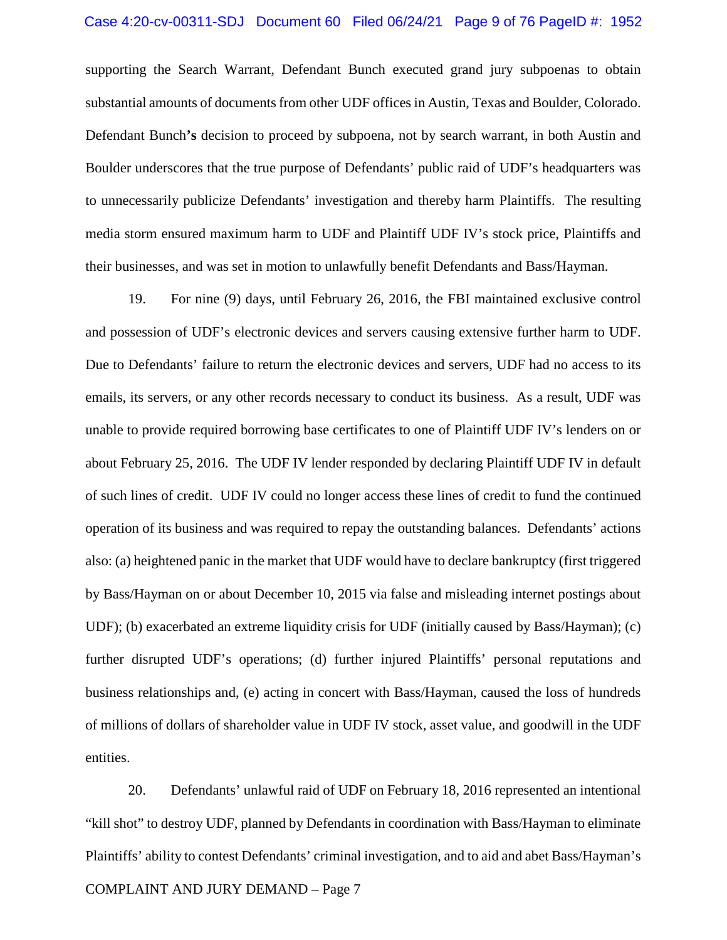supporting the Search Warrant, Defendant Bunch executed grand jury subpoenas to obtain substantial amounts of documents from other UDF offices in Austin, Texas and Boulder, Colorado. Defendant Bunch**'s** decision to proceed by subpoena, not by search warrant, in both Austin and Boulder underscores that the true purpose of Defendants' public raid of UDF's headquarters was to unnecessarily publicize Defendants' investigation and thereby harm Plaintiffs. The resulting media storm ensured maximum harm to UDF and Plaintiff UDF IV's stock price, Plaintiffs and their businesses, and was set in motion to unlawfully benefit Defendants and Bass/Hayman.

19. For nine (9) days, until February 26, 2016, the FBI maintained exclusive control and possession of UDF's electronic devices and servers causing extensive further harm to UDF. Due to Defendants' failure to return the electronic devices and servers, UDF had no access to its emails, its servers, or any other records necessary to conduct its business. As a result, UDF was unable to provide required borrowing base certificates to one of Plaintiff UDF IV's lenders on or about February 25, 2016. The UDF IV lender responded by declaring Plaintiff UDF IV in default of such lines of credit. UDF IV could no longer access these lines of credit to fund the continued operation of its business and was required to repay the outstanding balances. Defendants' actions also: (a) heightened panic in the market that UDF would have to declare bankruptcy (first triggered by Bass/Hayman on or about December 10, 2015 via false and misleading internet postings about UDF); (b) exacerbated an extreme liquidity crisis for UDF (initially caused by Bass/Hayman); (c) further disrupted UDF's operations; (d) further injured Plaintiffs' personal reputations and business relationships and, (e) acting in concert with Bass/Hayman, caused the loss of hundreds of millions of dollars of shareholder value in UDF IV stock, asset value, and goodwill in the UDF entities.

COMPLAINT AND JURY DEMAND – Page 7 20. Defendants' unlawful raid of UDF on February 18, 2016 represented an intentional "kill shot" to destroy UDF, planned by Defendants in coordination with Bass/Hayman to eliminate Plaintiffs' ability to contest Defendants' criminal investigation, and to aid and abet Bass/Hayman's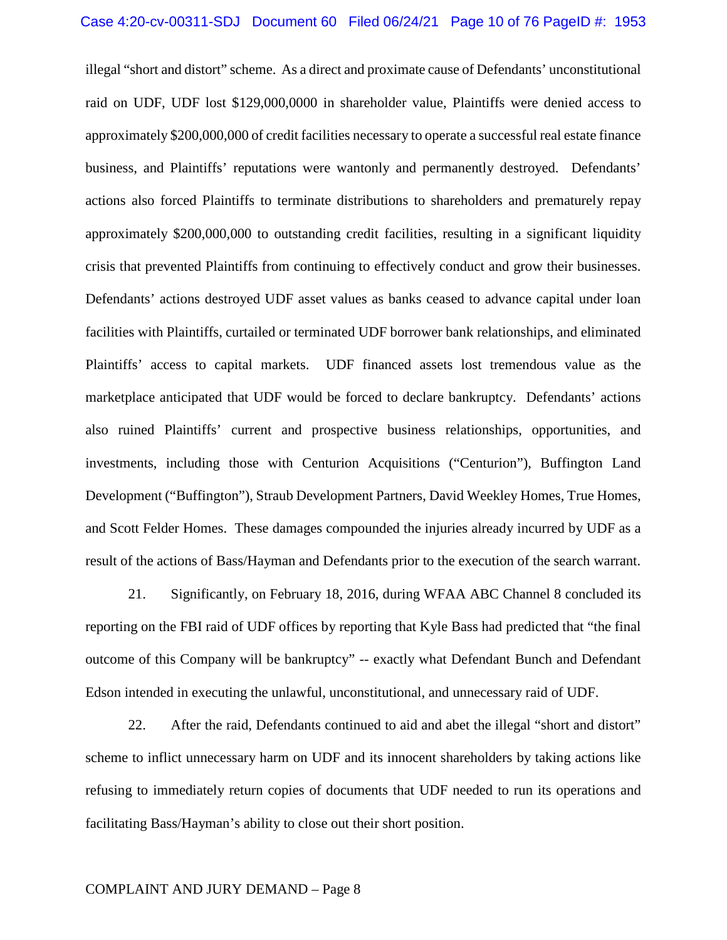illegal "short and distort" scheme. As a direct and proximate cause of Defendants' unconstitutional raid on UDF, UDF lost \$129,000,0000 in shareholder value, Plaintiffs were denied access to approximately \$200,000,000 of credit facilities necessary to operate a successful real estate finance business, and Plaintiffs' reputations were wantonly and permanently destroyed. Defendants' actions also forced Plaintiffs to terminate distributions to shareholders and prematurely repay approximately \$200,000,000 to outstanding credit facilities, resulting in a significant liquidity crisis that prevented Plaintiffs from continuing to effectively conduct and grow their businesses. Defendants' actions destroyed UDF asset values as banks ceased to advance capital under loan facilities with Plaintiffs, curtailed or terminated UDF borrower bank relationships, and eliminated Plaintiffs' access to capital markets. UDF financed assets lost tremendous value as the marketplace anticipated that UDF would be forced to declare bankruptcy. Defendants' actions also ruined Plaintiffs' current and prospective business relationships, opportunities, and investments, including those with Centurion Acquisitions ("Centurion"), Buffington Land Development ("Buffington"), Straub Development Partners, David Weekley Homes, True Homes, and Scott Felder Homes. These damages compounded the injuries already incurred by UDF as a result of the actions of Bass/Hayman and Defendants prior to the execution of the search warrant.

21. Significantly, on February 18, 2016, during WFAA ABC Channel 8 concluded its reporting on the FBI raid of UDF offices by reporting that Kyle Bass had predicted that "the final outcome of this Company will be bankruptcy" -- exactly what Defendant Bunch and Defendant Edson intended in executing the unlawful, unconstitutional, and unnecessary raid of UDF.

22. After the raid, Defendants continued to aid and abet the illegal "short and distort" scheme to inflict unnecessary harm on UDF and its innocent shareholders by taking actions like refusing to immediately return copies of documents that UDF needed to run its operations and facilitating Bass/Hayman's ability to close out their short position.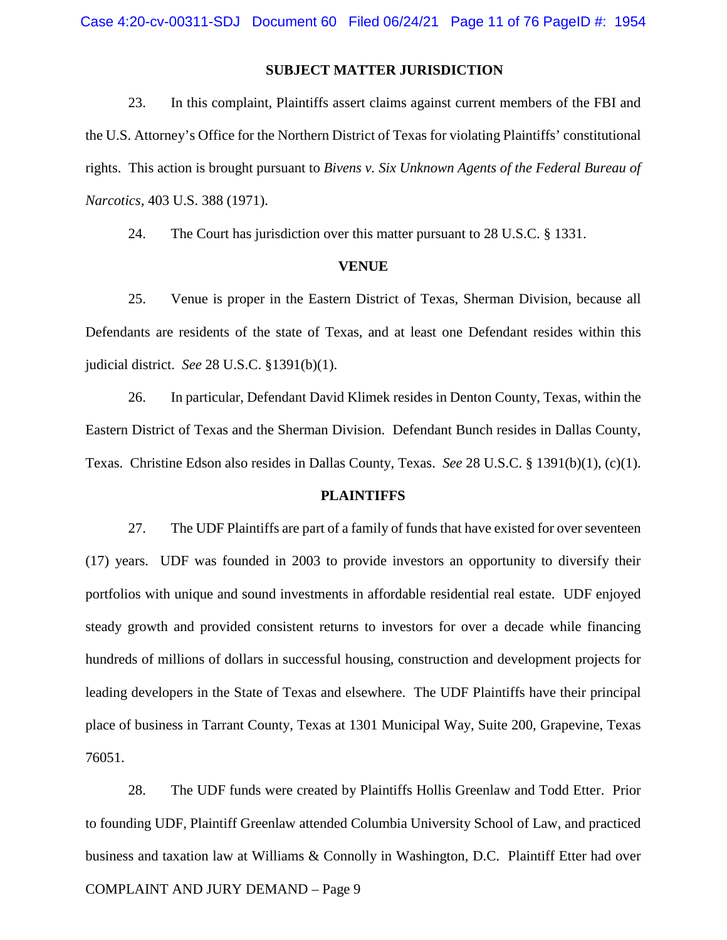## **SUBJECT MATTER JURISDICTION**

23. In this complaint, Plaintiffs assert claims against current members of the FBI and the U.S. Attorney's Office for the Northern District of Texas for violating Plaintiffs' constitutional rights. This action is brought pursuant to *Bivens v. Six Unknown Agents of the Federal Bureau of Narcotics,* 403 U.S. 388 (1971).

24. The Court has jurisdiction over this matter pursuant to 28 U.S.C. § 1331.

#### **VENUE**

25. Venue is proper in the Eastern District of Texas, Sherman Division, because all Defendants are residents of the state of Texas, and at least one Defendant resides within this judicial district. *See* 28 U.S.C. §1391(b)(1).

26. In particular, Defendant David Klimek resides in Denton County, Texas, within the Eastern District of Texas and the Sherman Division. Defendant Bunch resides in Dallas County, Texas. Christine Edson also resides in Dallas County, Texas. *See* 28 U.S.C. § 1391(b)(1), (c)(1).

## **PLAINTIFFS**

27. The UDF Plaintiffs are part of a family of funds that have existed for over seventeen (17) years. UDF was founded in 2003 to provide investors an opportunity to diversify their portfolios with unique and sound investments in affordable residential real estate. UDF enjoyed steady growth and provided consistent returns to investors for over a decade while financing hundreds of millions of dollars in successful housing, construction and development projects for leading developers in the State of Texas and elsewhere. The UDF Plaintiffs have their principal place of business in Tarrant County, Texas at 1301 Municipal Way, Suite 200, Grapevine, Texas 76051.

28. The UDF funds were created by Plaintiffs Hollis Greenlaw and Todd Etter. Prior to founding UDF, Plaintiff Greenlaw attended Columbia University School of Law, and practiced business and taxation law at Williams & Connolly in Washington, D.C. Plaintiff Etter had over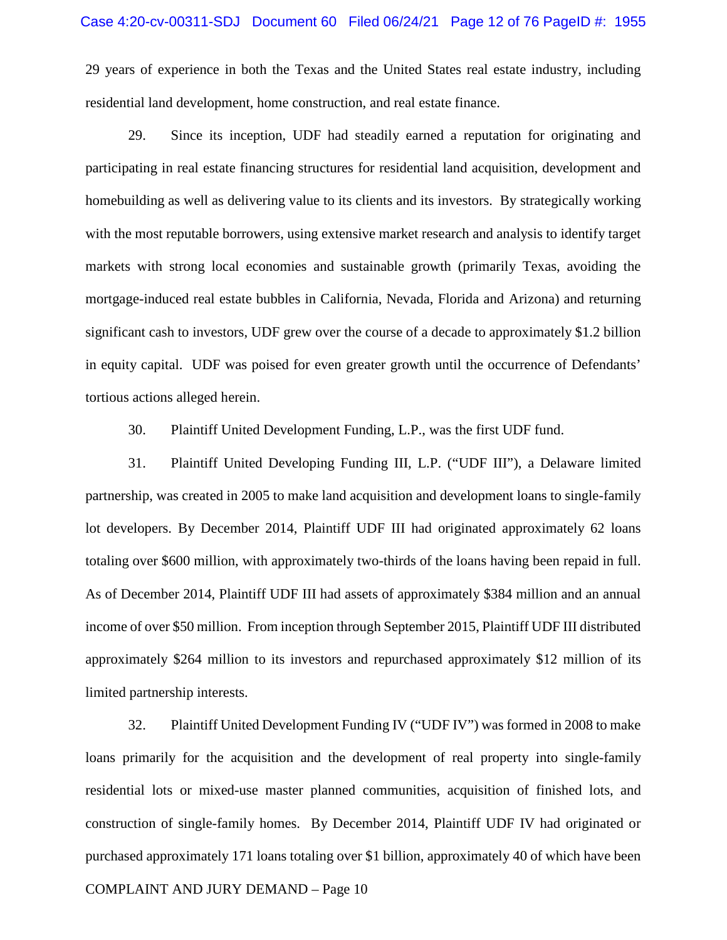29 years of experience in both the Texas and the United States real estate industry, including residential land development, home construction, and real estate finance.

29. Since its inception, UDF had steadily earned a reputation for originating and participating in real estate financing structures for residential land acquisition, development and homebuilding as well as delivering value to its clients and its investors. By strategically working with the most reputable borrowers, using extensive market research and analysis to identify target markets with strong local economies and sustainable growth (primarily Texas, avoiding the mortgage-induced real estate bubbles in California, Nevada, Florida and Arizona) and returning significant cash to investors, UDF grew over the course of a decade to approximately \$1.2 billion in equity capital. UDF was poised for even greater growth until the occurrence of Defendants' tortious actions alleged herein.

30. Plaintiff United Development Funding, L.P., was the first UDF fund.

31. Plaintiff United Developing Funding III, L.P. ("UDF III"), a Delaware limited partnership, was created in 2005 to make land acquisition and development loans to single-family lot developers. By December 2014, Plaintiff UDF III had originated approximately 62 loans totaling over \$600 million, with approximately two-thirds of the loans having been repaid in full. As of December 2014, Plaintiff UDF III had assets of approximately \$384 million and an annual income of over \$50 million. From inception through September 2015, Plaintiff UDF III distributed approximately \$264 million to its investors and repurchased approximately \$12 million of its limited partnership interests.

32. Plaintiff United Development Funding IV ("UDF IV") was formed in 2008 to make loans primarily for the acquisition and the development of real property into single-family residential lots or mixed-use master planned communities, acquisition of finished lots, and construction of single-family homes. By December 2014, Plaintiff UDF IV had originated or purchased approximately 171 loans totaling over \$1 billion, approximately 40 of which have been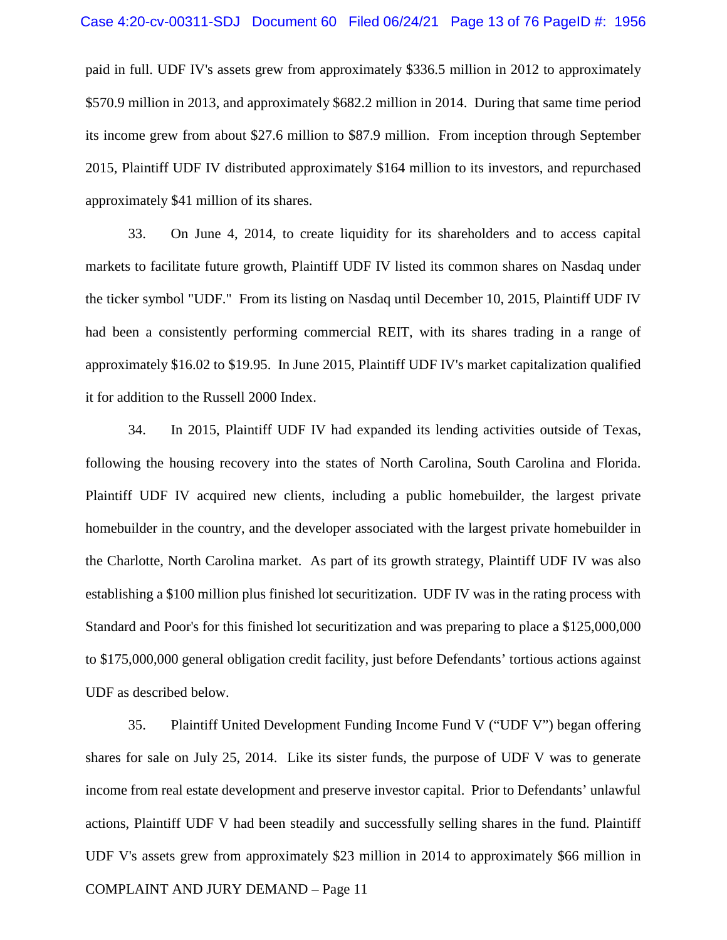paid in full. UDF IV's assets grew from approximately \$336.5 million in 2012 to approximately \$570.9 million in 2013, and approximately \$682.2 million in 2014. During that same time period its income grew from about \$27.6 million to \$87.9 million. From inception through September 2015, Plaintiff UDF IV distributed approximately \$164 million to its investors, and repurchased approximately \$41 million of its shares.

33. On June 4, 2014, to create liquidity for its shareholders and to access capital markets to facilitate future growth, Plaintiff UDF IV listed its common shares on Nasdaq under the ticker symbol "UDF." From its listing on Nasdaq until December 10, 2015, Plaintiff UDF IV had been a consistently performing commercial REIT, with its shares trading in a range of approximately \$16.02 to \$19.95. In June 2015, Plaintiff UDF IV's market capitalization qualified it for addition to the Russell 2000 Index.

34. In 2015, Plaintiff UDF IV had expanded its lending activities outside of Texas, following the housing recovery into the states of North Carolina, South Carolina and Florida. Plaintiff UDF IV acquired new clients, including a public homebuilder, the largest private homebuilder in the country, and the developer associated with the largest private homebuilder in the Charlotte, North Carolina market. As part of its growth strategy, Plaintiff UDF IV was also establishing a \$100 million plus finished lot securitization. UDF IV was in the rating process with Standard and Poor's for this finished lot securitization and was preparing to place a \$125,000,000 to \$175,000,000 general obligation credit facility, just before Defendants' tortious actions against UDF as described below.

COMPLAINT AND JURY DEMAND – Page 11 35. Plaintiff United Development Funding Income Fund V ("UDF V") began offering shares for sale on July 25, 2014. Like its sister funds, the purpose of UDF V was to generate income from real estate development and preserve investor capital. Prior to Defendants' unlawful actions, Plaintiff UDF V had been steadily and successfully selling shares in the fund. Plaintiff UDF V's assets grew from approximately \$23 million in 2014 to approximately \$66 million in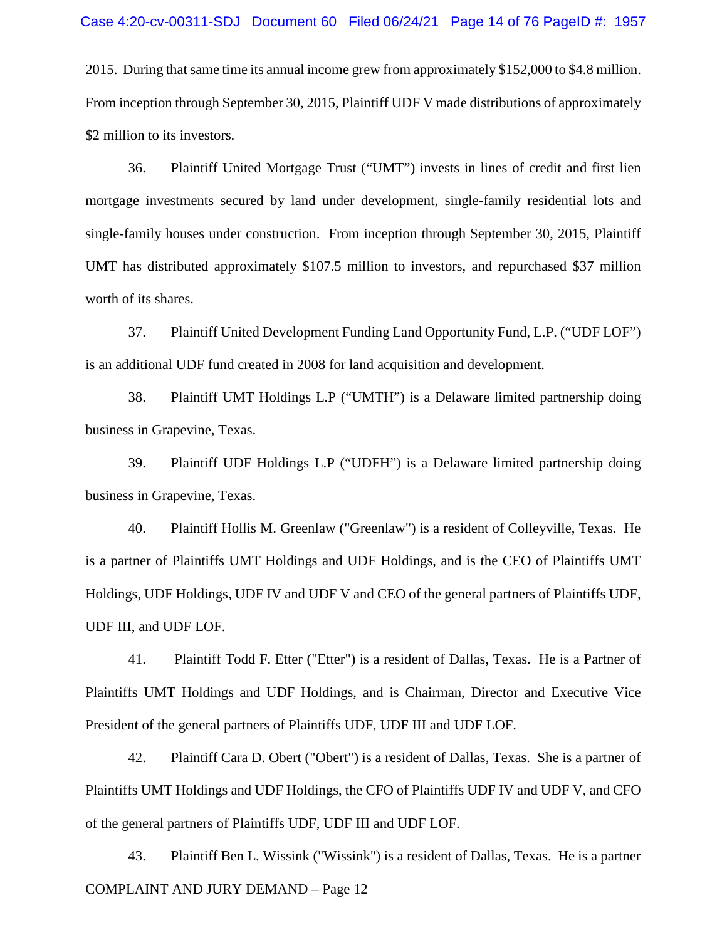2015. During that same time its annual income grew from approximately \$152,000 to \$4.8 million. From inception through September 30, 2015, Plaintiff UDF V made distributions of approximately \$2 million to its investors.

36. Plaintiff United Mortgage Trust ("UMT") invests in lines of credit and first lien mortgage investments secured by land under development, single-family residential lots and single-family houses under construction. From inception through September 30, 2015, Plaintiff UMT has distributed approximately \$107.5 million to investors, and repurchased \$37 million worth of its shares.

37. Plaintiff United Development Funding Land Opportunity Fund, L.P. ("UDF LOF") is an additional UDF fund created in 2008 for land acquisition and development.

38. Plaintiff UMT Holdings L.P ("UMTH") is a Delaware limited partnership doing business in Grapevine, Texas.

39. Plaintiff UDF Holdings L.P ("UDFH") is a Delaware limited partnership doing business in Grapevine, Texas.

40. Plaintiff Hollis M. Greenlaw ("Greenlaw") is a resident of Colleyville, Texas. He is a partner of Plaintiffs UMT Holdings and UDF Holdings, and is the CEO of Plaintiffs UMT Holdings, UDF Holdings, UDF IV and UDF V and CEO of the general partners of Plaintiffs UDF, UDF III, and UDF LOF.

41. Plaintiff Todd F. Etter ("Etter") is a resident of Dallas, Texas. He is a Partner of Plaintiffs UMT Holdings and UDF Holdings, and is Chairman, Director and Executive Vice President of the general partners of Plaintiffs UDF, UDF III and UDF LOF.

42. Plaintiff Cara D. Obert ("Obert") is a resident of Dallas, Texas. She is a partner of Plaintiffs UMT Holdings and UDF Holdings, the CFO of Plaintiffs UDF IV and UDF V, and CFO of the general partners of Plaintiffs UDF, UDF III and UDF LOF.

COMPLAINT AND JURY DEMAND – Page 12 43. Plaintiff Ben L. Wissink ("Wissink") is a resident of Dallas, Texas. He is a partner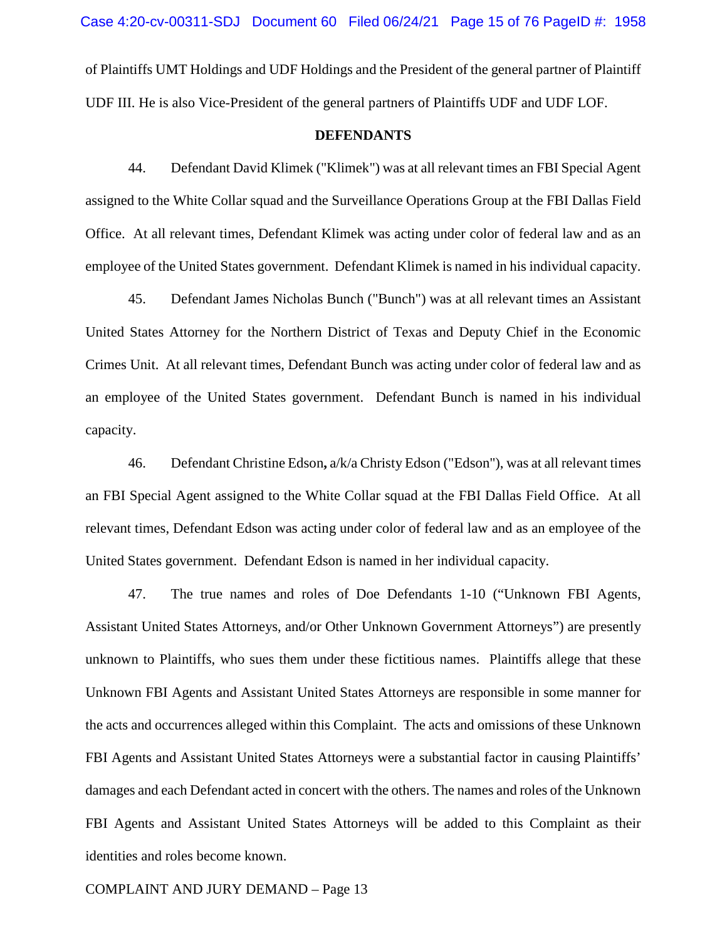of Plaintiffs UMT Holdings and UDF Holdings and the President of the general partner of Plaintiff UDF III. He is also Vice-President of the general partners of Plaintiffs UDF and UDF LOF.

#### **DEFENDANTS**

44. Defendant David Klimek ("Klimek") was at all relevant times an FBI Special Agent assigned to the White Collar squad and the Surveillance Operations Group at the FBI Dallas Field Office. At all relevant times, Defendant Klimek was acting under color of federal law and as an employee of the United States government. Defendant Klimek is named in his individual capacity.

45. Defendant James Nicholas Bunch ("Bunch") was at all relevant times an Assistant United States Attorney for the Northern District of Texas and Deputy Chief in the Economic Crimes Unit. At all relevant times, Defendant Bunch was acting under color of federal law and as an employee of the United States government. Defendant Bunch is named in his individual capacity.

46. Defendant Christine Edson**,** a/k/a Christy Edson ("Edson"), was at all relevant times an FBI Special Agent assigned to the White Collar squad at the FBI Dallas Field Office. At all relevant times, Defendant Edson was acting under color of federal law and as an employee of the United States government. Defendant Edson is named in her individual capacity.

47. The true names and roles of Doe Defendants 1-10 ("Unknown FBI Agents, Assistant United States Attorneys, and/or Other Unknown Government Attorneys") are presently unknown to Plaintiffs, who sues them under these fictitious names. Plaintiffs allege that these Unknown FBI Agents and Assistant United States Attorneys are responsible in some manner for the acts and occurrences alleged within this Complaint. The acts and omissions of these Unknown FBI Agents and Assistant United States Attorneys were a substantial factor in causing Plaintiffs' damages and each Defendant acted in concert with the others. The names and roles of the Unknown FBI Agents and Assistant United States Attorneys will be added to this Complaint as their identities and roles become known.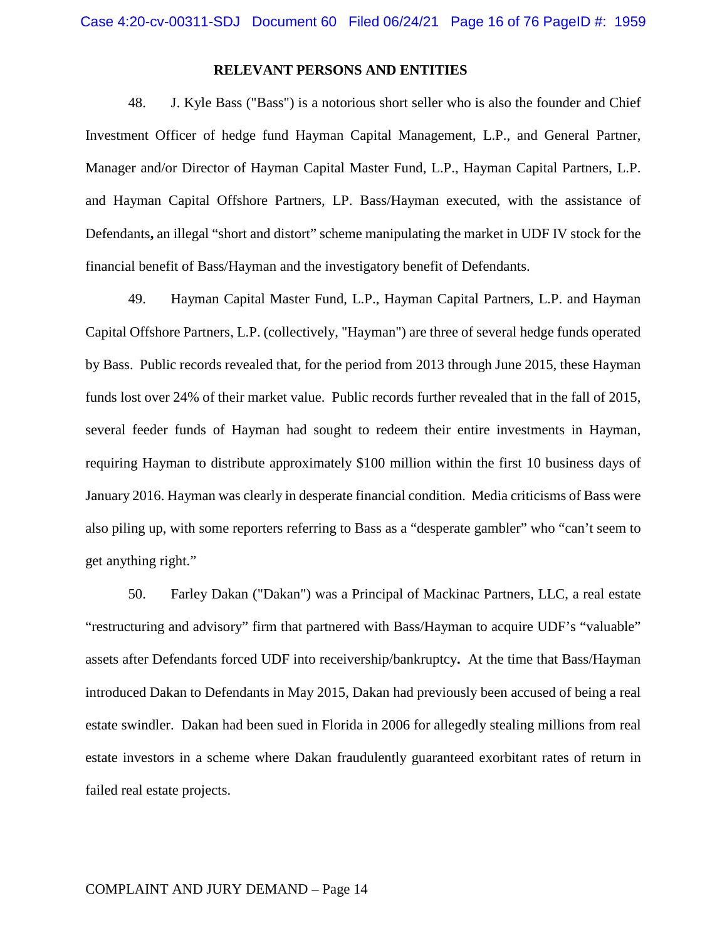## **RELEVANT PERSONS AND ENTITIES**

48. J. Kyle Bass ("Bass") is a notorious short seller who is also the founder and Chief Investment Officer of hedge fund Hayman Capital Management, L.P., and General Partner, Manager and/or Director of Hayman Capital Master Fund, L.P., Hayman Capital Partners, L.P. and Hayman Capital Offshore Partners, LP. Bass/Hayman executed, with the assistance of Defendants**,** an illegal "short and distort" scheme manipulating the market in UDF IV stock for the financial benefit of Bass/Hayman and the investigatory benefit of Defendants.

49. Hayman Capital Master Fund, L.P., Hayman Capital Partners, L.P. and Hayman Capital Offshore Partners, L.P. (collectively, "Hayman") are three of several hedge funds operated by Bass. Public records revealed that, for the period from 2013 through June 2015, these Hayman funds lost over 24% of their market value. Public records further revealed that in the fall of 2015, several feeder funds of Hayman had sought to redeem their entire investments in Hayman, requiring Hayman to distribute approximately \$100 million within the first 10 business days of January 2016. Hayman was clearly in desperate financial condition. Media criticisms of Bass were also piling up, with some reporters referring to Bass as a "desperate gambler" who "can't seem to get anything right."

50. Farley Dakan ("Dakan") was a Principal of Mackinac Partners, LLC, a real estate "restructuring and advisory" firm that partnered with Bass/Hayman to acquire UDF's "valuable" assets after Defendants forced UDF into receivership/bankruptcy**.** At the time that Bass/Hayman introduced Dakan to Defendants in May 2015, Dakan had previously been accused of being a real estate swindler. Dakan had been sued in Florida in 2006 for allegedly stealing millions from real estate investors in a scheme where Dakan fraudulently guaranteed exorbitant rates of return in failed real estate projects.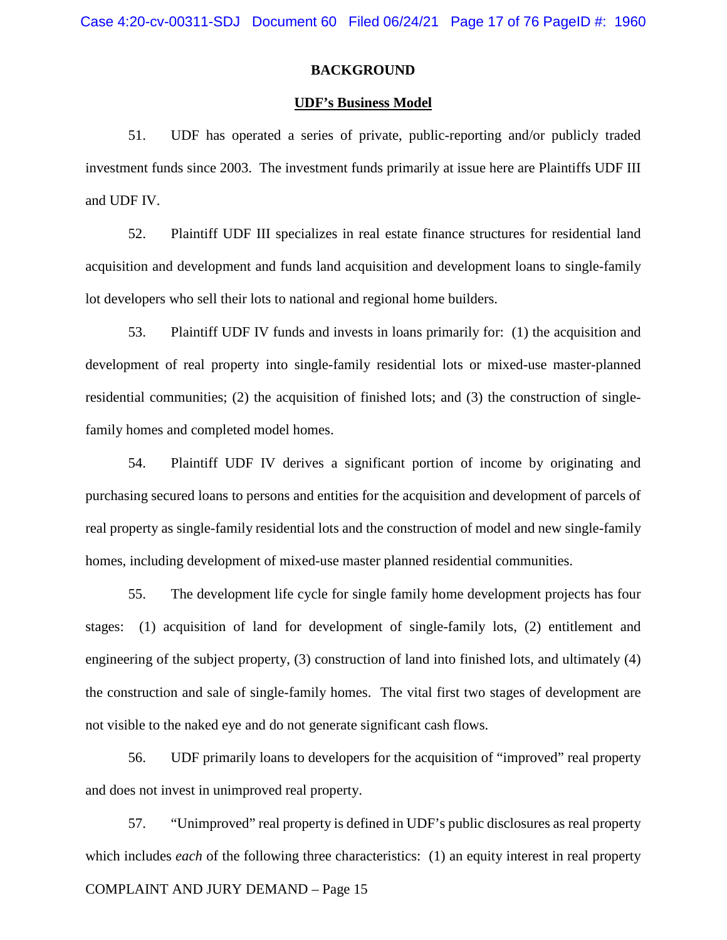## **BACKGROUND**

#### **UDF's Business Model**

51. UDF has operated a series of private, public-reporting and/or publicly traded investment funds since 2003. The investment funds primarily at issue here are Plaintiffs UDF III and UDF IV.

52. Plaintiff UDF III specializes in real estate finance structures for residential land acquisition and development and funds land acquisition and development loans to single-family lot developers who sell their lots to national and regional home builders.

53. Plaintiff UDF IV funds and invests in loans primarily for: (1) the acquisition and development of real property into single-family residential lots or mixed-use master-planned residential communities; (2) the acquisition of finished lots; and (3) the construction of singlefamily homes and completed model homes.

54. Plaintiff UDF IV derives a significant portion of income by originating and purchasing secured loans to persons and entities for the acquisition and development of parcels of real property as single-family residential lots and the construction of model and new single-family homes, including development of mixed-use master planned residential communities.

55. The development life cycle for single family home development projects has four stages: (1) acquisition of land for development of single-family lots, (2) entitlement and engineering of the subject property, (3) construction of land into finished lots, and ultimately (4) the construction and sale of single-family homes. The vital first two stages of development are not visible to the naked eye and do not generate significant cash flows.

56. UDF primarily loans to developers for the acquisition of "improved" real property and does not invest in unimproved real property.

COMPLAINT AND JURY DEMAND – Page 15 57. "Unimproved" real property is defined in UDF's public disclosures as real property which includes *each* of the following three characteristics: (1) an equity interest in real property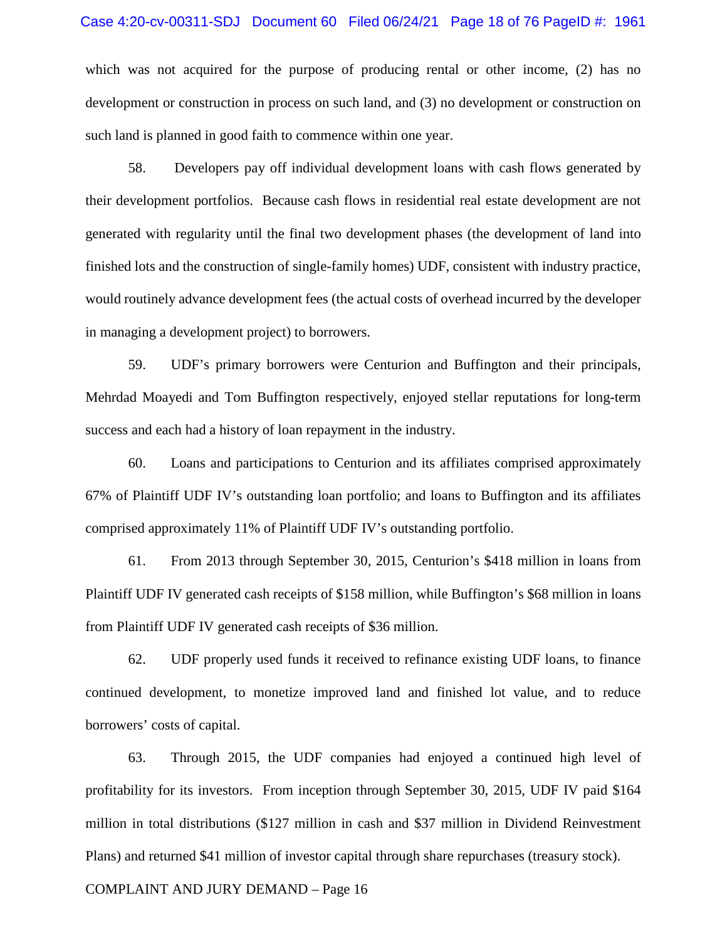#### Case 4:20-cv-00311-SDJ Document 60 Filed 06/24/21 Page 18 of 76 PageID #: 1961

which was not acquired for the purpose of producing rental or other income, (2) has no development or construction in process on such land, and (3) no development or construction on such land is planned in good faith to commence within one year.

58. Developers pay off individual development loans with cash flows generated by their development portfolios. Because cash flows in residential real estate development are not generated with regularity until the final two development phases (the development of land into finished lots and the construction of single-family homes) UDF, consistent with industry practice, would routinely advance development fees (the actual costs of overhead incurred by the developer in managing a development project) to borrowers.

59. UDF's primary borrowers were Centurion and Buffington and their principals, Mehrdad Moayedi and Tom Buffington respectively, enjoyed stellar reputations for long-term success and each had a history of loan repayment in the industry.

60. Loans and participations to Centurion and its affiliates comprised approximately 67% of Plaintiff UDF IV's outstanding loan portfolio; and loans to Buffington and its affiliates comprised approximately 11% of Plaintiff UDF IV's outstanding portfolio.

61. From 2013 through September 30, 2015, Centurion's \$418 million in loans from Plaintiff UDF IV generated cash receipts of \$158 million, while Buffington's \$68 million in loans from Plaintiff UDF IV generated cash receipts of \$36 million.

62. UDF properly used funds it received to refinance existing UDF loans, to finance continued development, to monetize improved land and finished lot value, and to reduce borrowers' costs of capital.

63. Through 2015, the UDF companies had enjoyed a continued high level of profitability for its investors. From inception through September 30, 2015, UDF IV paid \$164 million in total distributions (\$127 million in cash and \$37 million in Dividend Reinvestment Plans) and returned \$41 million of investor capital through share repurchases (treasury stock).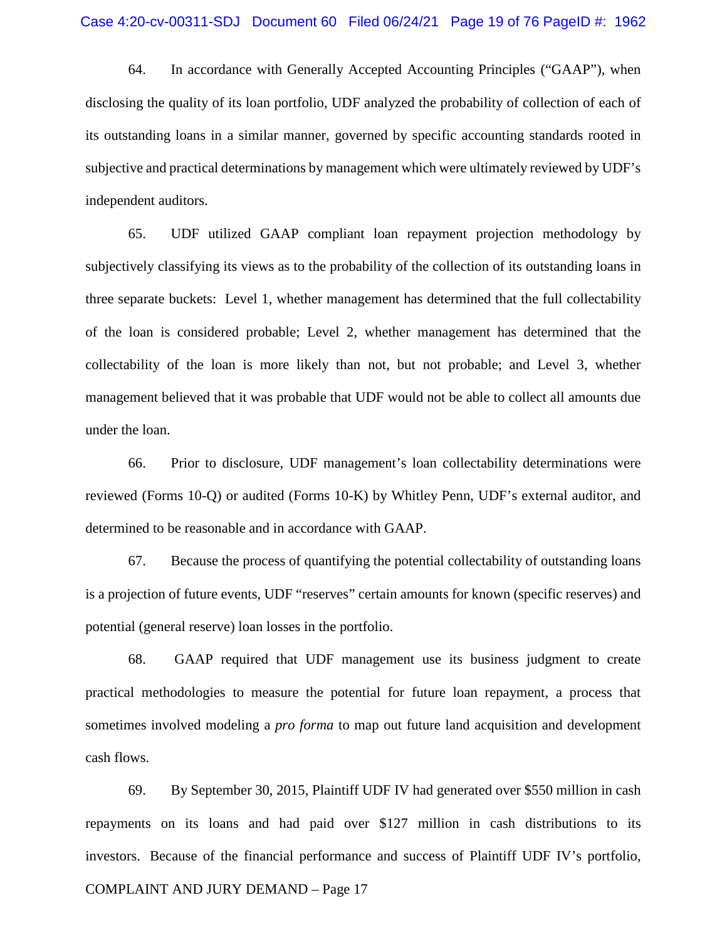64. In accordance with Generally Accepted Accounting Principles ("GAAP"), when disclosing the quality of its loan portfolio, UDF analyzed the probability of collection of each of its outstanding loans in a similar manner, governed by specific accounting standards rooted in subjective and practical determinations by management which were ultimately reviewed by UDF's independent auditors.

65. UDF utilized GAAP compliant loan repayment projection methodology by subjectively classifying its views as to the probability of the collection of its outstanding loans in three separate buckets: Level 1, whether management has determined that the full collectability of the loan is considered probable; Level 2, whether management has determined that the collectability of the loan is more likely than not, but not probable; and Level 3, whether management believed that it was probable that UDF would not be able to collect all amounts due under the loan.

66. Prior to disclosure, UDF management's loan collectability determinations were reviewed (Forms 10-Q) or audited (Forms 10-K) by Whitley Penn, UDF's external auditor, and determined to be reasonable and in accordance with GAAP.

67. Because the process of quantifying the potential collectability of outstanding loans is a projection of future events, UDF "reserves" certain amounts for known (specific reserves) and potential (general reserve) loan losses in the portfolio.

68. GAAP required that UDF management use its business judgment to create practical methodologies to measure the potential for future loan repayment, a process that sometimes involved modeling a *pro forma* to map out future land acquisition and development cash flows.

COMPLAINT AND JURY DEMAND – Page 17 69. By September 30, 2015, Plaintiff UDF IV had generated over \$550 million in cash repayments on its loans and had paid over \$127 million in cash distributions to its investors. Because of the financial performance and success of Plaintiff UDF IV's portfolio,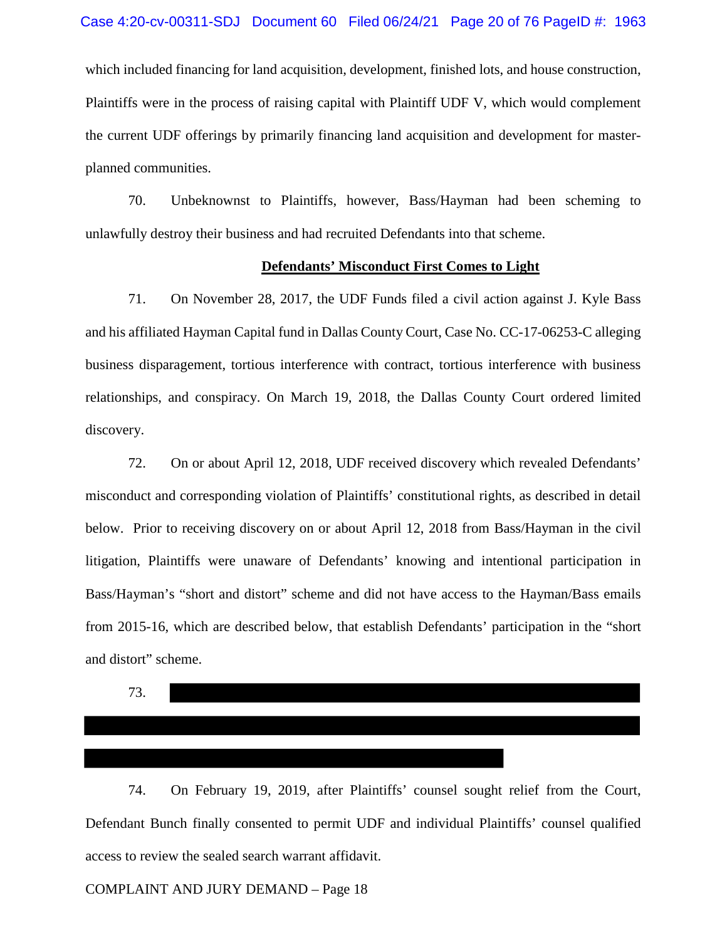which included financing for land acquisition, development, finished lots, and house construction, Plaintiffs were in the process of raising capital with Plaintiff UDF V, which would complement the current UDF offerings by primarily financing land acquisition and development for masterplanned communities.

70. Unbeknownst to Plaintiffs, however, Bass/Hayman had been scheming to unlawfully destroy their business and had recruited Defendants into that scheme.

## **Defendants' Misconduct First Comes to Light**

71. On November 28, 2017, the UDF Funds filed a civil action against J. Kyle Bass and his affiliated Hayman Capital fund in Dallas County Court, Case No. CC-17-06253-C alleging business disparagement, tortious interference with contract, tortious interference with business relationships, and conspiracy. On March 19, 2018, the Dallas County Court ordered limited discovery.

72. On or about April 12, 2018, UDF received discovery which revealed Defendants' misconduct and corresponding violation of Plaintiffs' constitutional rights, as described in detail below. Prior to receiving discovery on or about April 12, 2018 from Bass/Hayman in the civil litigation, Plaintiffs were unaware of Defendants' knowing and intentional participation in Bass/Hayman's "short and distort" scheme and did not have access to the Hayman/Bass emails from 2015-16, which are described below, that establish Defendants' participation in the "short and distort" scheme.

73.

74. On February 19, 2019, after Plaintiffs' counsel sought relief from the Court, Defendant Bunch finally consented to permit UDF and individual Plaintiffs' counsel qualified access to review the sealed search warrant affidavit.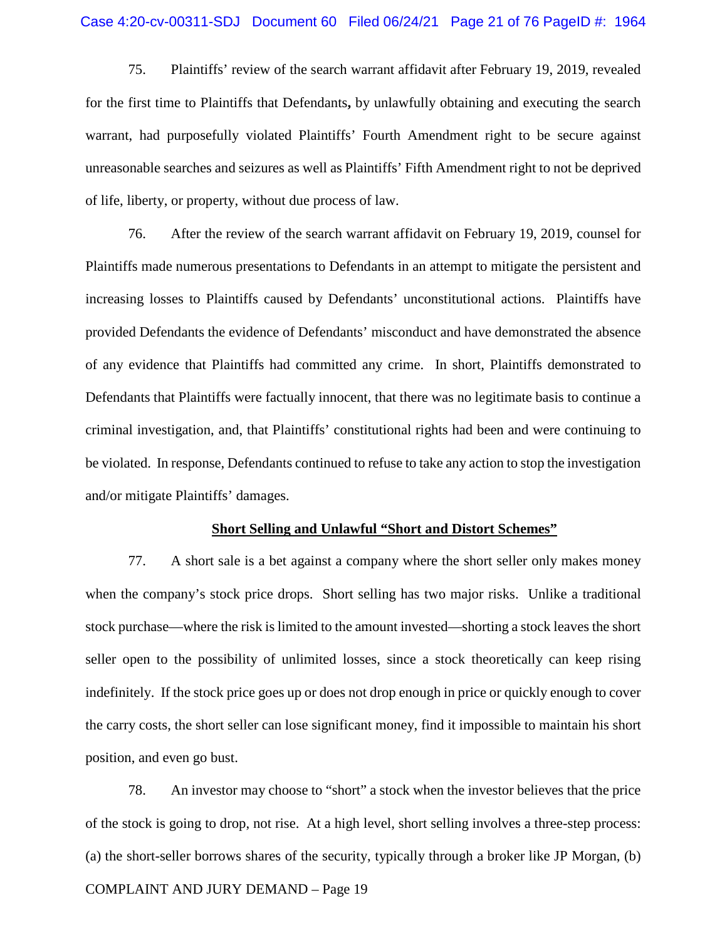75. Plaintiffs' review of the search warrant affidavit after February 19, 2019, revealed for the first time to Plaintiffs that Defendants**,** by unlawfully obtaining and executing the search warrant, had purposefully violated Plaintiffs' Fourth Amendment right to be secure against unreasonable searches and seizures as well as Plaintiffs' Fifth Amendment right to not be deprived of life, liberty, or property, without due process of law.

76. After the review of the search warrant affidavit on February 19, 2019, counsel for Plaintiffs made numerous presentations to Defendants in an attempt to mitigate the persistent and increasing losses to Plaintiffs caused by Defendants' unconstitutional actions. Plaintiffs have provided Defendants the evidence of Defendants' misconduct and have demonstrated the absence of any evidence that Plaintiffs had committed any crime. In short, Plaintiffs demonstrated to Defendants that Plaintiffs were factually innocent, that there was no legitimate basis to continue a criminal investigation, and, that Plaintiffs' constitutional rights had been and were continuing to be violated. In response, Defendants continued to refuse to take any action to stop the investigation and/or mitigate Plaintiffs' damages.

# **Short Selling and Unlawful "Short and Distort Schemes"**

77. A short sale is a bet against a company where the short seller only makes money when the company's stock price drops. Short selling has two major risks. Unlike a traditional stock purchase—where the risk is limited to the amount invested—shorting a stock leaves the short seller open to the possibility of unlimited losses, since a stock theoretically can keep rising indefinitely. If the stock price goes up or does not drop enough in price or quickly enough to cover the carry costs, the short seller can lose significant money, find it impossible to maintain his short position, and even go bust.

78. An investor may choose to "short" a stock when the investor believes that the price of the stock is going to drop, not rise. At a high level, short selling involves a three-step process: (a) the short-seller borrows shares of the security, typically through a broker like JP Morgan, (b)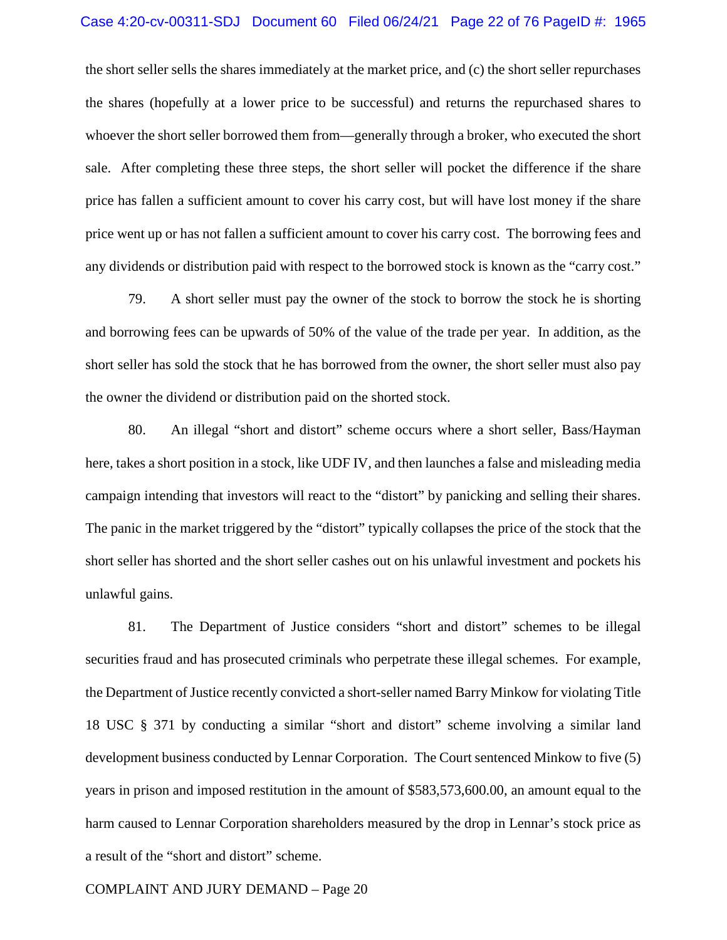## Case 4:20-cv-00311-SDJ Document 60 Filed 06/24/21 Page 22 of 76 PageID #: 1965

the short seller sells the shares immediately at the market price, and (c) the short seller repurchases the shares (hopefully at a lower price to be successful) and returns the repurchased shares to whoever the short seller borrowed them from—generally through a broker, who executed the short sale. After completing these three steps, the short seller will pocket the difference if the share price has fallen a sufficient amount to cover his carry cost, but will have lost money if the share price went up or has not fallen a sufficient amount to cover his carry cost. The borrowing fees and any dividends or distribution paid with respect to the borrowed stock is known as the "carry cost."

79. A short seller must pay the owner of the stock to borrow the stock he is shorting and borrowing fees can be upwards of 50% of the value of the trade per year. In addition, as the short seller has sold the stock that he has borrowed from the owner, the short seller must also pay the owner the dividend or distribution paid on the shorted stock.

80. An illegal "short and distort" scheme occurs where a short seller, Bass/Hayman here, takes a short position in a stock, like UDF IV, and then launches a false and misleading media campaign intending that investors will react to the "distort" by panicking and selling their shares. The panic in the market triggered by the "distort" typically collapses the price of the stock that the short seller has shorted and the short seller cashes out on his unlawful investment and pockets his unlawful gains.

81. The Department of Justice considers "short and distort" schemes to be illegal securities fraud and has prosecuted criminals who perpetrate these illegal schemes. For example, the Department of Justice recently convicted a short-seller named Barry Minkow for violating Title 18 USC § 371 by conducting a similar "short and distort" scheme involving a similar land development business conducted by Lennar Corporation. The Court sentenced Minkow to five (5) years in prison and imposed restitution in the amount of \$583,573,600.00, an amount equal to the harm caused to Lennar Corporation shareholders measured by the drop in Lennar's stock price as a result of the "short and distort" scheme.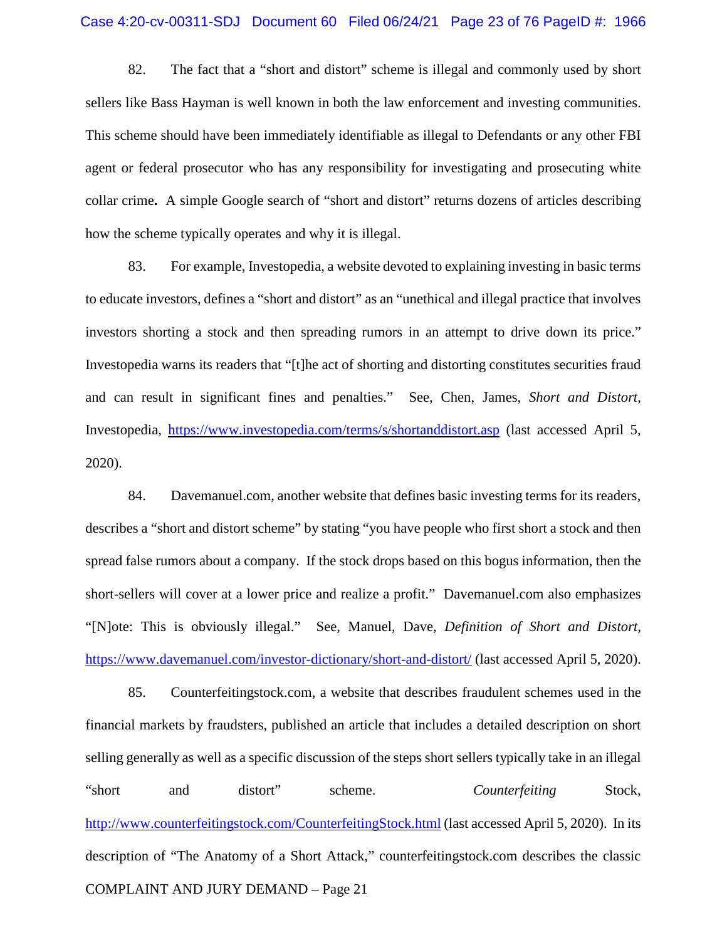82. The fact that a "short and distort" scheme is illegal and commonly used by short sellers like Bass Hayman is well known in both the law enforcement and investing communities. This scheme should have been immediately identifiable as illegal to Defendants or any other FBI agent or federal prosecutor who has any responsibility for investigating and prosecuting white collar crime**.** A simple Google search of "short and distort" returns dozens of articles describing how the scheme typically operates and why it is illegal.

83. For example, Investopedia, a website devoted to explaining investing in basic terms to educate investors, defines a "short and distort" as an "unethical and illegal practice that involves investors shorting a stock and then spreading rumors in an attempt to drive down its price." Investopedia warns its readers that "[t]he act of shorting and distorting constitutes securities fraud and can result in significant fines and penalties." See, Chen, James, *Short and Distort*, Investopedia, https://www.investopedia.com/terms/s/shortanddistort.asp (last accessed April 5, 2020).

84. Davemanuel.com, another website that defines basic investing terms for its readers, describes a "short and distort scheme" by stating "you have people who first short a stock and then spread false rumors about a company. If the stock drops based on this bogus information, then the short-sellers will cover at a lower price and realize a profit." Davemanuel.com also emphasizes "[N]ote: This is obviously illegal." See, Manuel, Dave, *Definition of Short and Distort,* https://www.davemanuel.com/investor-dictionary/short-and-distort/ (last accessed April 5, 2020).

COMPLAINT AND JURY DEMAND – Page 21 85. Counterfeitingstock.com, a website that describes fraudulent schemes used in the financial markets by fraudsters, published an article that includes a detailed description on short selling generally as well as a specific discussion of the steps short sellers typically take in an illegal "short and distort" scheme. *Counterfeiting* Stock, http://www.counterfeitingstock.com/CounterfeitingStock.html (last accessed April 5, 2020). In its description of "The Anatomy of a Short Attack," counterfeitingstock.com describes the classic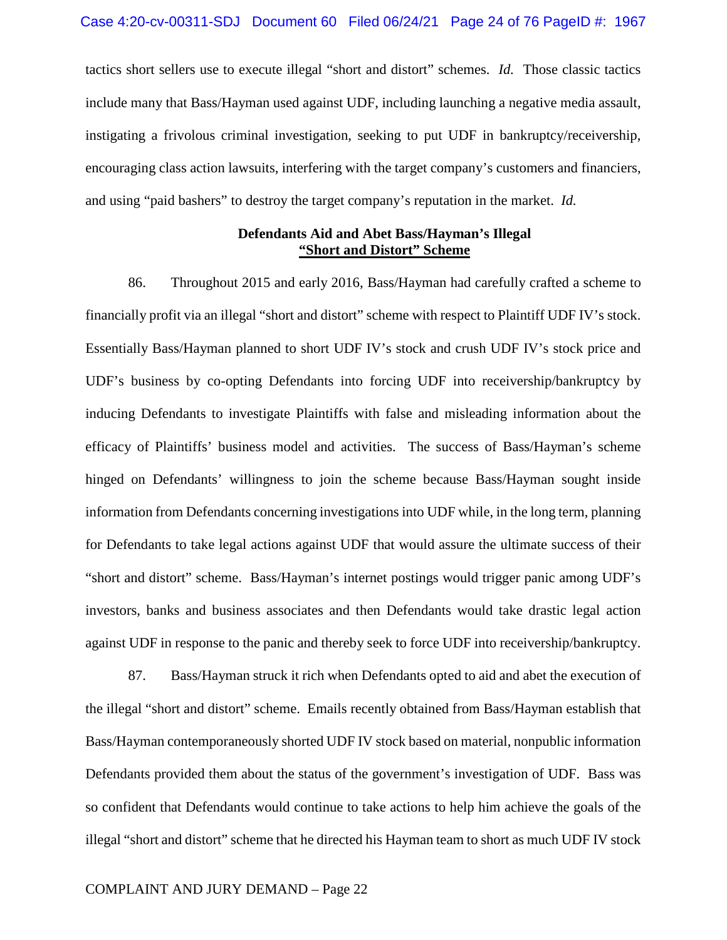tactics short sellers use to execute illegal "short and distort" schemes. *Id.* Those classic tactics include many that Bass/Hayman used against UDF, including launching a negative media assault, instigating a frivolous criminal investigation, seeking to put UDF in bankruptcy/receivership, encouraging class action lawsuits, interfering with the target company's customers and financiers, and using "paid bashers" to destroy the target company's reputation in the market. *Id.*

## **Defendants Aid and Abet Bass/Hayman's Illegal "Short and Distort" Scheme**

86. Throughout 2015 and early 2016, Bass/Hayman had carefully crafted a scheme to financially profit via an illegal "short and distort" scheme with respect to Plaintiff UDF IV's stock. Essentially Bass/Hayman planned to short UDF IV's stock and crush UDF IV's stock price and UDF's business by co-opting Defendants into forcing UDF into receivership/bankruptcy by inducing Defendants to investigate Plaintiffs with false and misleading information about the efficacy of Plaintiffs' business model and activities. The success of Bass/Hayman's scheme hinged on Defendants' willingness to join the scheme because Bass/Hayman sought inside information from Defendants concerning investigations into UDF while, in the long term, planning for Defendants to take legal actions against UDF that would assure the ultimate success of their "short and distort" scheme. Bass/Hayman's internet postings would trigger panic among UDF's investors, banks and business associates and then Defendants would take drastic legal action against UDF in response to the panic and thereby seek to force UDF into receivership/bankruptcy.

87. Bass/Hayman struck it rich when Defendants opted to aid and abet the execution of the illegal "short and distort" scheme. Emails recently obtained from Bass/Hayman establish that Bass/Hayman contemporaneously shorted UDF IV stock based on material, nonpublic information Defendants provided them about the status of the government's investigation of UDF. Bass was so confident that Defendants would continue to take actions to help him achieve the goals of the illegal "short and distort" scheme that he directed his Hayman team to short as much UDF IV stock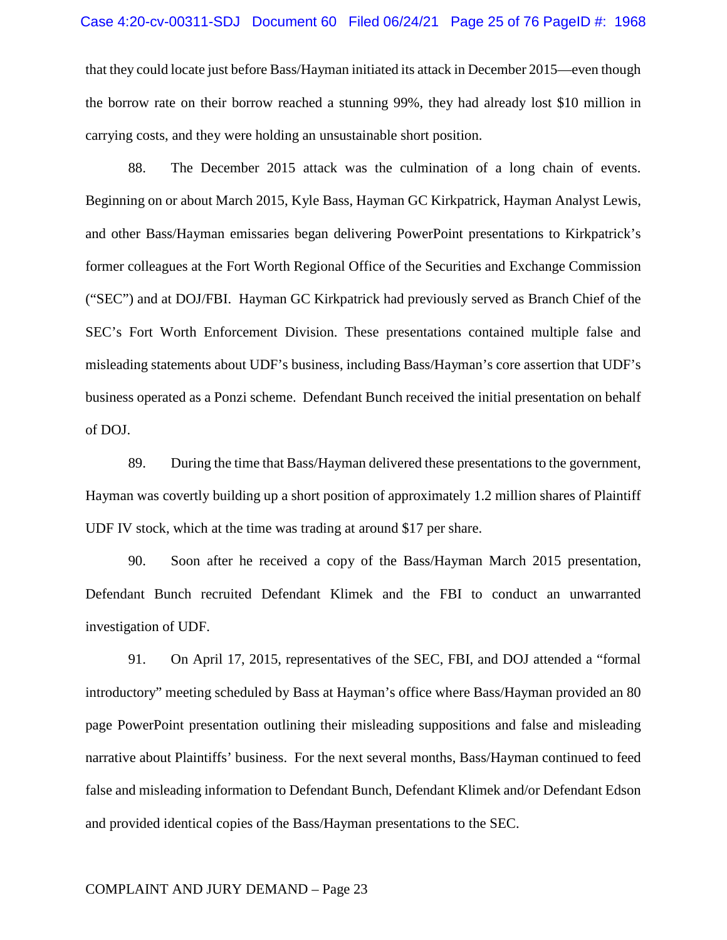#### Case 4:20-cv-00311-SDJ Document 60 Filed 06/24/21 Page 25 of 76 PageID #: 1968

that they could locate just before Bass/Hayman initiated its attack in December 2015—even though the borrow rate on their borrow reached a stunning 99%, they had already lost \$10 million in carrying costs, and they were holding an unsustainable short position.

88. The December 2015 attack was the culmination of a long chain of events. Beginning on or about March 2015, Kyle Bass, Hayman GC Kirkpatrick, Hayman Analyst Lewis, and other Bass/Hayman emissaries began delivering PowerPoint presentations to Kirkpatrick's former colleagues at the Fort Worth Regional Office of the Securities and Exchange Commission ("SEC") and at DOJ/FBI. Hayman GC Kirkpatrick had previously served as Branch Chief of the SEC's Fort Worth Enforcement Division. These presentations contained multiple false and misleading statements about UDF's business, including Bass/Hayman's core assertion that UDF's business operated as a Ponzi scheme. Defendant Bunch received the initial presentation on behalf of DOJ.

89. During the time that Bass/Hayman delivered these presentations to the government, Hayman was covertly building up a short position of approximately 1.2 million shares of Plaintiff UDF IV stock, which at the time was trading at around \$17 per share.

90. Soon after he received a copy of the Bass/Hayman March 2015 presentation, Defendant Bunch recruited Defendant Klimek and the FBI to conduct an unwarranted investigation of UDF.

91. On April 17, 2015, representatives of the SEC, FBI, and DOJ attended a "formal introductory" meeting scheduled by Bass at Hayman's office where Bass/Hayman provided an 80 page PowerPoint presentation outlining their misleading suppositions and false and misleading narrative about Plaintiffs' business. For the next several months, Bass/Hayman continued to feed false and misleading information to Defendant Bunch, Defendant Klimek and/or Defendant Edson and provided identical copies of the Bass/Hayman presentations to the SEC.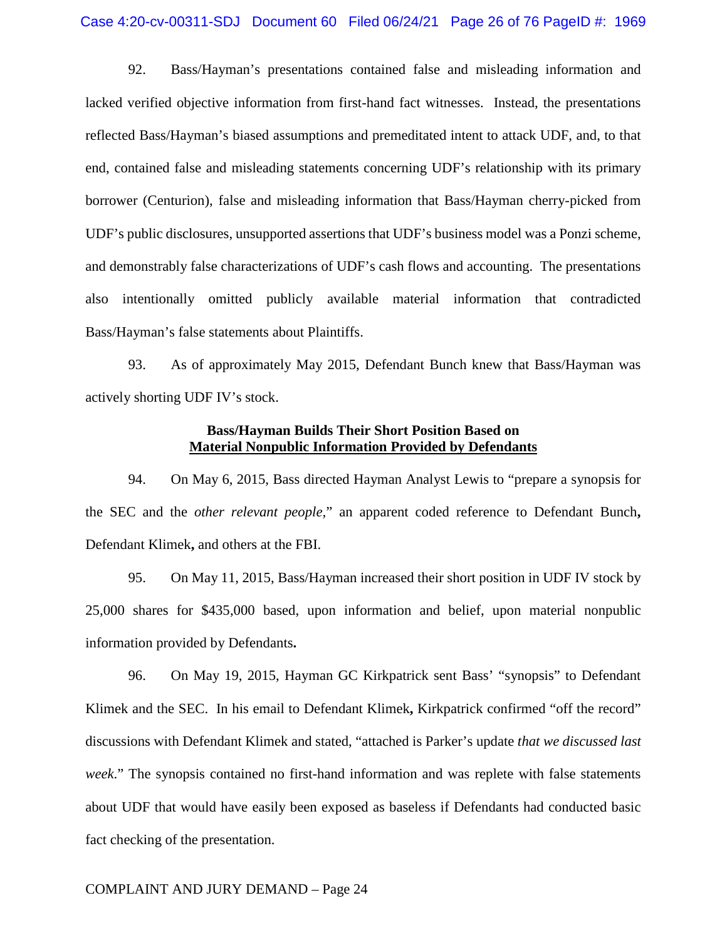92. Bass/Hayman's presentations contained false and misleading information and lacked verified objective information from first-hand fact witnesses. Instead, the presentations reflected Bass/Hayman's biased assumptions and premeditated intent to attack UDF, and, to that end, contained false and misleading statements concerning UDF's relationship with its primary borrower (Centurion), false and misleading information that Bass/Hayman cherry-picked from UDF's public disclosures, unsupported assertions that UDF's business model was a Ponzi scheme, and demonstrably false characterizations of UDF's cash flows and accounting. The presentations also intentionally omitted publicly available material information that contradicted Bass/Hayman's false statements about Plaintiffs.

93. As of approximately May 2015, Defendant Bunch knew that Bass/Hayman was actively shorting UDF IV's stock.

# **Bass/Hayman Builds Their Short Position Based on Material Nonpublic Information Provided by Defendants**

94. On May 6, 2015, Bass directed Hayman Analyst Lewis to "prepare a synopsis for the SEC and the *other relevant people,*" an apparent coded reference to Defendant Bunch**,** Defendant Klimek**,** and others at the FBI.

95. On May 11, 2015, Bass/Hayman increased their short position in UDF IV stock by 25,000 shares for \$435,000 based, upon information and belief, upon material nonpublic information provided by Defendants**.**

96. On May 19, 2015, Hayman GC Kirkpatrick sent Bass' "synopsis" to Defendant Klimek and the SEC. In his email to Defendant Klimek**,** Kirkpatrick confirmed "off the record" discussions with Defendant Klimek and stated, "attached is Parker's update *that we discussed last week*." The synopsis contained no first-hand information and was replete with false statements about UDF that would have easily been exposed as baseless if Defendants had conducted basic fact checking of the presentation.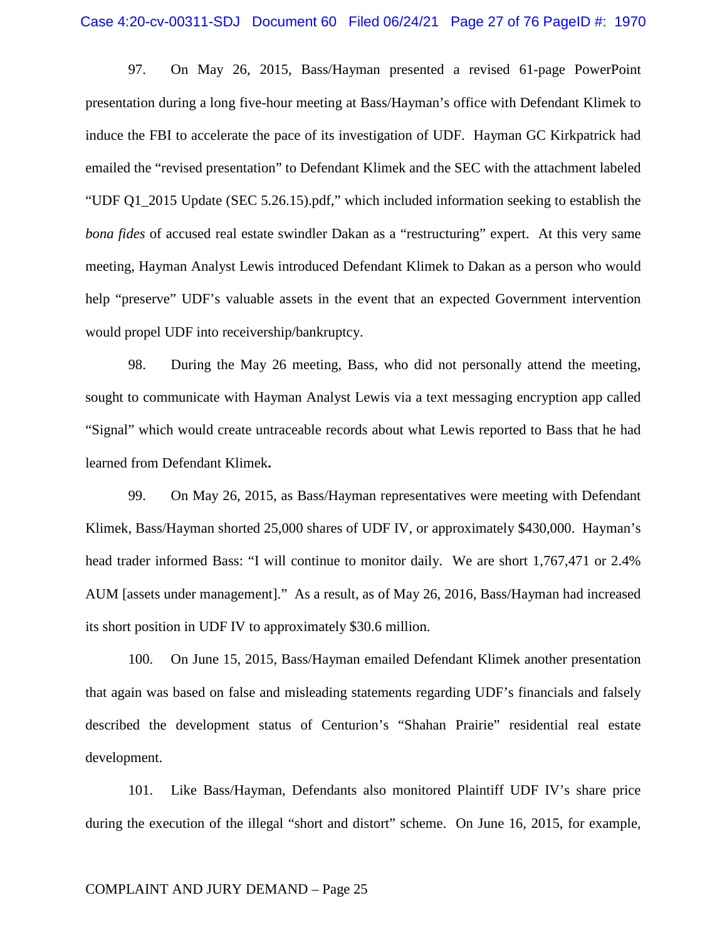97. On May 26, 2015, Bass/Hayman presented a revised 61-page PowerPoint presentation during a long five-hour meeting at Bass/Hayman's office with Defendant Klimek to induce the FBI to accelerate the pace of its investigation of UDF. Hayman GC Kirkpatrick had emailed the "revised presentation" to Defendant Klimek and the SEC with the attachment labeled "UDF Q1\_2015 Update (SEC 5.26.15).pdf," which included information seeking to establish the *bona fides* of accused real estate swindler Dakan as a "restructuring" expert. At this very same meeting, Hayman Analyst Lewis introduced Defendant Klimek to Dakan as a person who would help "preserve" UDF's valuable assets in the event that an expected Government intervention would propel UDF into receivership/bankruptcy.

98. During the May 26 meeting, Bass, who did not personally attend the meeting, sought to communicate with Hayman Analyst Lewis via a text messaging encryption app called "Signal" which would create untraceable records about what Lewis reported to Bass that he had learned from Defendant Klimek**.**

99. On May 26, 2015, as Bass/Hayman representatives were meeting with Defendant Klimek, Bass/Hayman shorted 25,000 shares of UDF IV, or approximately \$430,000. Hayman's head trader informed Bass: "I will continue to monitor daily. We are short 1,767,471 or 2.4% AUM [assets under management]." As a result, as of May 26, 2016, Bass/Hayman had increased its short position in UDF IV to approximately \$30.6 million.

100. On June 15, 2015, Bass/Hayman emailed Defendant Klimek another presentation that again was based on false and misleading statements regarding UDF's financials and falsely described the development status of Centurion's "Shahan Prairie" residential real estate development.

101. Like Bass/Hayman, Defendants also monitored Plaintiff UDF IV's share price during the execution of the illegal "short and distort" scheme. On June 16, 2015, for example,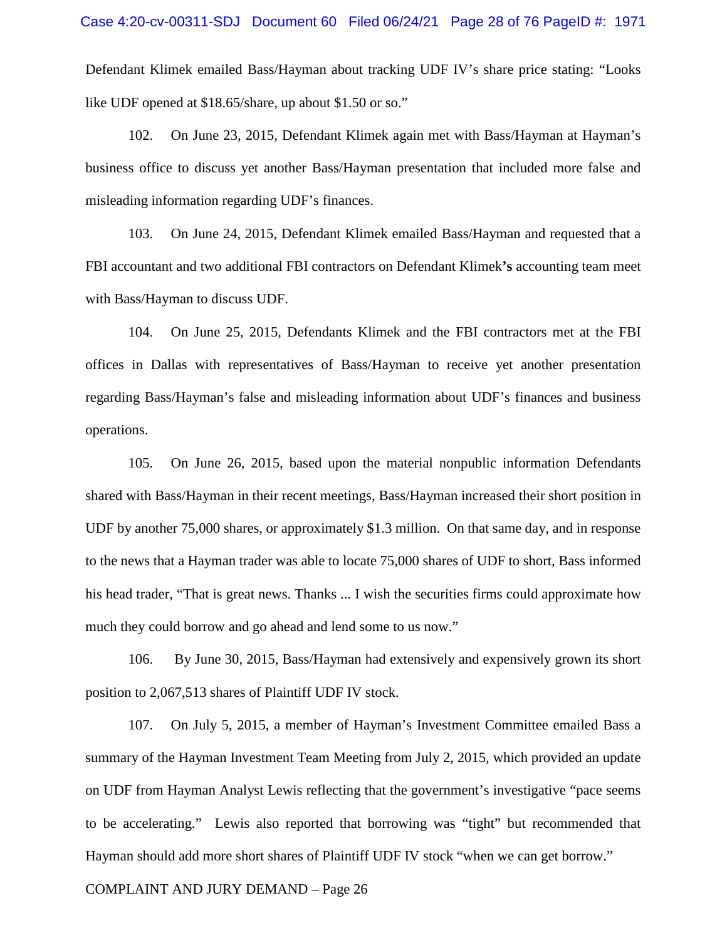Defendant Klimek emailed Bass/Hayman about tracking UDF IV's share price stating: "Looks like UDF opened at \$18.65/share, up about \$1.50 or so."

102. On June 23, 2015, Defendant Klimek again met with Bass/Hayman at Hayman's business office to discuss yet another Bass/Hayman presentation that included more false and misleading information regarding UDF's finances.

103. On June 24, 2015, Defendant Klimek emailed Bass/Hayman and requested that a FBI accountant and two additional FBI contractors on Defendant Klimek**'s** accounting team meet with Bass/Hayman to discuss UDF.

104. On June 25, 2015, Defendants Klimek and the FBI contractors met at the FBI offices in Dallas with representatives of Bass/Hayman to receive yet another presentation regarding Bass/Hayman's false and misleading information about UDF's finances and business operations.

105. On June 26, 2015, based upon the material nonpublic information Defendants shared with Bass/Hayman in their recent meetings, Bass/Hayman increased their short position in UDF by another 75,000 shares, or approximately \$1.3 million. On that same day, and in response to the news that a Hayman trader was able to locate 75,000 shares of UDF to short, Bass informed his head trader, "That is great news. Thanks ... I wish the securities firms could approximate how much they could borrow and go ahead and lend some to us now."

106. By June 30, 2015, Bass/Hayman had extensively and expensively grown its short position to 2,067,513 shares of Plaintiff UDF IV stock.

107. On July 5, 2015, a member of Hayman's Investment Committee emailed Bass a summary of the Hayman Investment Team Meeting from July 2, 2015, which provided an update on UDF from Hayman Analyst Lewis reflecting that the government's investigative "pace seems to be accelerating." Lewis also reported that borrowing was "tight" but recommended that Hayman should add more short shares of Plaintiff UDF IV stock "when we can get borrow."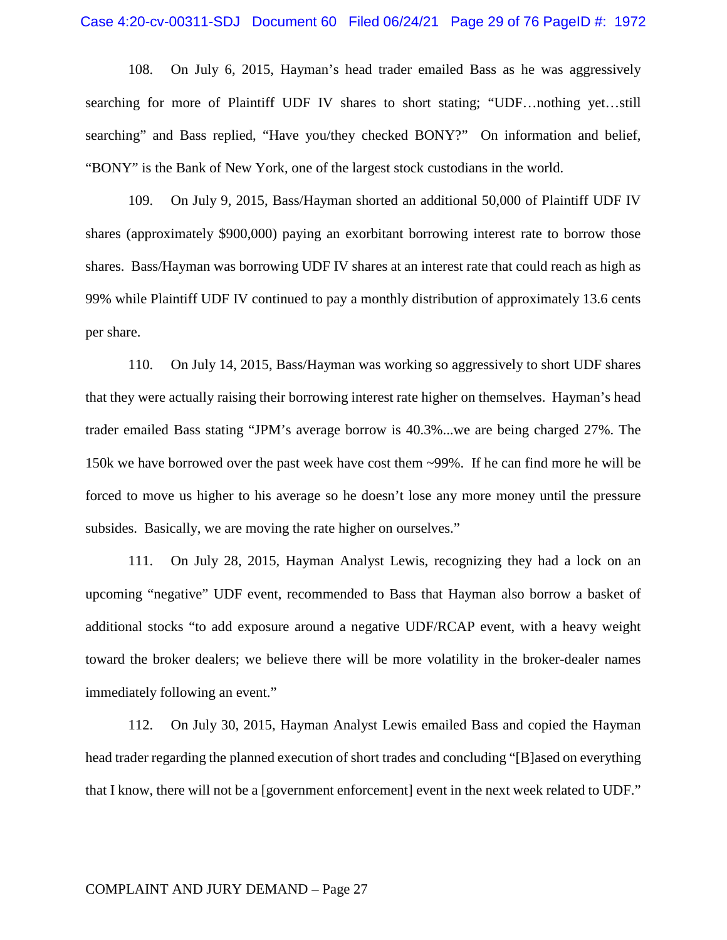108. On July 6, 2015, Hayman's head trader emailed Bass as he was aggressively searching for more of Plaintiff UDF IV shares to short stating; "UDF…nothing yet…still searching" and Bass replied, "Have you/they checked BONY?" On information and belief, "BONY" is the Bank of New York, one of the largest stock custodians in the world.

109. On July 9, 2015, Bass/Hayman shorted an additional 50,000 of Plaintiff UDF IV shares (approximately \$900,000) paying an exorbitant borrowing interest rate to borrow those shares. Bass/Hayman was borrowing UDF IV shares at an interest rate that could reach as high as 99% while Plaintiff UDF IV continued to pay a monthly distribution of approximately 13.6 cents per share.

110. On July 14, 2015, Bass/Hayman was working so aggressively to short UDF shares that they were actually raising their borrowing interest rate higher on themselves. Hayman's head trader emailed Bass stating "JPM's average borrow is 40.3%...we are being charged 27%. The 150k we have borrowed over the past week have cost them ~99%. If he can find more he will be forced to move us higher to his average so he doesn't lose any more money until the pressure subsides. Basically, we are moving the rate higher on ourselves."

111. On July 28, 2015, Hayman Analyst Lewis, recognizing they had a lock on an upcoming "negative" UDF event, recommended to Bass that Hayman also borrow a basket of additional stocks "to add exposure around a negative UDF/RCAP event, with a heavy weight toward the broker dealers; we believe there will be more volatility in the broker-dealer names immediately following an event."

112. On July 30, 2015, Hayman Analyst Lewis emailed Bass and copied the Hayman head trader regarding the planned execution of short trades and concluding "[B]ased on everything that I know, there will not be a [government enforcement] event in the next week related to UDF."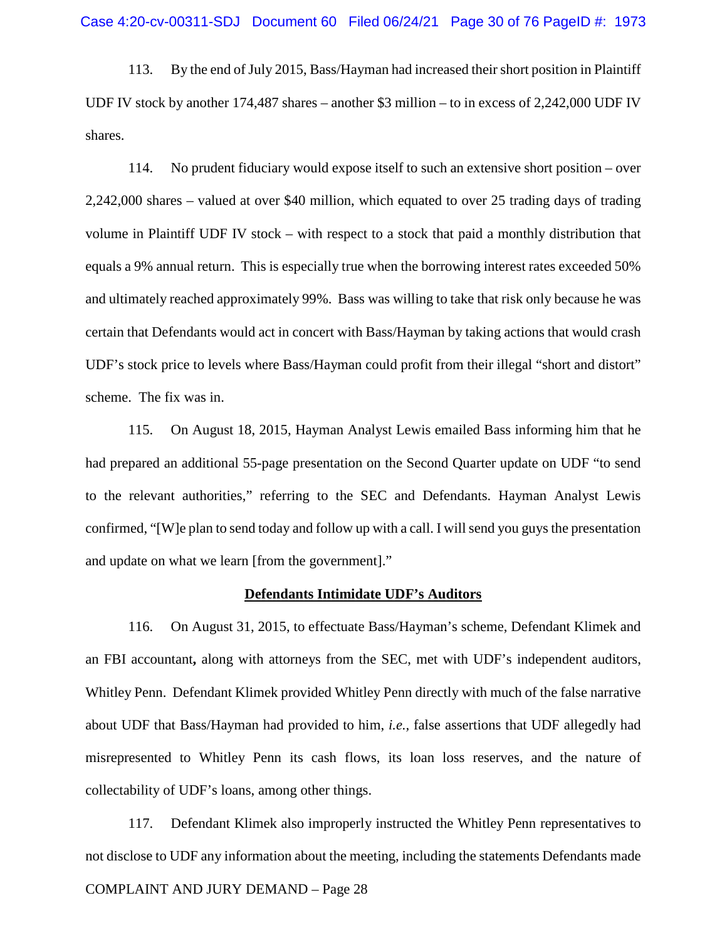113. By the end of July 2015, Bass/Hayman had increased their short position in Plaintiff UDF IV stock by another 174,487 shares – another \$3 million – to in excess of 2,242,000 UDF IV shares.

114. No prudent fiduciary would expose itself to such an extensive short position – over 2,242,000 shares – valued at over \$40 million, which equated to over 25 trading days of trading volume in Plaintiff UDF IV stock – with respect to a stock that paid a monthly distribution that equals a 9% annual return. This is especially true when the borrowing interest rates exceeded 50% and ultimately reached approximately 99%. Bass was willing to take that risk only because he was certain that Defendants would act in concert with Bass/Hayman by taking actions that would crash UDF's stock price to levels where Bass/Hayman could profit from their illegal "short and distort" scheme. The fix was in.

115. On August 18, 2015, Hayman Analyst Lewis emailed Bass informing him that he had prepared an additional 55-page presentation on the Second Quarter update on UDF "to send to the relevant authorities," referring to the SEC and Defendants. Hayman Analyst Lewis confirmed, "[W]e plan to send today and follow up with a call. I will send you guys the presentation and update on what we learn [from the government]."

#### **Defendants Intimidate UDF's Auditors**

116. On August 31, 2015, to effectuate Bass/Hayman's scheme, Defendant Klimek and an FBI accountant**,** along with attorneys from the SEC, met with UDF's independent auditors, Whitley Penn. Defendant Klimek provided Whitley Penn directly with much of the false narrative about UDF that Bass/Hayman had provided to him, *i.e.,* false assertions that UDF allegedly had misrepresented to Whitley Penn its cash flows, its loan loss reserves, and the nature of collectability of UDF's loans, among other things.

COMPLAINT AND JURY DEMAND – Page 28 117. Defendant Klimek also improperly instructed the Whitley Penn representatives to not disclose to UDF any information about the meeting, including the statements Defendants made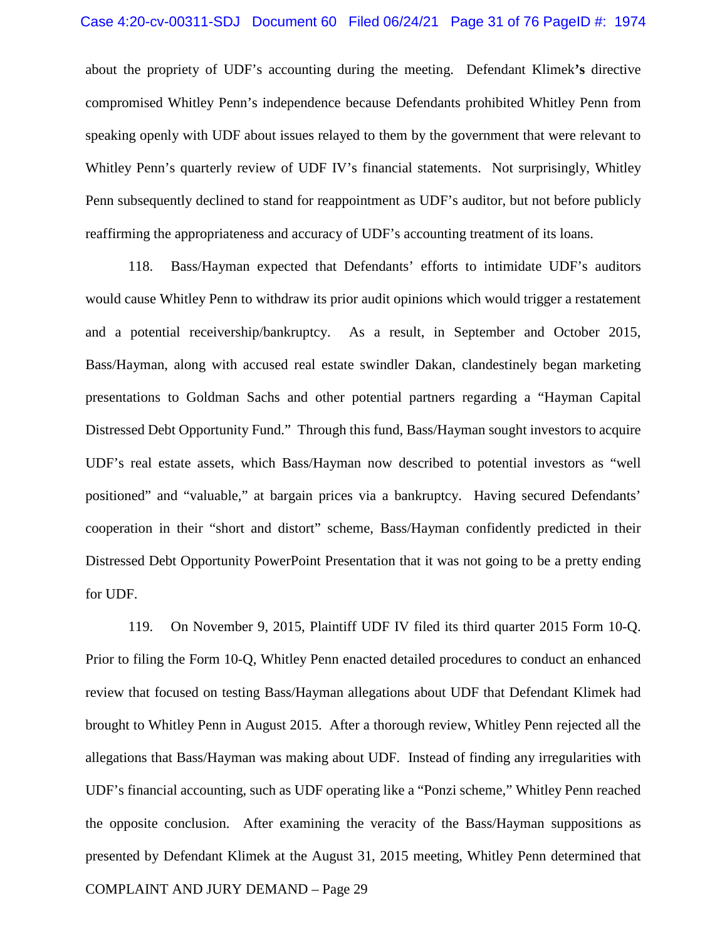about the propriety of UDF's accounting during the meeting. Defendant Klimek**'s** directive compromised Whitley Penn's independence because Defendants prohibited Whitley Penn from speaking openly with UDF about issues relayed to them by the government that were relevant to Whitley Penn's quarterly review of UDF IV's financial statements. Not surprisingly, Whitley Penn subsequently declined to stand for reappointment as UDF's auditor, but not before publicly reaffirming the appropriateness and accuracy of UDF's accounting treatment of its loans.

118. Bass/Hayman expected that Defendants' efforts to intimidate UDF's auditors would cause Whitley Penn to withdraw its prior audit opinions which would trigger a restatement and a potential receivership/bankruptcy. As a result, in September and October 2015, Bass/Hayman, along with accused real estate swindler Dakan, clandestinely began marketing presentations to Goldman Sachs and other potential partners regarding a "Hayman Capital Distressed Debt Opportunity Fund." Through this fund, Bass/Hayman sought investors to acquire UDF's real estate assets, which Bass/Hayman now described to potential investors as "well positioned" and "valuable," at bargain prices via a bankruptcy. Having secured Defendants' cooperation in their "short and distort" scheme, Bass/Hayman confidently predicted in their Distressed Debt Opportunity PowerPoint Presentation that it was not going to be a pretty ending for UDF.

COMPLAINT AND JURY DEMAND – Page 29 119. On November 9, 2015, Plaintiff UDF IV filed its third quarter 2015 Form 10-Q. Prior to filing the Form 10-Q, Whitley Penn enacted detailed procedures to conduct an enhanced review that focused on testing Bass/Hayman allegations about UDF that Defendant Klimek had brought to Whitley Penn in August 2015. After a thorough review, Whitley Penn rejected all the allegations that Bass/Hayman was making about UDF. Instead of finding any irregularities with UDF's financial accounting, such as UDF operating like a "Ponzi scheme," Whitley Penn reached the opposite conclusion. After examining the veracity of the Bass/Hayman suppositions as presented by Defendant Klimek at the August 31, 2015 meeting, Whitley Penn determined that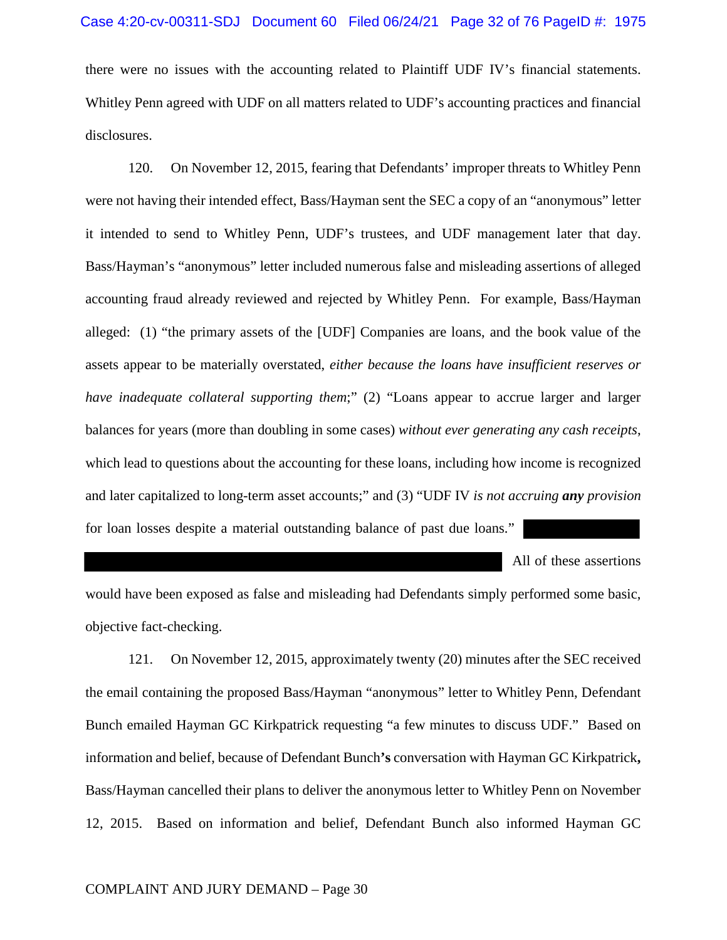there were no issues with the accounting related to Plaintiff UDF IV's financial statements. Whitley Penn agreed with UDF on all matters related to UDF's accounting practices and financial disclosures.

120. On November 12, 2015, fearing that Defendants' improper threats to Whitley Penn were not having their intended effect, Bass/Hayman sent the SEC a copy of an "anonymous" letter it intended to send to Whitley Penn, UDF's trustees, and UDF management later that day. Bass/Hayman's "anonymous" letter included numerous false and misleading assertions of alleged accounting fraud already reviewed and rejected by Whitley Penn. For example, Bass/Hayman alleged: (1) "the primary assets of the [UDF] Companies are loans, and the book value of the assets appear to be materially overstated, *either because the loans have insufficient reserves or have inadequate collateral supporting them*;" (2) "Loans appear to accrue larger and larger balances for years (more than doubling in some cases) *without ever generating any cash receipts*, which lead to questions about the accounting for these loans, including how income is recognized and later capitalized to long-term asset accounts;" and (3) "UDF IV *is not accruing any provision* for loan losses despite a material outstanding balance of past due loans."

All of these assertions

would have been exposed as false and misleading had Defendants simply performed some basic, objective fact-checking.

121. On November 12, 2015, approximately twenty (20) minutes after the SEC received the email containing the proposed Bass/Hayman "anonymous" letter to Whitley Penn, Defendant Bunch emailed Hayman GC Kirkpatrick requesting "a few minutes to discuss UDF." Based on information and belief, because of Defendant Bunch**'s** conversation with Hayman GC Kirkpatrick**,**  Bass/Hayman cancelled their plans to deliver the anonymous letter to Whitley Penn on November 12, 2015. Based on information and belief, Defendant Bunch also informed Hayman GC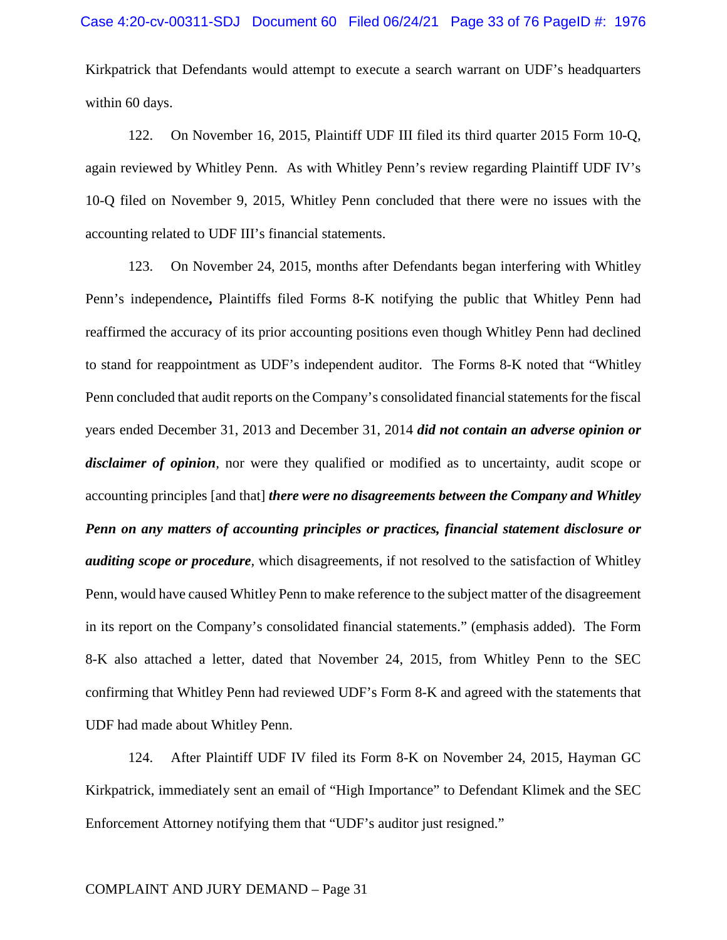Kirkpatrick that Defendants would attempt to execute a search warrant on UDF's headquarters within 60 days.

122. On November 16, 2015, Plaintiff UDF III filed its third quarter 2015 Form 10-Q, again reviewed by Whitley Penn. As with Whitley Penn's review regarding Plaintiff UDF IV's 10-Q filed on November 9, 2015, Whitley Penn concluded that there were no issues with the accounting related to UDF III's financial statements.

123. On November 24, 2015, months after Defendants began interfering with Whitley Penn's independence**,** Plaintiffs filed Forms 8-K notifying the public that Whitley Penn had reaffirmed the accuracy of its prior accounting positions even though Whitley Penn had declined to stand for reappointment as UDF's independent auditor. The Forms 8-K noted that "Whitley Penn concluded that audit reports on the Company's consolidated financial statements for the fiscal years ended December 31, 2013 and December 31, 2014 *did not contain an adverse opinion or disclaimer of opinion,* nor were they qualified or modified as to uncertainty, audit scope or accounting principles [and that] *there were no disagreements between the Company and Whitley Penn on any matters of accounting principles or practices, financial statement disclosure or auditing scope or procedure*, which disagreements, if not resolved to the satisfaction of Whitley Penn, would have caused Whitley Penn to make reference to the subject matter of the disagreement in its report on the Company's consolidated financial statements." (emphasis added). The Form 8-K also attached a letter, dated that November 24, 2015, from Whitley Penn to the SEC confirming that Whitley Penn had reviewed UDF's Form 8-K and agreed with the statements that UDF had made about Whitley Penn.

124. After Plaintiff UDF IV filed its Form 8-K on November 24, 2015, Hayman GC Kirkpatrick, immediately sent an email of "High Importance" to Defendant Klimek and the SEC Enforcement Attorney notifying them that "UDF's auditor just resigned."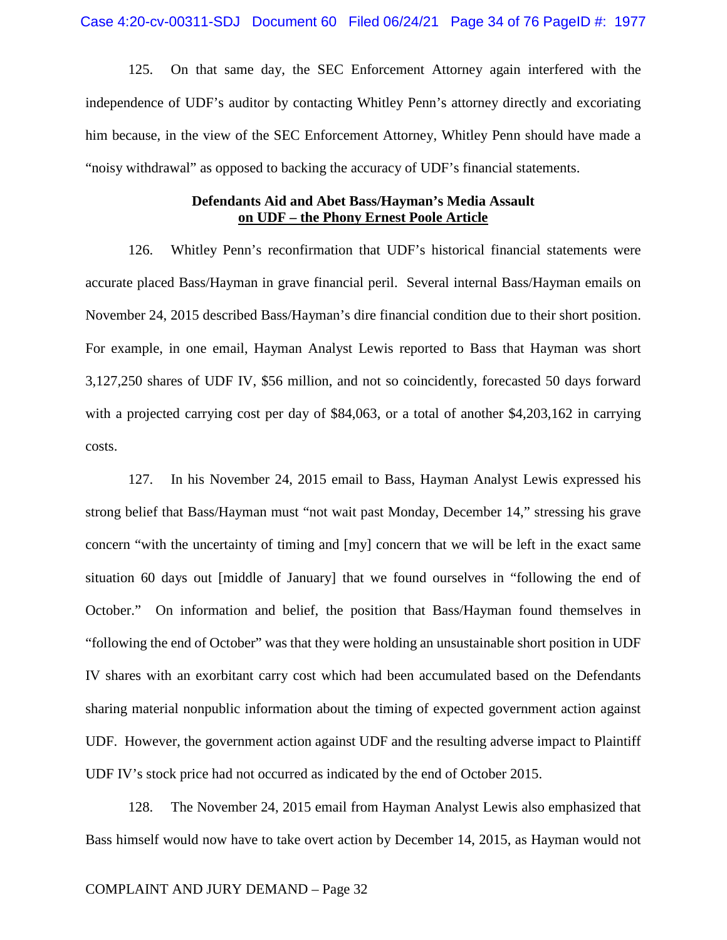125. On that same day, the SEC Enforcement Attorney again interfered with the independence of UDF's auditor by contacting Whitley Penn's attorney directly and excoriating him because, in the view of the SEC Enforcement Attorney, Whitley Penn should have made a "noisy withdrawal" as opposed to backing the accuracy of UDF's financial statements.

## **Defendants Aid and Abet Bass/Hayman's Media Assault on UDF – the Phony Ernest Poole Article**

126. Whitley Penn's reconfirmation that UDF's historical financial statements were accurate placed Bass/Hayman in grave financial peril. Several internal Bass/Hayman emails on November 24, 2015 described Bass/Hayman's dire financial condition due to their short position. For example, in one email, Hayman Analyst Lewis reported to Bass that Hayman was short 3,127,250 shares of UDF IV, \$56 million, and not so coincidently, forecasted 50 days forward with a projected carrying cost per day of \$84,063, or a total of another \$4,203,162 in carrying costs.

127. In his November 24, 2015 email to Bass, Hayman Analyst Lewis expressed his strong belief that Bass/Hayman must "not wait past Monday, December 14," stressing his grave concern "with the uncertainty of timing and [my] concern that we will be left in the exact same situation 60 days out [middle of January] that we found ourselves in "following the end of October." On information and belief, the position that Bass/Hayman found themselves in "following the end of October" was that they were holding an unsustainable short position in UDF IV shares with an exorbitant carry cost which had been accumulated based on the Defendants sharing material nonpublic information about the timing of expected government action against UDF. However, the government action against UDF and the resulting adverse impact to Plaintiff UDF IV's stock price had not occurred as indicated by the end of October 2015.

128. The November 24, 2015 email from Hayman Analyst Lewis also emphasized that Bass himself would now have to take overt action by December 14, 2015, as Hayman would not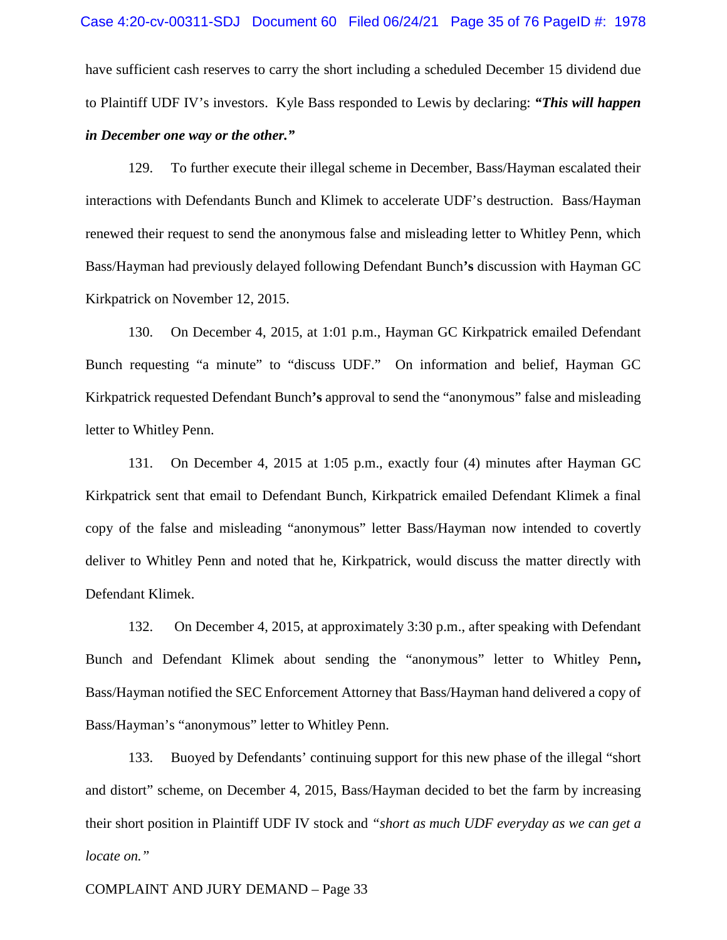have sufficient cash reserves to carry the short including a scheduled December 15 dividend due to Plaintiff UDF IV's investors. Kyle Bass responded to Lewis by declaring: *"This will happen in December one way or the other."*

129. To further execute their illegal scheme in December, Bass/Hayman escalated their interactions with Defendants Bunch and Klimek to accelerate UDF's destruction. Bass/Hayman renewed their request to send the anonymous false and misleading letter to Whitley Penn, which Bass/Hayman had previously delayed following Defendant Bunch**'s** discussion with Hayman GC Kirkpatrick on November 12, 2015.

130. On December 4, 2015, at 1:01 p.m., Hayman GC Kirkpatrick emailed Defendant Bunch requesting "a minute" to "discuss UDF." On information and belief, Hayman GC Kirkpatrick requested Defendant Bunch**'s** approval to send the "anonymous" false and misleading letter to Whitley Penn.

131. On December 4, 2015 at 1:05 p.m., exactly four (4) minutes after Hayman GC Kirkpatrick sent that email to Defendant Bunch, Kirkpatrick emailed Defendant Klimek a final copy of the false and misleading "anonymous" letter Bass/Hayman now intended to covertly deliver to Whitley Penn and noted that he, Kirkpatrick, would discuss the matter directly with Defendant Klimek.

132. On December 4, 2015, at approximately 3:30 p.m., after speaking with Defendant Bunch and Defendant Klimek about sending the "anonymous" letter to Whitley Penn**,**  Bass/Hayman notified the SEC Enforcement Attorney that Bass/Hayman hand delivered a copy of Bass/Hayman's "anonymous" letter to Whitley Penn.

133. Buoyed by Defendants' continuing support for this new phase of the illegal "short and distort" scheme, on December 4, 2015, Bass/Hayman decided to bet the farm by increasing their short position in Plaintiff UDF IV stock and *"short as much UDF everyday as we can get a locate on."*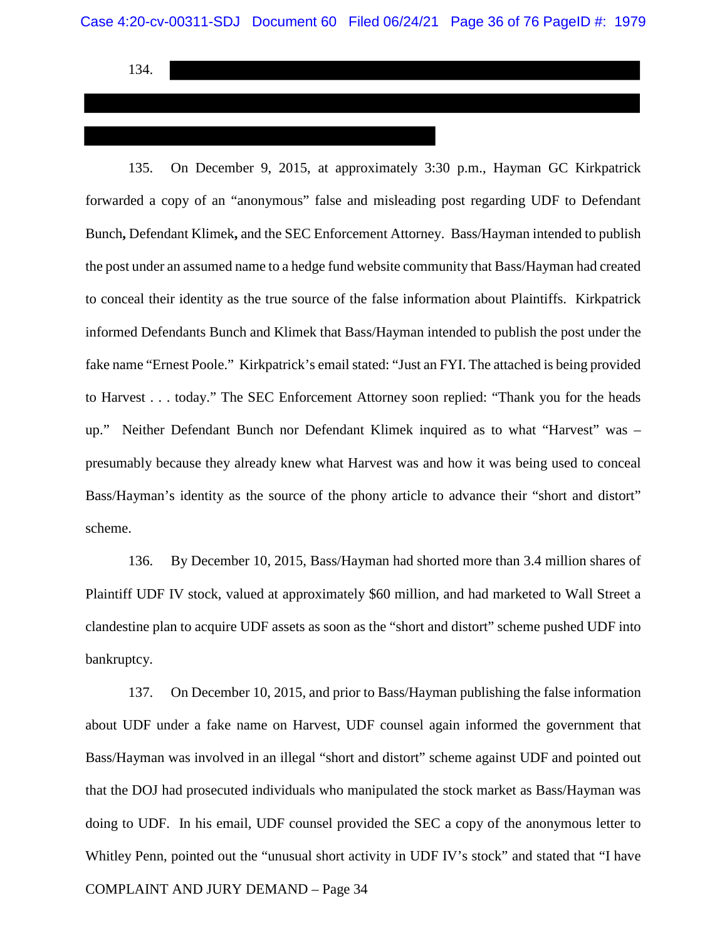134.

135. On December 9, 2015, at approximately 3:30 p.m., Hayman GC Kirkpatrick forwarded a copy of an "anonymous" false and misleading post regarding UDF to Defendant Bunch**,** Defendant Klimek**,** and the SEC Enforcement Attorney. Bass/Hayman intended to publish the post under an assumed name to a hedge fund website community that Bass/Hayman had created to conceal their identity as the true source of the false information about Plaintiffs. Kirkpatrick informed Defendants Bunch and Klimek that Bass/Hayman intended to publish the post under the fake name "Ernest Poole." Kirkpatrick's email stated: "Just an FYI. The attached is being provided to Harvest . . . today." The SEC Enforcement Attorney soon replied: "Thank you for the heads up." Neither Defendant Bunch nor Defendant Klimek inquired as to what "Harvest" was – presumably because they already knew what Harvest was and how it was being used to conceal Bass/Hayman's identity as the source of the phony article to advance their "short and distort" scheme.

136. By December 10, 2015, Bass/Hayman had shorted more than 3.4 million shares of Plaintiff UDF IV stock, valued at approximately \$60 million, and had marketed to Wall Street a clandestine plan to acquire UDF assets as soon as the "short and distort" scheme pushed UDF into bankruptcy.

COMPLAINT AND JURY DEMAND – Page 34 137. On December 10, 2015, and prior to Bass/Hayman publishing the false information about UDF under a fake name on Harvest, UDF counsel again informed the government that Bass/Hayman was involved in an illegal "short and distort" scheme against UDF and pointed out that the DOJ had prosecuted individuals who manipulated the stock market as Bass/Hayman was doing to UDF. In his email, UDF counsel provided the SEC a copy of the anonymous letter to Whitley Penn, pointed out the "unusual short activity in UDF IV's stock" and stated that "I have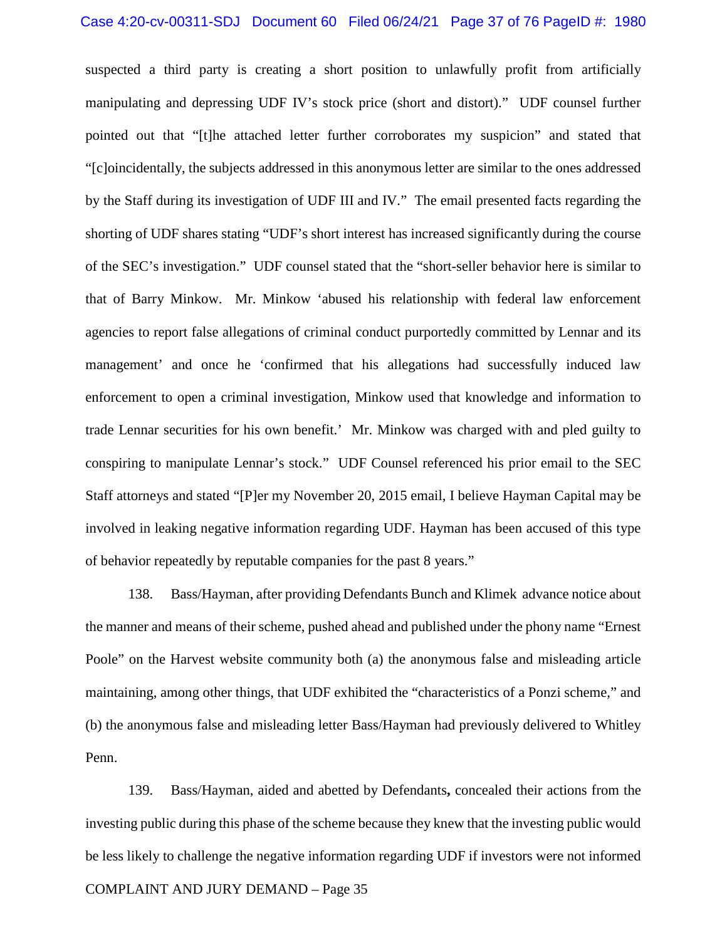suspected a third party is creating a short position to unlawfully profit from artificially manipulating and depressing UDF IV's stock price (short and distort)." UDF counsel further pointed out that "[t]he attached letter further corroborates my suspicion" and stated that "[c]oincidentally, the subjects addressed in this anonymous letter are similar to the ones addressed by the Staff during its investigation of UDF III and IV." The email presented facts regarding the shorting of UDF shares stating "UDF's short interest has increased significantly during the course of the SEC's investigation." UDF counsel stated that the "short-seller behavior here is similar to that of Barry Minkow. Mr. Minkow 'abused his relationship with federal law enforcement agencies to report false allegations of criminal conduct purportedly committed by Lennar and its management' and once he 'confirmed that his allegations had successfully induced law enforcement to open a criminal investigation, Minkow used that knowledge and information to trade Lennar securities for his own benefit.' Mr. Minkow was charged with and pled guilty to conspiring to manipulate Lennar's stock." UDF Counsel referenced his prior email to the SEC Staff attorneys and stated "[P]er my November 20, 2015 email, I believe Hayman Capital may be involved in leaking negative information regarding UDF. Hayman has been accused of this type of behavior repeatedly by reputable companies for the past 8 years."

138. Bass/Hayman, after providing Defendants Bunch and Klimekadvance notice about the manner and means of their scheme, pushed ahead and published under the phony name "Ernest Poole" on the Harvest website community both (a) the anonymous false and misleading article maintaining, among other things, that UDF exhibited the "characteristics of a Ponzi scheme," and (b) the anonymous false and misleading letter Bass/Hayman had previously delivered to Whitley Penn.

139. Bass/Hayman, aided and abetted by Defendants**,** concealed their actions from the investing public during this phase of the scheme because they knew that the investing public would be less likely to challenge the negative information regarding UDF if investors were not informed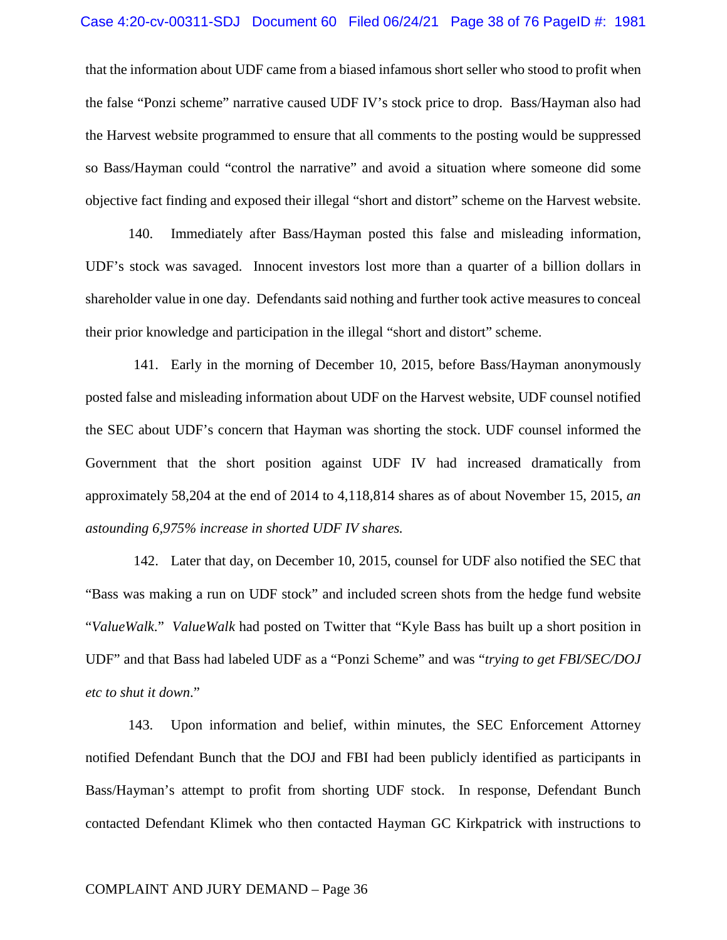that the information about UDF came from a biased infamous short seller who stood to profit when the false "Ponzi scheme" narrative caused UDF IV's stock price to drop. Bass/Hayman also had the Harvest website programmed to ensure that all comments to the posting would be suppressed so Bass/Hayman could "control the narrative" and avoid a situation where someone did some objective fact finding and exposed their illegal "short and distort" scheme on the Harvest website.

140. Immediately after Bass/Hayman posted this false and misleading information, UDF's stock was savaged. Innocent investors lost more than a quarter of a billion dollars in shareholder value in one day. Defendants said nothing and further took active measures to conceal their prior knowledge and participation in the illegal "short and distort" scheme.

141. Early in the morning of December 10, 2015, before Bass/Hayman anonymously posted false and misleading information about UDF on the Harvest website, UDF counsel notified the SEC about UDF's concern that Hayman was shorting the stock. UDF counsel informed the Government that the short position against UDF IV had increased dramatically from approximately 58,204 at the end of 2014 to 4,118,814 shares as of about November 15, 2015*, an astounding 6,975% increase in shorted UDF IV shares.* 

142. Later that day, on December 10, 2015, counsel for UDF also notified the SEC that "Bass was making a run on UDF stock" and included screen shots from the hedge fund website "*ValueWalk*." *ValueWalk* had posted on Twitter that "Kyle Bass has built up a short position in UDF" and that Bass had labeled UDF as a "Ponzi Scheme" and was "*trying to get FBI/SEC/DOJ etc to shut it down*."

143. Upon information and belief, within minutes, the SEC Enforcement Attorney notified Defendant Bunch that the DOJ and FBI had been publicly identified as participants in Bass/Hayman's attempt to profit from shorting UDF stock. In response, Defendant Bunch contacted Defendant Klimek who then contacted Hayman GC Kirkpatrick with instructions to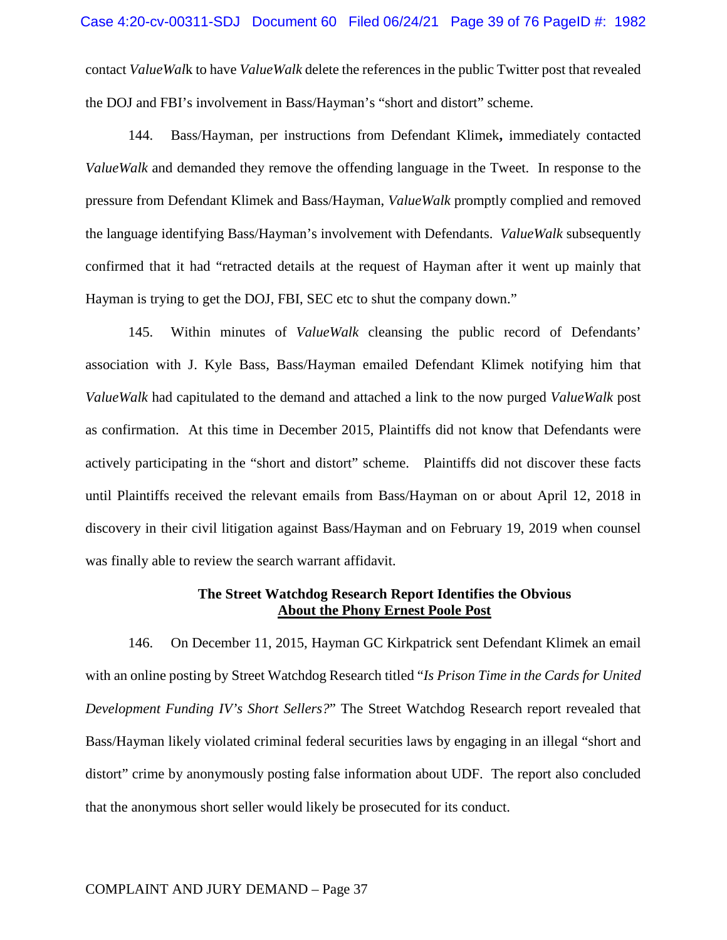contact *ValueWal*k to have *ValueWalk* delete the references in the public Twitter post that revealed the DOJ and FBI's involvement in Bass/Hayman's "short and distort" scheme.

144. Bass/Hayman, per instructions from Defendant Klimek**,** immediately contacted *ValueWalk* and demanded they remove the offending language in the Tweet. In response to the pressure from Defendant Klimek and Bass/Hayman, *ValueWalk* promptly complied and removed the language identifying Bass/Hayman's involvement with Defendants. *ValueWalk* subsequently confirmed that it had "retracted details at the request of Hayman after it went up mainly that Hayman is trying to get the DOJ, FBI, SEC etc to shut the company down."

145. Within minutes of *ValueWalk* cleansing the public record of Defendants' association with J. Kyle Bass, Bass/Hayman emailed Defendant Klimek notifying him that *ValueWalk* had capitulated to the demand and attached a link to the now purged *ValueWalk* post as confirmation. At this time in December 2015, Plaintiffs did not know that Defendants were actively participating in the "short and distort" scheme. Plaintiffs did not discover these facts until Plaintiffs received the relevant emails from Bass/Hayman on or about April 12, 2018 in discovery in their civil litigation against Bass/Hayman and on February 19, 2019 when counsel was finally able to review the search warrant affidavit.

# **The Street Watchdog Research Report Identifies the Obvious About the Phony Ernest Poole Post**

146. On December 11, 2015, Hayman GC Kirkpatrick sent Defendant Klimek an email with an online posting by Street Watchdog Research titled "*Is Prison Time in the Cards for United Development Funding IV's Short Sellers?*" The Street Watchdog Research report revealed that Bass/Hayman likely violated criminal federal securities laws by engaging in an illegal "short and distort" crime by anonymously posting false information about UDF. The report also concluded that the anonymous short seller would likely be prosecuted for its conduct.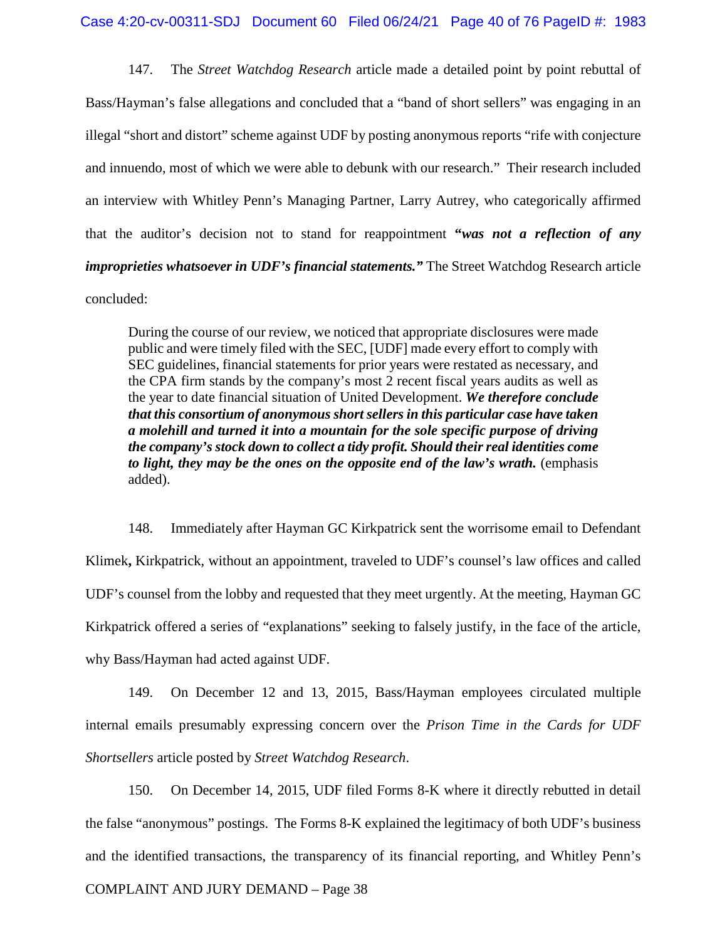147. The *Street Watchdog Research* article made a detailed point by point rebuttal of Bass/Hayman's false allegations and concluded that a "band of short sellers" was engaging in an illegal "short and distort" scheme against UDF by posting anonymous reports "rife with conjecture and innuendo, most of which we were able to debunk with our research." Their research included an interview with Whitley Penn's Managing Partner, Larry Autrey, who categorically affirmed that the auditor's decision not to stand for reappointment **"***was not a reflection of any improprieties whatsoever in UDF's financial statements."* The Street Watchdog Research article concluded:

During the course of our review, we noticed that appropriate disclosures were made public and were timely filed with the SEC, [UDF] made every effort to comply with SEC guidelines, financial statements for prior years were restated as necessary, and the CPA firm stands by the company's most 2 recent fiscal years audits as well as the year to date financial situation of United Development. *We therefore conclude that this consortium of anonymous short sellers in this particular case have taken a molehill and turned it into a mountain for the sole specific purpose of driving the company's stock down to collect a tidy profit. Should their real identities come to light, they may be the ones on the opposite end of the law's wrath.* (emphasis added).

148. Immediately after Hayman GC Kirkpatrick sent the worrisome email to Defendant Klimek**,** Kirkpatrick, without an appointment, traveled to UDF's counsel's law offices and called UDF's counsel from the lobby and requested that they meet urgently. At the meeting, Hayman GC Kirkpatrick offered a series of "explanations" seeking to falsely justify, in the face of the article, why Bass/Hayman had acted against UDF.

149. On December 12 and 13, 2015, Bass/Hayman employees circulated multiple internal emails presumably expressing concern over the *Prison Time in the Cards for UDF Shortsellers* article posted by *Street Watchdog Research*.

150. On December 14, 2015, UDF filed Forms 8-K where it directly rebutted in detail the false "anonymous" postings. The Forms 8-K explained the legitimacy of both UDF's business and the identified transactions, the transparency of its financial reporting, and Whitley Penn's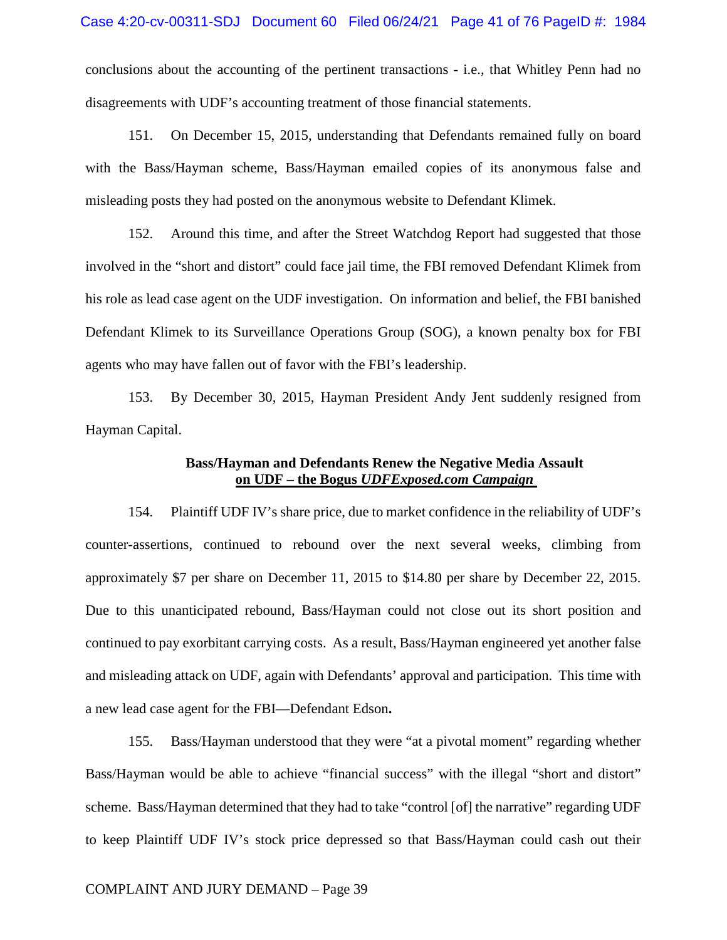conclusions about the accounting of the pertinent transactions - i.e., that Whitley Penn had no disagreements with UDF's accounting treatment of those financial statements.

151. On December 15, 2015, understanding that Defendants remained fully on board with the Bass/Hayman scheme, Bass/Hayman emailed copies of its anonymous false and misleading posts they had posted on the anonymous website to Defendant Klimek.

152. Around this time, and after the Street Watchdog Report had suggested that those involved in the "short and distort" could face jail time, the FBI removed Defendant Klimek from his role as lead case agent on the UDF investigation. On information and belief, the FBI banished Defendant Klimek to its Surveillance Operations Group (SOG), a known penalty box for FBI agents who may have fallen out of favor with the FBI's leadership.

153. By December 30, 2015, Hayman President Andy Jent suddenly resigned from Hayman Capital.

## **Bass/Hayman and Defendants Renew the Negative Media Assault on UDF – the Bogus** *UDFExposed.com Campaign*

154. Plaintiff UDF IV's share price, due to market confidence in the reliability of UDF's counter-assertions, continued to rebound over the next several weeks, climbing from approximately \$7 per share on December 11, 2015 to \$14.80 per share by December 22, 2015. Due to this unanticipated rebound, Bass/Hayman could not close out its short position and continued to pay exorbitant carrying costs. As a result, Bass/Hayman engineered yet another false and misleading attack on UDF, again with Defendants' approval and participation. This time with a new lead case agent for the FBI—Defendant Edson**.**

155. Bass/Hayman understood that they were "at a pivotal moment" regarding whether Bass/Hayman would be able to achieve "financial success" with the illegal "short and distort" scheme. Bass/Hayman determined that they had to take "control [of] the narrative" regarding UDF to keep Plaintiff UDF IV's stock price depressed so that Bass/Hayman could cash out their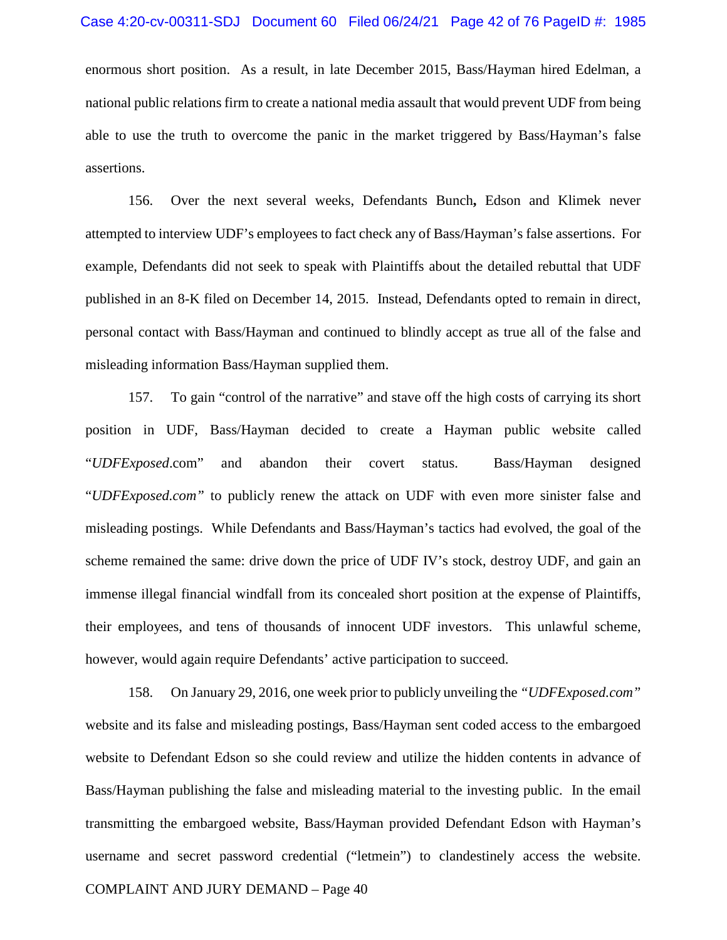enormous short position. As a result, in late December 2015, Bass/Hayman hired Edelman, a national public relations firm to create a national media assault that would prevent UDF from being able to use the truth to overcome the panic in the market triggered by Bass/Hayman's false assertions.

156. Over the next several weeks, Defendants Bunch**,** Edson and Klimek never attempted to interview UDF's employees to fact check any of Bass/Hayman's false assertions. For example, Defendants did not seek to speak with Plaintiffs about the detailed rebuttal that UDF published in an 8-K filed on December 14, 2015. Instead, Defendants opted to remain in direct, personal contact with Bass/Hayman and continued to blindly accept as true all of the false and misleading information Bass/Hayman supplied them.

157. To gain "control of the narrative" and stave off the high costs of carrying its short position in UDF, Bass/Hayman decided to create a Hayman public website called "*UDFExposed*.com" and abandon their covert status. Bass/Hayman designed "*UDFExposed.com"* to publicly renew the attack on UDF with even more sinister false and misleading postings. While Defendants and Bass/Hayman's tactics had evolved, the goal of the scheme remained the same: drive down the price of UDF IV's stock, destroy UDF, and gain an immense illegal financial windfall from its concealed short position at the expense of Plaintiffs, their employees, and tens of thousands of innocent UDF investors. This unlawful scheme, however, would again require Defendants' active participation to succeed.

COMPLAINT AND JURY DEMAND – Page 40 158. On January 29, 2016, one week prior to publicly unveiling the *"UDFExposed.com"* website and its false and misleading postings, Bass/Hayman sent coded access to the embargoed website to Defendant Edson so she could review and utilize the hidden contents in advance of Bass/Hayman publishing the false and misleading material to the investing public. In the email transmitting the embargoed website, Bass/Hayman provided Defendant Edson with Hayman's username and secret password credential ("letmein") to clandestinely access the website.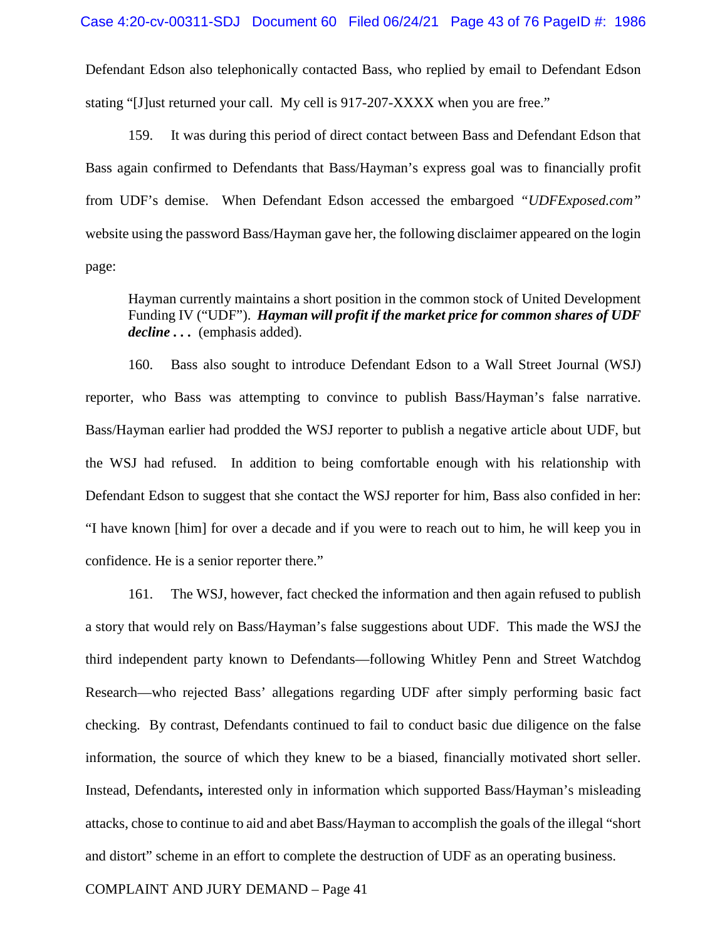Defendant Edson also telephonically contacted Bass, who replied by email to Defendant Edson stating "[J]ust returned your call. My cell is 917-207-XXXX when you are free."

159. It was during this period of direct contact between Bass and Defendant Edson that Bass again confirmed to Defendants that Bass/Hayman's express goal was to financially profit from UDF's demise. When Defendant Edson accessed the embargoed *"UDFExposed.com"* website using the password Bass/Hayman gave her, the following disclaimer appeared on the login page:

Hayman currently maintains a short position in the common stock of United Development Funding IV ("UDF"). *Hayman will profit if the market price for common shares of UDF decline . . .* (emphasis added).

160. Bass also sought to introduce Defendant Edson to a Wall Street Journal (WSJ) reporter, who Bass was attempting to convince to publish Bass/Hayman's false narrative. Bass/Hayman earlier had prodded the WSJ reporter to publish a negative article about UDF, but the WSJ had refused. In addition to being comfortable enough with his relationship with Defendant Edson to suggest that she contact the WSJ reporter for him, Bass also confided in her: "I have known [him] for over a decade and if you were to reach out to him, he will keep you in confidence. He is a senior reporter there."

161. The WSJ, however, fact checked the information and then again refused to publish a story that would rely on Bass/Hayman's false suggestions about UDF. This made the WSJ the third independent party known to Defendants—following Whitley Penn and Street Watchdog Research—who rejected Bass' allegations regarding UDF after simply performing basic fact checking. By contrast, Defendants continued to fail to conduct basic due diligence on the false information, the source of which they knew to be a biased, financially motivated short seller. Instead, Defendants**,** interested only in information which supported Bass/Hayman's misleading attacks, chose to continue to aid and abet Bass/Hayman to accomplish the goals of the illegal "short and distort" scheme in an effort to complete the destruction of UDF as an operating business.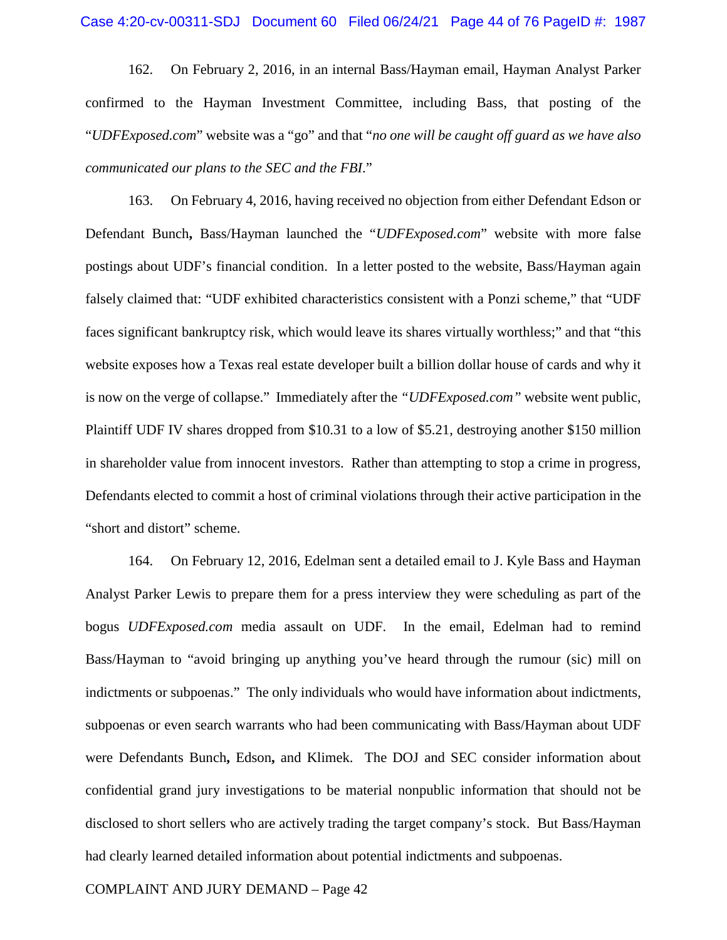162. On February 2, 2016, in an internal Bass/Hayman email, Hayman Analyst Parker confirmed to the Hayman Investment Committee, including Bass, that posting of the "*UDFExposed.com*" website was a "go" and that "*no one will be caught off guard as we have also communicated our plans to the SEC and the FBI*."

163. On February 4, 2016, having received no objection from either Defendant Edson or Defendant Bunch**,** Bass/Hayman launched the "*UDFExposed.com*" website with more false postings about UDF's financial condition. In a letter posted to the website, Bass/Hayman again falsely claimed that: "UDF exhibited characteristics consistent with a Ponzi scheme," that "UDF faces significant bankruptcy risk, which would leave its shares virtually worthless;" and that "this website exposes how a Texas real estate developer built a billion dollar house of cards and why it is now on the verge of collapse." Immediately after the *"UDFExposed.com"* website went public, Plaintiff UDF IV shares dropped from \$10.31 to a low of \$5.21, destroying another \$150 million in shareholder value from innocent investors. Rather than attempting to stop a crime in progress, Defendants elected to commit a host of criminal violations through their active participation in the "short and distort" scheme.

164. On February 12, 2016, Edelman sent a detailed email to J. Kyle Bass and Hayman Analyst Parker Lewis to prepare them for a press interview they were scheduling as part of the bogus *UDFExposed.com* media assault on UDF. In the email, Edelman had to remind Bass/Hayman to "avoid bringing up anything you've heard through the rumour (sic) mill on indictments or subpoenas." The only individuals who would have information about indictments, subpoenas or even search warrants who had been communicating with Bass/Hayman about UDF were Defendants Bunch**,** Edson**,** and Klimek. The DOJ and SEC consider information about confidential grand jury investigations to be material nonpublic information that should not be disclosed to short sellers who are actively trading the target company's stock. But Bass/Hayman had clearly learned detailed information about potential indictments and subpoenas.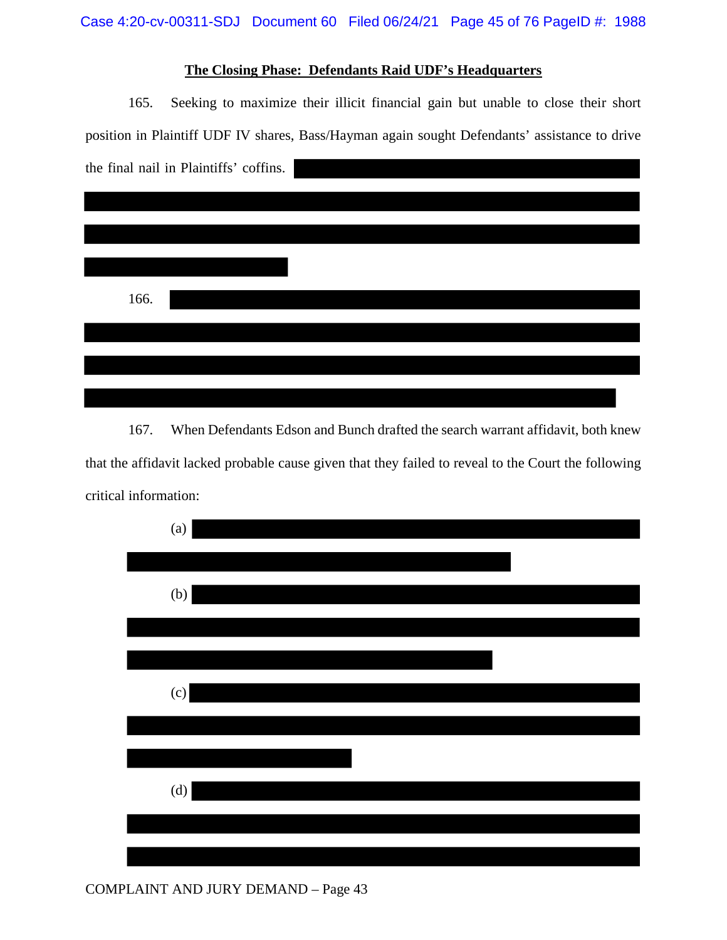# **The Closing Phase: Defendants Raid UDF's Headquarters**

165. Seeking to maximize their illicit financial gain but unable to close their short position in Plaintiff UDF IV shares, Bass/Hayman again sought Defendants' assistance to drive the final nail in Plaintiffs' coffins.

| 166. |  |
|------|--|
|      |  |
|      |  |
|      |  |
|      |  |
|      |  |
|      |  |

167. When Defendants Edson and Bunch drafted the search warrant affidavit, both knew that the affidavit lacked probable cause given that they failed to reveal to the Court the following critical information:



COMPLAINT AND JURY DEMAND – Page 43

<u> 1980 - John Stone, Amerikaansk politiker (</u>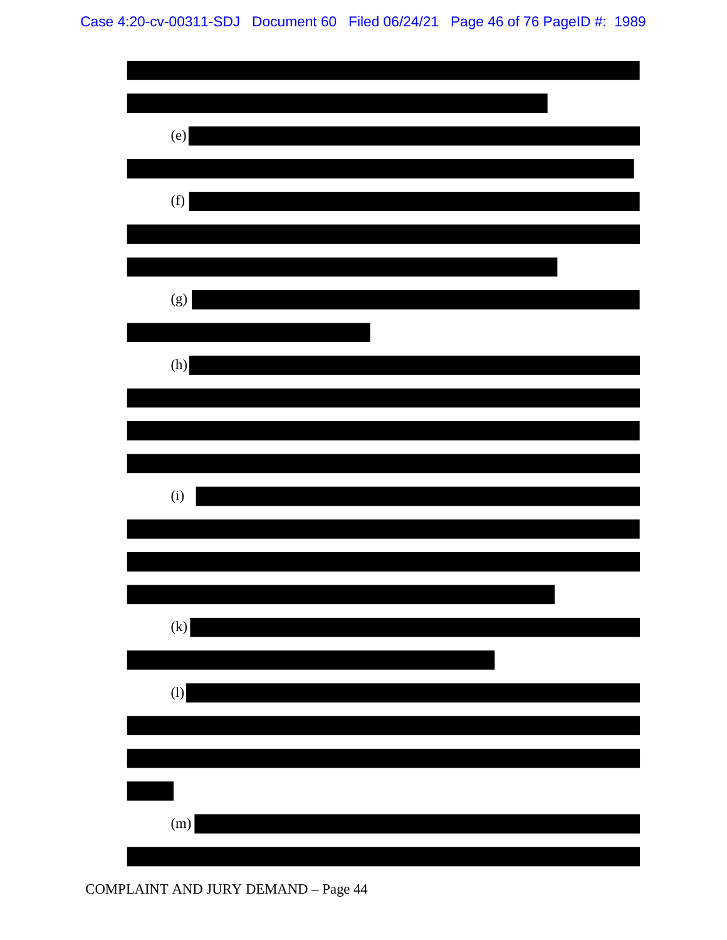| (e)                        |  |
|----------------------------|--|
|                            |  |
| (f)                        |  |
|                            |  |
| (g)                        |  |
| (h)                        |  |
|                            |  |
|                            |  |
| (i)                        |  |
|                            |  |
|                            |  |
| $\left( \mathbf{k}\right)$ |  |
| (1)                        |  |
|                            |  |
|                            |  |
| (m)                        |  |
|                            |  |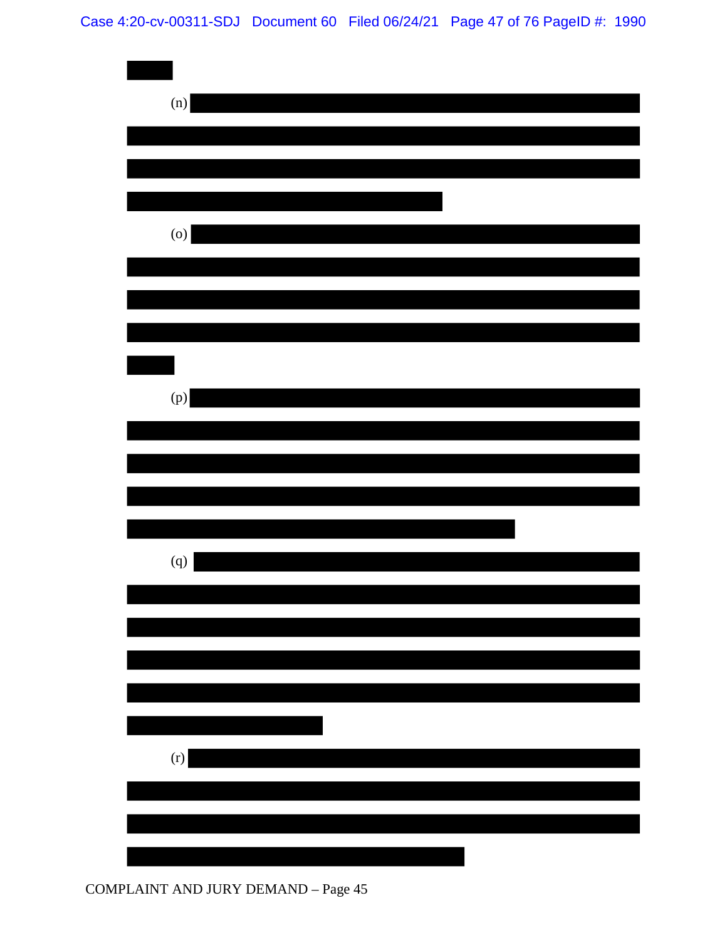# Case 4:20-cv-00311-SDJ Document 60 Filed 06/24/21 Page 47 of 76 PageID #: 1990

| (n)               |  |
|-------------------|--|
|                   |  |
|                   |  |
|                   |  |
|                   |  |
| (0)               |  |
|                   |  |
|                   |  |
|                   |  |
|                   |  |
|                   |  |
| $\left( p\right)$ |  |
|                   |  |
|                   |  |
|                   |  |
|                   |  |
|                   |  |
| (q)               |  |
|                   |  |
|                   |  |
|                   |  |
|                   |  |
|                   |  |
|                   |  |
| (r)               |  |
|                   |  |
|                   |  |
|                   |  |
|                   |  |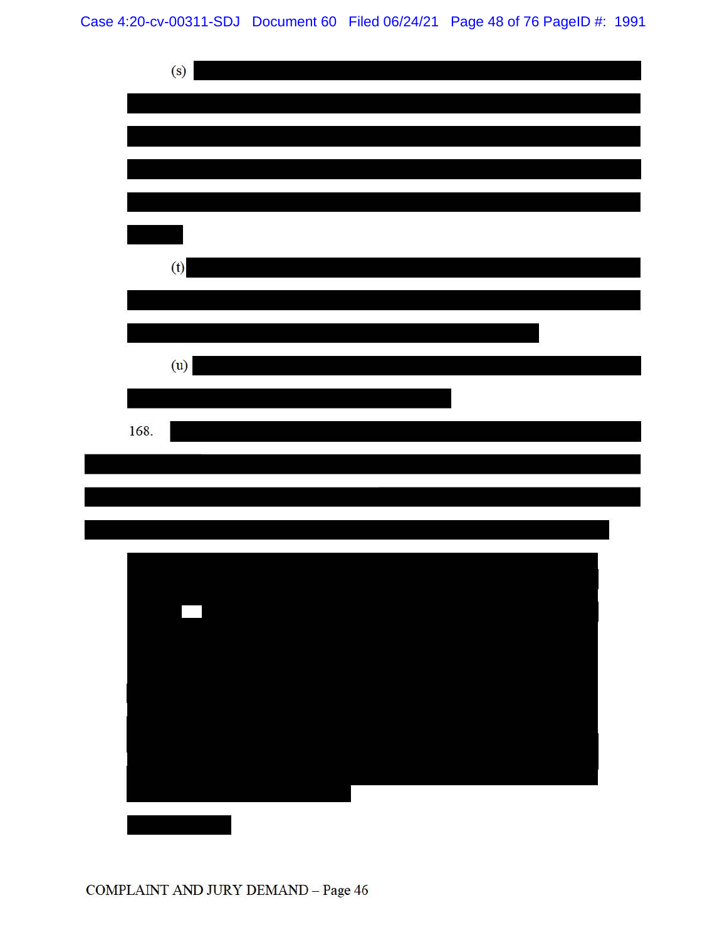Case 4:20-cv-00311-SDJ Document 60 Filed 06/24/21 Page 48 of 76 PageID #: 1991



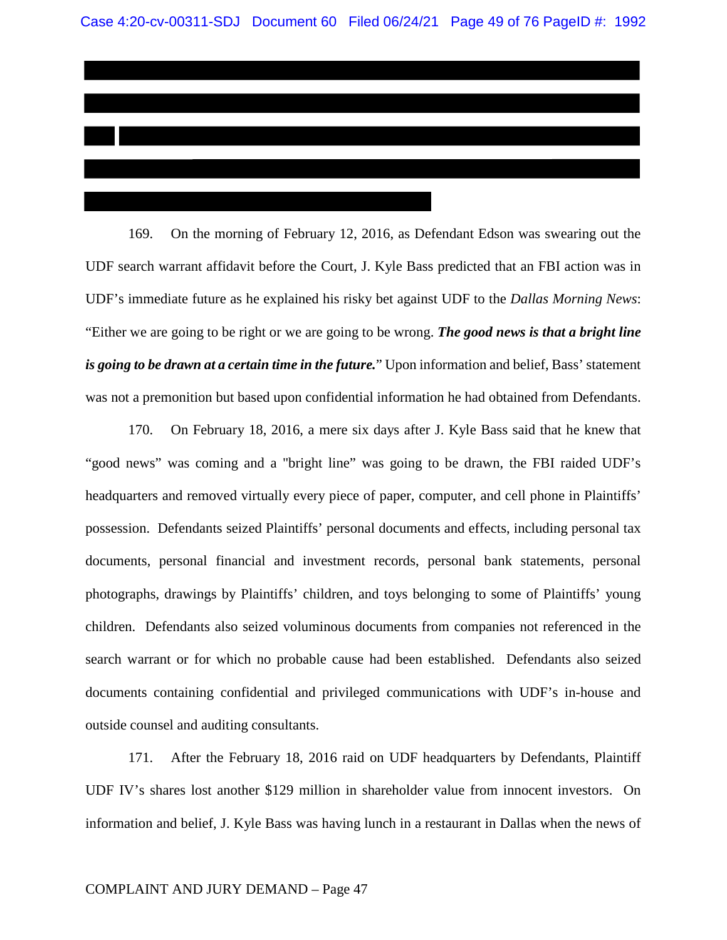169. On the morning of February 12, 2016, as Defendant Edson was swearing out the UDF search warrant affidavit before the Court, J. Kyle Bass predicted that an FBI action was in UDF's immediate future as he explained his risky bet against UDF to the *Dallas Morning News*: "Either we are going to be right or we are going to be wrong. *The good news is that a bright line is going to be drawn at a certain time in the future.*" Upon information and belief, Bass' statement was not a premonition but based upon confidential information he had obtained from Defendants.

170. On February 18, 2016, a mere six days after J. Kyle Bass said that he knew that "good news" was coming and a "bright line" was going to be drawn, the FBI raided UDF's headquarters and removed virtually every piece of paper, computer, and cell phone in Plaintiffs' possession. Defendants seized Plaintiffs' personal documents and effects, including personal tax documents, personal financial and investment records, personal bank statements, personal photographs, drawings by Plaintiffs' children, and toys belonging to some of Plaintiffs' young children. Defendants also seized voluminous documents from companies not referenced in the search warrant or for which no probable cause had been established. Defendants also seized documents containing confidential and privileged communications with UDF's in-house and outside counsel and auditing consultants.

171. After the February 18, 2016 raid on UDF headquarters by Defendants, Plaintiff UDF IV's shares lost another \$129 million in shareholder value from innocent investors. On information and belief, J. Kyle Bass was having lunch in a restaurant in Dallas when the news of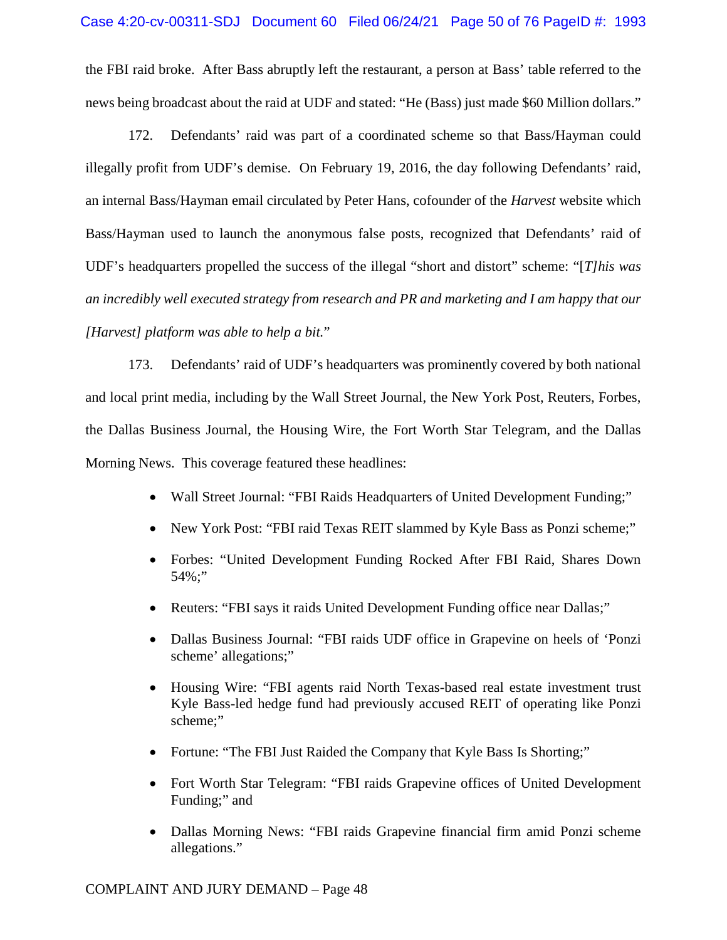the FBI raid broke. After Bass abruptly left the restaurant, a person at Bass' table referred to the news being broadcast about the raid at UDF and stated: "He (Bass) just made \$60 Million dollars."

172. Defendants' raid was part of a coordinated scheme so that Bass/Hayman could illegally profit from UDF's demise. On February 19, 2016, the day following Defendants' raid, an internal Bass/Hayman email circulated by Peter Hans, cofounder of the *Harvest* website which Bass/Hayman used to launch the anonymous false posts, recognized that Defendants' raid of UDF's headquarters propelled the success of the illegal "short and distort" scheme: "[*T]his was an incredibly well executed strategy from research and PR and marketing and I am happy that our [Harvest] platform was able to help a bit.*"

173. Defendants' raid of UDF's headquarters was prominently covered by both national and local print media, including by the Wall Street Journal, the New York Post, Reuters, Forbes, the Dallas Business Journal, the Housing Wire, the Fort Worth Star Telegram, and the Dallas Morning News. This coverage featured these headlines:

- Wall Street Journal: "FBI Raids Headquarters of United Development Funding;"
- New York Post: "FBI raid Texas REIT slammed by Kyle Bass as Ponzi scheme;"
- Forbes: "United Development Funding Rocked After FBI Raid, Shares Down 54%;"
- Reuters: "FBI says it raids United Development Funding office near Dallas;"
- Dallas Business Journal: "FBI raids UDF office in Grapevine on heels of 'Ponzi scheme' allegations;"
- Housing Wire: "FBI agents raid North Texas-based real estate investment trust Kyle Bass-led hedge fund had previously accused REIT of operating like Ponzi scheme;"
- Fortune: "The FBI Just Raided the Company that Kyle Bass Is Shorting;"
- Fort Worth Star Telegram: "FBI raids Grapevine offices of United Development Funding;" and
- Dallas Morning News: "FBI raids Grapevine financial firm amid Ponzi scheme allegations."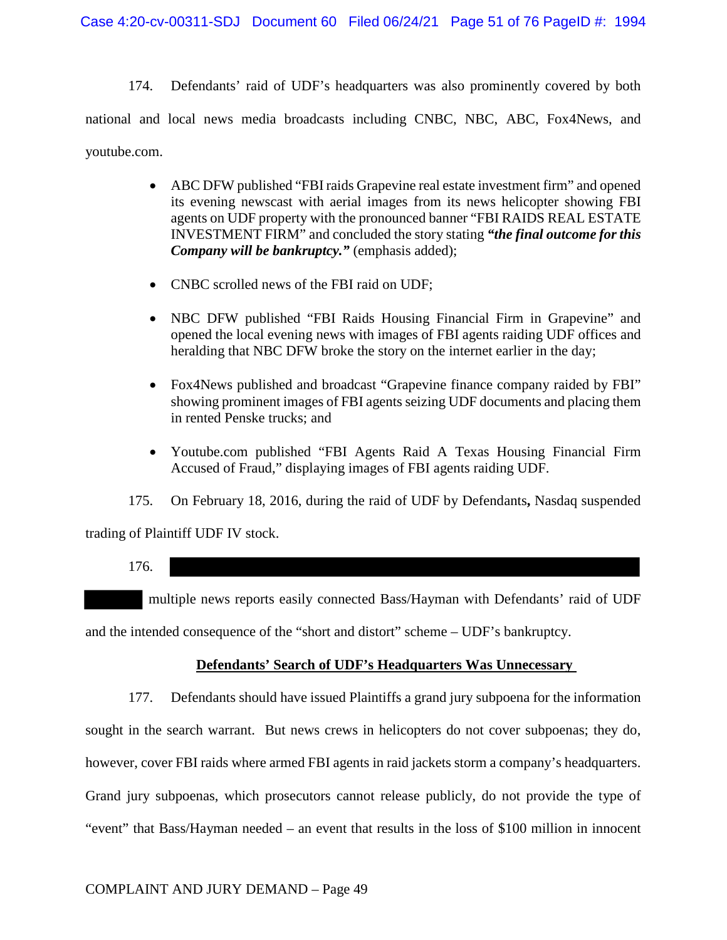174. Defendants' raid of UDF's headquarters was also prominently covered by both national and local news media broadcasts including CNBC, NBC, ABC, Fox4News, and youtube.com.

- ABC DFW published "FBI raids Grapevine real estate investment firm" and opened its evening newscast with aerial images from its news helicopter showing FBI agents on UDF property with the pronounced banner "FBI RAIDS REAL ESTATE INVESTMENT FIRM" and concluded the story stating *"the final outcome for this Company will be bankruptcy."* (emphasis added);
- CNBC scrolled news of the FBI raid on UDF;
- NBC DFW published "FBI Raids Housing Financial Firm in Grapevine" and opened the local evening news with images of FBI agents raiding UDF offices and heralding that NBC DFW broke the story on the internet earlier in the day;
- Fox4News published and broadcast "Grapevine finance company raided by FBI" showing prominent images of FBI agents seizing UDF documents and placing them in rented Penske trucks; and
- Youtube.com published "FBI Agents Raid A Texas Housing Financial Firm Accused of Fraud," displaying images of FBI agents raiding UDF.

175. On February 18, 2016, during the raid of UDF by Defendants**,** Nasdaq suspended

trading of Plaintiff UDF IV stock.

176.

multiple news reports easily connected Bass/Hayman with Defendants' raid of UDF

and the intended consequence of the "short and distort" scheme – UDF's bankruptcy.

## **Defendants' Search of UDF's Headquarters Was Unnecessary**

177. Defendants should have issued Plaintiffs a grand jury subpoena for the information sought in the search warrant. But news crews in helicopters do not cover subpoenas; they do, however, cover FBI raids where armed FBI agents in raid jackets storm a company's headquarters. Grand jury subpoenas, which prosecutors cannot release publicly, do not provide the type of "event" that Bass/Hayman needed – an event that results in the loss of \$100 million in innocent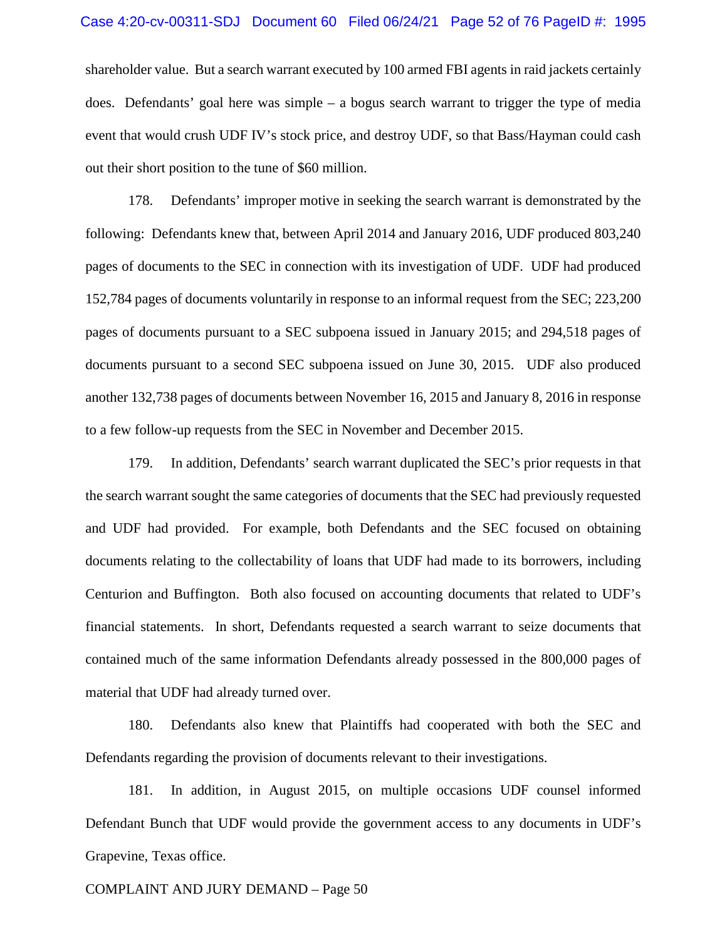#### Case 4:20-cv-00311-SDJ Document 60 Filed 06/24/21 Page 52 of 76 PageID #: 1995

shareholder value. But a search warrant executed by 100 armed FBI agents in raid jackets certainly does. Defendants' goal here was simple – a bogus search warrant to trigger the type of media event that would crush UDF IV's stock price, and destroy UDF, so that Bass/Hayman could cash out their short position to the tune of \$60 million.

178. Defendants' improper motive in seeking the search warrant is demonstrated by the following: Defendants knew that, between April 2014 and January 2016, UDF produced 803,240 pages of documents to the SEC in connection with its investigation of UDF. UDF had produced 152,784 pages of documents voluntarily in response to an informal request from the SEC; 223,200 pages of documents pursuant to a SEC subpoena issued in January 2015; and 294,518 pages of documents pursuant to a second SEC subpoena issued on June 30, 2015. UDF also produced another 132,738 pages of documents between November 16, 2015 and January 8, 2016 in response to a few follow-up requests from the SEC in November and December 2015.

179. In addition, Defendants' search warrant duplicated the SEC's prior requests in that the search warrant sought the same categories of documents that the SEC had previously requested and UDF had provided. For example, both Defendants and the SEC focused on obtaining documents relating to the collectability of loans that UDF had made to its borrowers, including Centurion and Buffington. Both also focused on accounting documents that related to UDF's financial statements. In short, Defendants requested a search warrant to seize documents that contained much of the same information Defendants already possessed in the 800,000 pages of material that UDF had already turned over.

180. Defendants also knew that Plaintiffs had cooperated with both the SEC and Defendants regarding the provision of documents relevant to their investigations.

181. In addition, in August 2015, on multiple occasions UDF counsel informed Defendant Bunch that UDF would provide the government access to any documents in UDF's Grapevine, Texas office.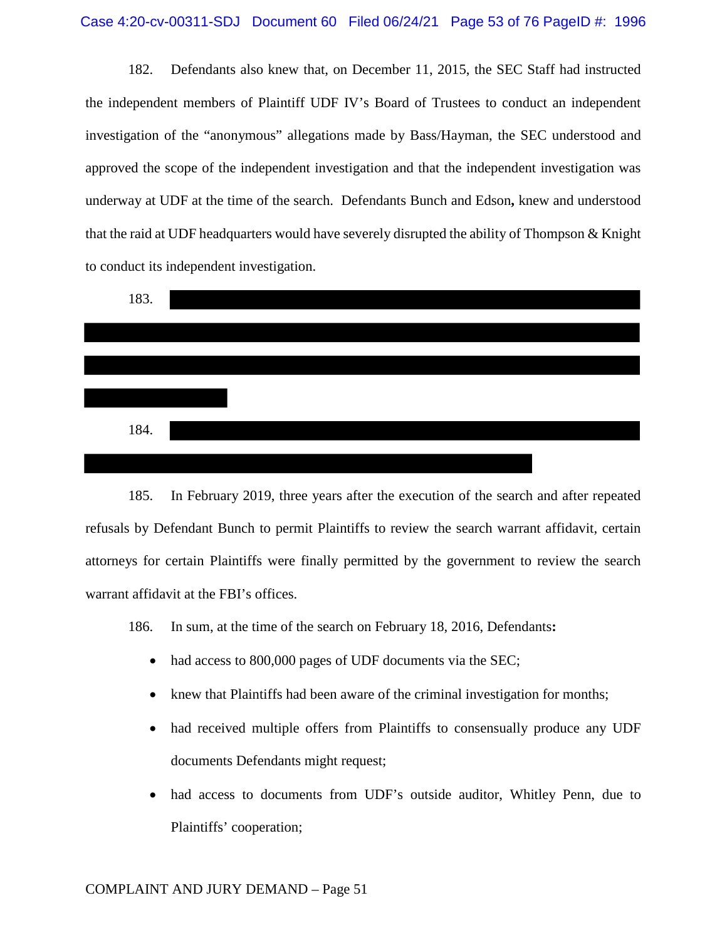182. Defendants also knew that, on December 11, 2015, the SEC Staff had instructed the independent members of Plaintiff UDF IV's Board of Trustees to conduct an independent investigation of the "anonymous" allegations made by Bass/Hayman, the SEC understood and approved the scope of the independent investigation and that the independent investigation was underway at UDF at the time of the search. Defendants Bunch and Edson**,** knew and understood that the raid at UDF headquarters would have severely disrupted the ability of Thompson & Knight to conduct its independent investigation.



185. In February 2019, three years after the execution of the search and after repeated refusals by Defendant Bunch to permit Plaintiffs to review the search warrant affidavit, certain attorneys for certain Plaintiffs were finally permitted by the government to review the search warrant affidavit at the FBI's offices.

186. In sum, at the time of the search on February 18, 2016, Defendants**:**

- had access to 800,000 pages of UDF documents via the SEC;
- knew that Plaintiffs had been aware of the criminal investigation for months;
- had received multiple offers from Plaintiffs to consensually produce any UDF documents Defendants might request;
- had access to documents from UDF's outside auditor, Whitley Penn, due to Plaintiffs' cooperation;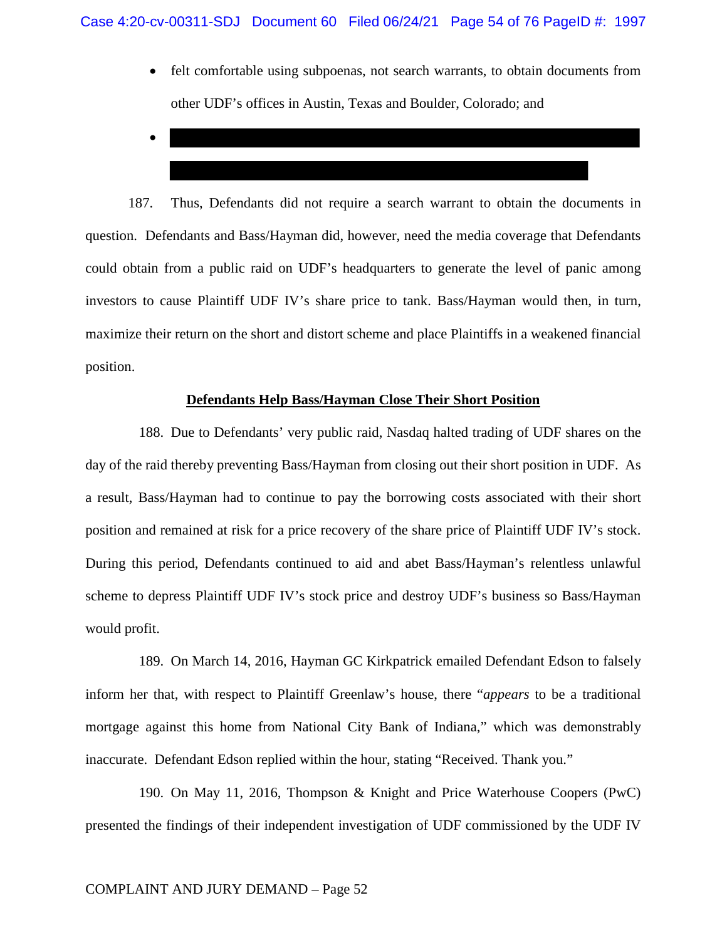- felt comfortable using subpoenas, not search warrants, to obtain documents from other UDF's offices in Austin, Texas and Boulder, Colorado; and
- •

187. Thus, Defendants did not require a search warrant to obtain the documents in question. Defendants and Bass/Hayman did, however, need the media coverage that Defendants could obtain from a public raid on UDF's headquarters to generate the level of panic among investors to cause Plaintiff UDF IV's share price to tank. Bass/Hayman would then, in turn, maximize their return on the short and distort scheme and place Plaintiffs in a weakened financial position.

## **Defendants Help Bass/Hayman Close Their Short Position**

188. Due to Defendants' very public raid, Nasdaq halted trading of UDF shares on the day of the raid thereby preventing Bass/Hayman from closing out their short position in UDF. As a result, Bass/Hayman had to continue to pay the borrowing costs associated with their short position and remained at risk for a price recovery of the share price of Plaintiff UDF IV's stock. During this period, Defendants continued to aid and abet Bass/Hayman's relentless unlawful scheme to depress Plaintiff UDF IV's stock price and destroy UDF's business so Bass/Hayman would profit.

189. On March 14, 2016, Hayman GC Kirkpatrick emailed Defendant Edson to falsely inform her that, with respect to Plaintiff Greenlaw's house, there "*appears* to be a traditional mortgage against this home from National City Bank of Indiana," which was demonstrably inaccurate. Defendant Edson replied within the hour, stating "Received. Thank you."

190. On May 11, 2016, Thompson & Knight and Price Waterhouse Coopers (PwC) presented the findings of their independent investigation of UDF commissioned by the UDF IV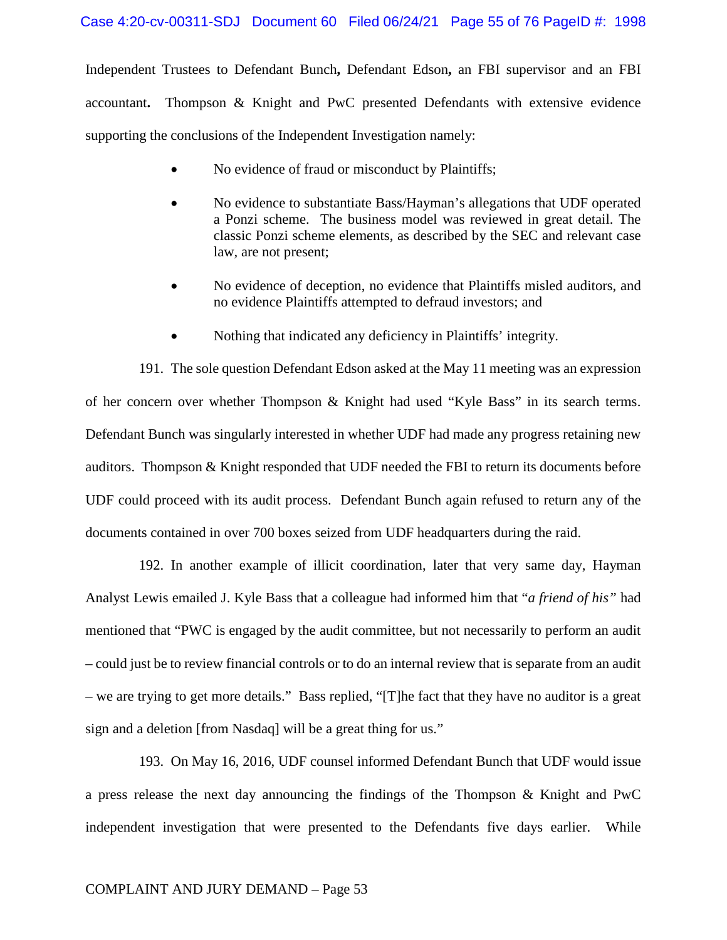#### Case 4:20-cv-00311-SDJ Document 60 Filed 06/24/21 Page 55 of 76 PageID #: 1998

Independent Trustees to Defendant Bunch**,** Defendant Edson**,** an FBI supervisor and an FBI accountant**.** Thompson & Knight and PwC presented Defendants with extensive evidence supporting the conclusions of the Independent Investigation namely:

- No evidence of fraud or misconduct by Plaintiffs;
- No evidence to substantiate Bass/Hayman's allegations that UDF operated a Ponzi scheme. The business model was reviewed in great detail. The classic Ponzi scheme elements, as described by the SEC and relevant case law, are not present;
- No evidence of deception, no evidence that Plaintiffs misled auditors, and no evidence Plaintiffs attempted to defraud investors; and
- Nothing that indicated any deficiency in Plaintiffs' integrity.

191. The sole question Defendant Edson asked at the May 11 meeting was an expression of her concern over whether Thompson & Knight had used "Kyle Bass" in its search terms. Defendant Bunch was singularly interested in whether UDF had made any progress retaining new auditors. Thompson & Knight responded that UDF needed the FBI to return its documents before UDF could proceed with its audit process. Defendant Bunch again refused to return any of the documents contained in over 700 boxes seized from UDF headquarters during the raid.

192. In another example of illicit coordination, later that very same day, Hayman Analyst Lewis emailed J. Kyle Bass that a colleague had informed him that "*a friend of his"* had mentioned that "PWC is engaged by the audit committee, but not necessarily to perform an audit – could just be to review financial controls or to do an internal review that is separate from an audit – we are trying to get more details." Bass replied, "[T]he fact that they have no auditor is a great sign and a deletion [from Nasdaq] will be a great thing for us."

193. On May 16, 2016, UDF counsel informed Defendant Bunch that UDF would issue a press release the next day announcing the findings of the Thompson & Knight and PwC independent investigation that were presented to the Defendants five days earlier. While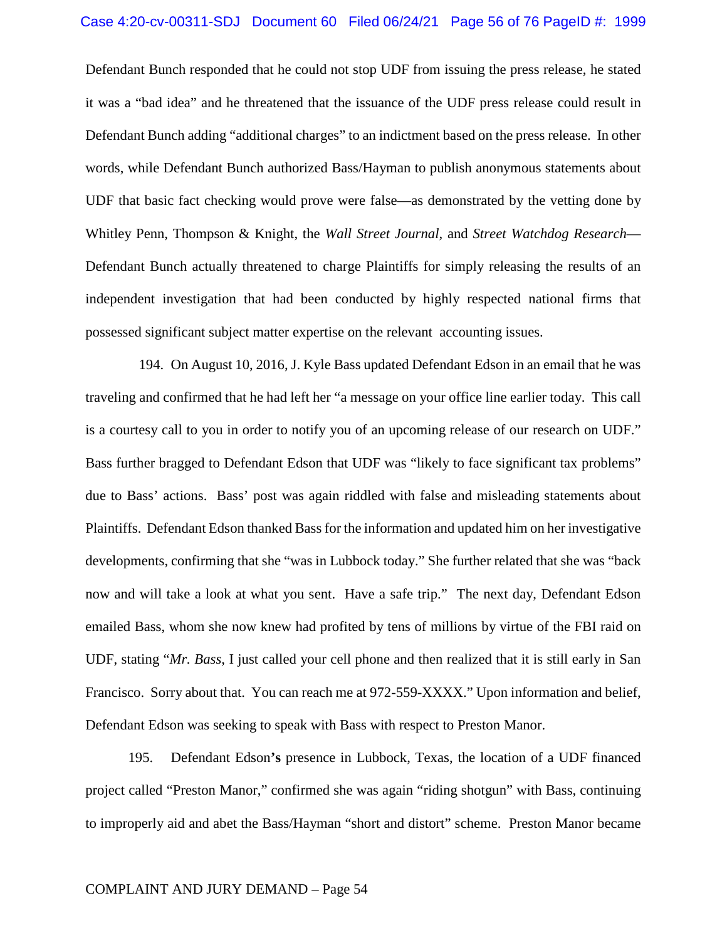#### Case 4:20-cv-00311-SDJ Document 60 Filed 06/24/21 Page 56 of 76 PageID #: 1999

Defendant Bunch responded that he could not stop UDF from issuing the press release, he stated it was a "bad idea" and he threatened that the issuance of the UDF press release could result in Defendant Bunch adding "additional charges" to an indictment based on the press release. In other words, while Defendant Bunch authorized Bass/Hayman to publish anonymous statements about UDF that basic fact checking would prove were false—as demonstrated by the vetting done by Whitley Penn, Thompson & Knight, the *Wall Street Journal*, and *Street Watchdog Research*— Defendant Bunch actually threatened to charge Plaintiffs for simply releasing the results of an independent investigation that had been conducted by highly respected national firms that possessed significant subject matter expertise on the relevant accounting issues.

194. On August 10, 2016, J. Kyle Bass updated Defendant Edson in an email that he was traveling and confirmed that he had left her "a message on your office line earlier today. This call is a courtesy call to you in order to notify you of an upcoming release of our research on UDF." Bass further bragged to Defendant Edson that UDF was "likely to face significant tax problems" due to Bass' actions. Bass' post was again riddled with false and misleading statements about Plaintiffs. Defendant Edson thanked Bass for the information and updated him on her investigative developments, confirming that she "was in Lubbock today." She further related that she was "back now and will take a look at what you sent. Have a safe trip." The next day, Defendant Edson emailed Bass, whom she now knew had profited by tens of millions by virtue of the FBI raid on UDF, stating "*Mr. Bass*, I just called your cell phone and then realized that it is still early in San Francisco. Sorry about that. You can reach me at 972-559-XXXX." Upon information and belief, Defendant Edson was seeking to speak with Bass with respect to Preston Manor.

195. Defendant Edson**'s** presence in Lubbock, Texas, the location of a UDF financed project called "Preston Manor," confirmed she was again "riding shotgun" with Bass, continuing to improperly aid and abet the Bass/Hayman "short and distort" scheme. Preston Manor became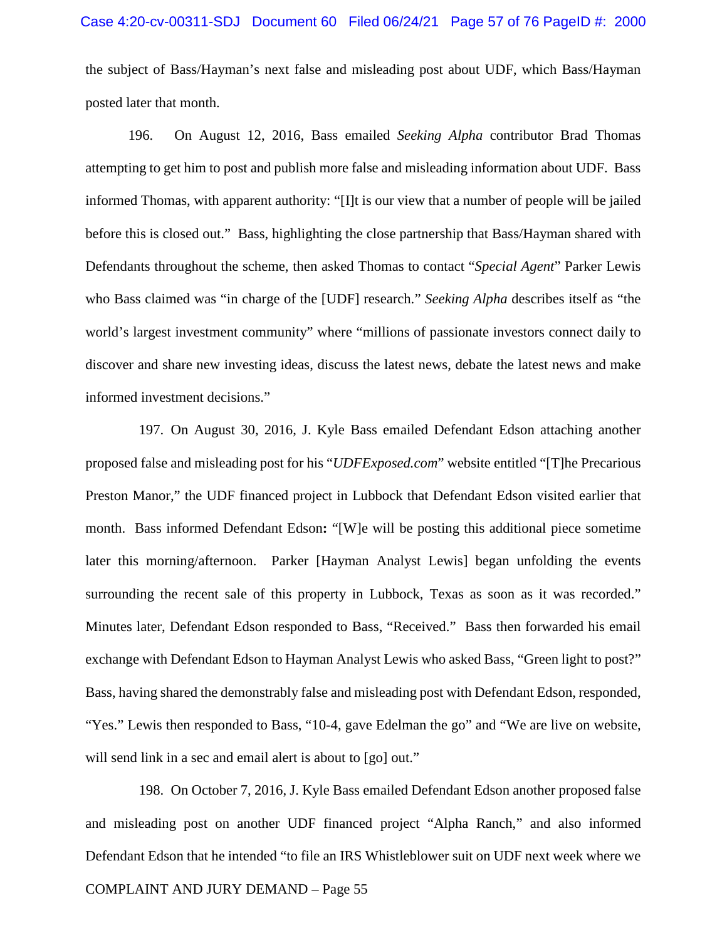the subject of Bass/Hayman's next false and misleading post about UDF, which Bass/Hayman posted later that month.

196. On August 12, 2016, Bass emailed *Seeking Alpha* contributor Brad Thomas attempting to get him to post and publish more false and misleading information about UDF. Bass informed Thomas, with apparent authority: "[I]t is our view that a number of people will be jailed before this is closed out." Bass, highlighting the close partnership that Bass/Hayman shared with Defendants throughout the scheme, then asked Thomas to contact "*Special Agent*" Parker Lewis who Bass claimed was "in charge of the [UDF] research." *Seeking Alpha* describes itself as "the world's largest investment community" where "millions of passionate investors connect daily to discover and share new investing ideas, discuss the latest news, debate the latest news and make informed investment decisions."

197. On August 30, 2016, J. Kyle Bass emailed Defendant Edson attaching another proposed false and misleading post for his "*UDFExposed.com*" website entitled "[T]he Precarious Preston Manor," the UDF financed project in Lubbock that Defendant Edson visited earlier that month. Bass informed Defendant Edson**:** "[W]e will be posting this additional piece sometime later this morning/afternoon. Parker [Hayman Analyst Lewis] began unfolding the events surrounding the recent sale of this property in Lubbock, Texas as soon as it was recorded." Minutes later, Defendant Edson responded to Bass, "Received." Bass then forwarded his email exchange with Defendant Edson to Hayman Analyst Lewis who asked Bass, "Green light to post?" Bass, having shared the demonstrably false and misleading post with Defendant Edson, responded, "Yes." Lewis then responded to Bass, "10-4, gave Edelman the go" and "We are live on website, will send link in a sec and email alert is about to [go] out."

198. On October 7, 2016, J. Kyle Bass emailed Defendant Edson another proposed false and misleading post on another UDF financed project "Alpha Ranch," and also informed Defendant Edson that he intended "to file an IRS Whistleblower suit on UDF next week where we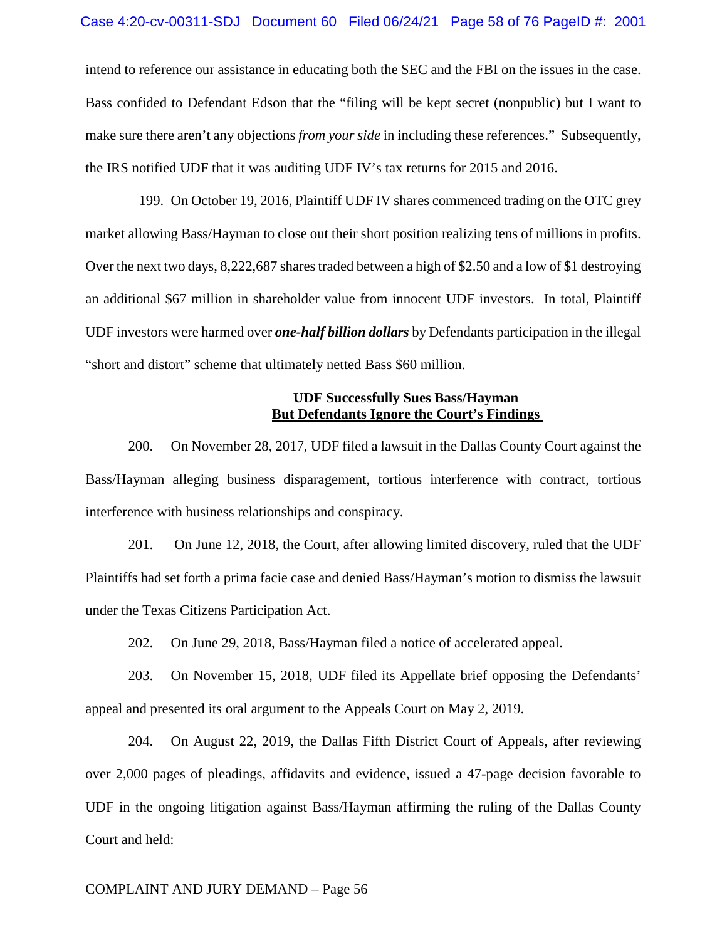#### Case 4:20-cv-00311-SDJ Document 60 Filed 06/24/21 Page 58 of 76 PageID #: 2001

intend to reference our assistance in educating both the SEC and the FBI on the issues in the case. Bass confided to Defendant Edson that the "filing will be kept secret (nonpublic) but I want to make sure there aren't any objections *from your side* in including these references." Subsequently, the IRS notified UDF that it was auditing UDF IV's tax returns for 2015 and 2016.

199. On October 19, 2016, Plaintiff UDF IV shares commenced trading on the OTC grey market allowing Bass/Hayman to close out their short position realizing tens of millions in profits. Over the next two days,  $8,222,687$  shares traded between a high of \$2.50 and a low of \$1 destroying an additional \$67 million in shareholder value from innocent UDF investors. In total, Plaintiff UDF investors were harmed over *one-half billion dollars* by Defendants participation in the illegal "short and distort" scheme that ultimately netted Bass \$60 million.

# **UDF Successfully Sues Bass/Hayman But Defendants Ignore the Court's Findings**

200. On November 28, 2017, UDF filed a lawsuit in the Dallas County Court against the Bass/Hayman alleging business disparagement, tortious interference with contract, tortious interference with business relationships and conspiracy.

201. On June 12, 2018, the Court, after allowing limited discovery, ruled that the UDF Plaintiffs had set forth a prima facie case and denied Bass/Hayman's motion to dismiss the lawsuit under the Texas Citizens Participation Act.

202. On June 29, 2018, Bass/Hayman filed a notice of accelerated appeal.

203. On November 15, 2018, UDF filed its Appellate brief opposing the Defendants' appeal and presented its oral argument to the Appeals Court on May 2, 2019.

204. On August 22, 2019, the Dallas Fifth District Court of Appeals, after reviewing over 2,000 pages of pleadings, affidavits and evidence, issued a 47-page decision favorable to UDF in the ongoing litigation against Bass/Hayman affirming the ruling of the Dallas County Court and held: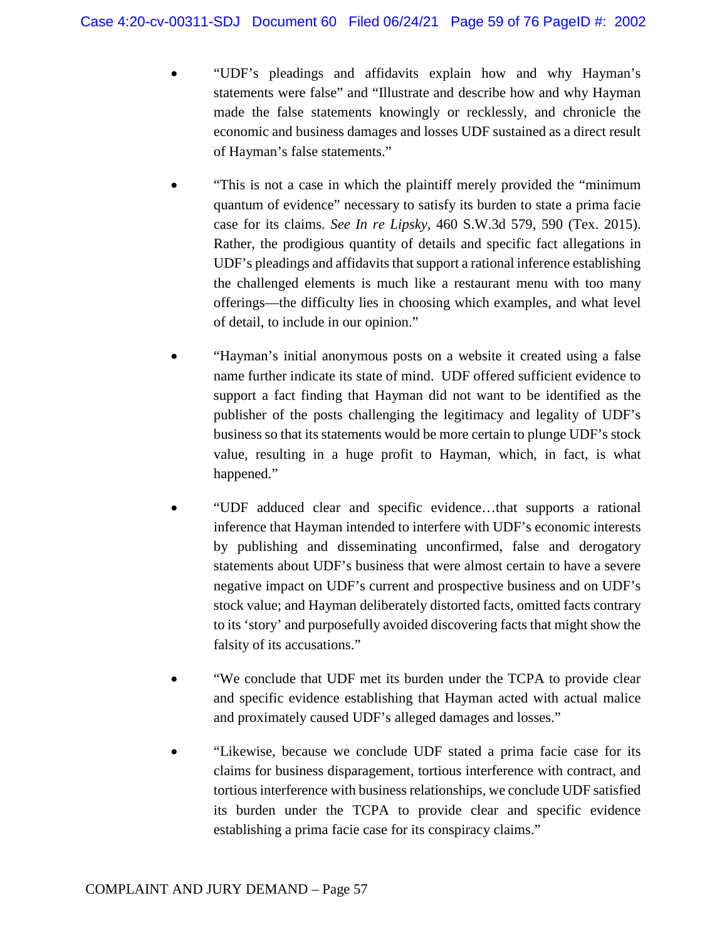- "UDF's pleadings and affidavits explain how and why Hayman's statements were false" and "Illustrate and describe how and why Hayman made the false statements knowingly or recklessly, and chronicle the economic and business damages and losses UDF sustained as a direct result of Hayman's false statements."
- "This is not a case in which the plaintiff merely provided the "minimum quantum of evidence" necessary to satisfy its burden to state a prima facie case for its claims. *See In re Lipsky*, 460 S.W.3d 579, 590 (Tex. 2015). Rather, the prodigious quantity of details and specific fact allegations in UDF's pleadings and affidavits that support a rational inference establishing the challenged elements is much like a restaurant menu with too many offerings—the difficulty lies in choosing which examples, and what level of detail, to include in our opinion."
- "Hayman's initial anonymous posts on a website it created using a false name further indicate its state of mind. UDF offered sufficient evidence to support a fact finding that Hayman did not want to be identified as the publisher of the posts challenging the legitimacy and legality of UDF's business so that its statements would be more certain to plunge UDF's stock value, resulting in a huge profit to Hayman, which, in fact, is what happened."
- "UDF adduced clear and specific evidence…that supports a rational inference that Hayman intended to interfere with UDF's economic interests by publishing and disseminating unconfirmed, false and derogatory statements about UDF's business that were almost certain to have a severe negative impact on UDF's current and prospective business and on UDF's stock value; and Hayman deliberately distorted facts, omitted facts contrary to its 'story' and purposefully avoided discovering facts that might show the falsity of its accusations."
- "We conclude that UDF met its burden under the TCPA to provide clear and specific evidence establishing that Hayman acted with actual malice and proximately caused UDF's alleged damages and losses."
- "Likewise, because we conclude UDF stated a prima facie case for its claims for business disparagement, tortious interference with contract, and tortious interference with business relationships, we conclude UDF satisfied its burden under the TCPA to provide clear and specific evidence establishing a prima facie case for its conspiracy claims."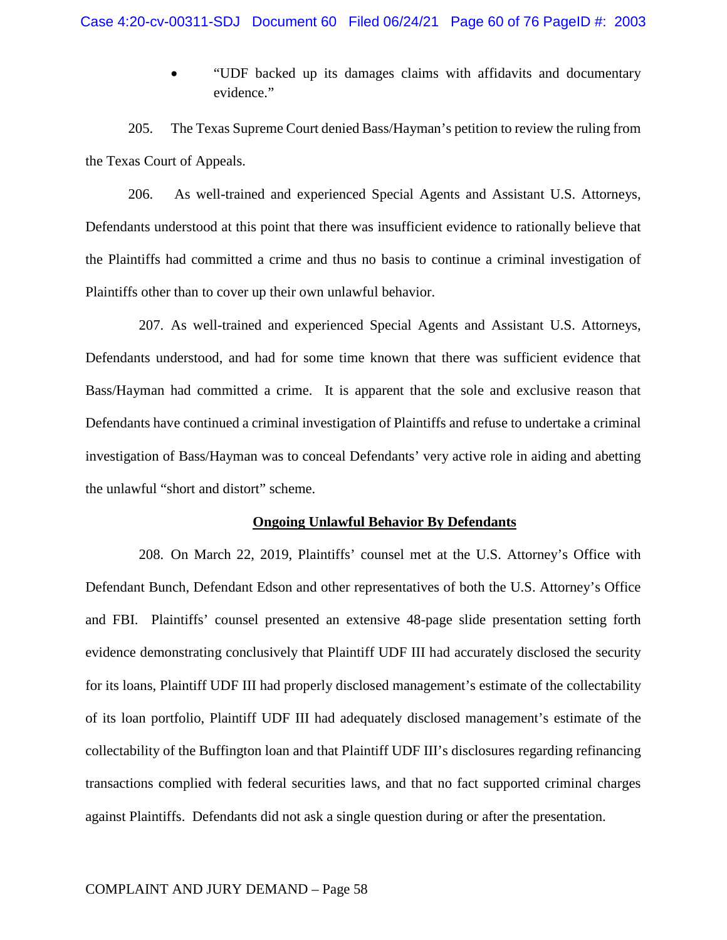• "UDF backed up its damages claims with affidavits and documentary evidence."

205. The Texas Supreme Court denied Bass/Hayman's petition to review the ruling from the Texas Court of Appeals.

206. As well-trained and experienced Special Agents and Assistant U.S. Attorneys, Defendants understood at this point that there was insufficient evidence to rationally believe that the Plaintiffs had committed a crime and thus no basis to continue a criminal investigation of Plaintiffs other than to cover up their own unlawful behavior.

207. As well-trained and experienced Special Agents and Assistant U.S. Attorneys, Defendants understood, and had for some time known that there was sufficient evidence that Bass/Hayman had committed a crime. It is apparent that the sole and exclusive reason that Defendants have continued a criminal investigation of Plaintiffs and refuse to undertake a criminal investigation of Bass/Hayman was to conceal Defendants' very active role in aiding and abetting the unlawful "short and distort" scheme.

## **Ongoing Unlawful Behavior By Defendants**

208. On March 22, 2019, Plaintiffs' counsel met at the U.S. Attorney's Office with Defendant Bunch, Defendant Edson and other representatives of both the U.S. Attorney's Office and FBI. Plaintiffs' counsel presented an extensive 48-page slide presentation setting forth evidence demonstrating conclusively that Plaintiff UDF III had accurately disclosed the security for its loans, Plaintiff UDF III had properly disclosed management's estimate of the collectability of its loan portfolio, Plaintiff UDF III had adequately disclosed management's estimate of the collectability of the Buffington loan and that Plaintiff UDF III's disclosures regarding refinancing transactions complied with federal securities laws, and that no fact supported criminal charges against Plaintiffs. Defendants did not ask a single question during or after the presentation.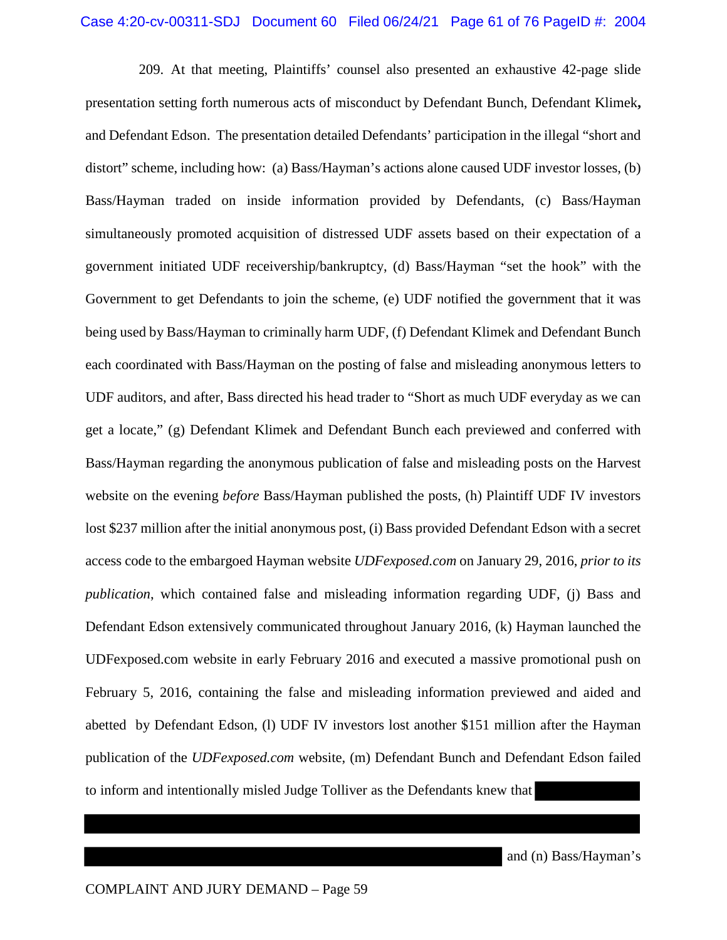209. At that meeting, Plaintiffs' counsel also presented an exhaustive 42-page slide presentation setting forth numerous acts of misconduct by Defendant Bunch, Defendant Klimek**,** and Defendant Edson. The presentation detailed Defendants' participation in the illegal "short and distort" scheme, including how: (a) Bass/Hayman's actions alone caused UDF investor losses, (b) Bass/Hayman traded on inside information provided by Defendants, (c) Bass/Hayman simultaneously promoted acquisition of distressed UDF assets based on their expectation of a government initiated UDF receivership/bankruptcy, (d) Bass/Hayman "set the hook" with the Government to get Defendants to join the scheme, (e) UDF notified the government that it was being used by Bass/Hayman to criminally harm UDF, (f) Defendant Klimek and Defendant Bunch each coordinated with Bass/Hayman on the posting of false and misleading anonymous letters to UDF auditors, and after, Bass directed his head trader to "Short as much UDF everyday as we can get a locate," (g) Defendant Klimek and Defendant Bunch each previewed and conferred with Bass/Hayman regarding the anonymous publication of false and misleading posts on the Harvest website on the evening *before* Bass/Hayman published the posts, (h) Plaintiff UDF IV investors lost \$237 million after the initial anonymous post, (i) Bass provided Defendant Edson with a secret access code to the embargoed Hayman website *UDFexposed.com* on January 29, 2016, *prior to its publication*, which contained false and misleading information regarding UDF, (j) Bass and Defendant Edson extensively communicated throughout January 2016, (k) Hayman launched the UDFexposed.com website in early February 2016 and executed a massive promotional push on February 5, 2016, containing the false and misleading information previewed and aided and abetted by Defendant Edson, (l) UDF IV investors lost another \$151 million after the Hayman publication of the *UDFexposed.com* website, (m) Defendant Bunch and Defendant Edson failed to inform and intentionally misled Judge Tolliver as the Defendants knew that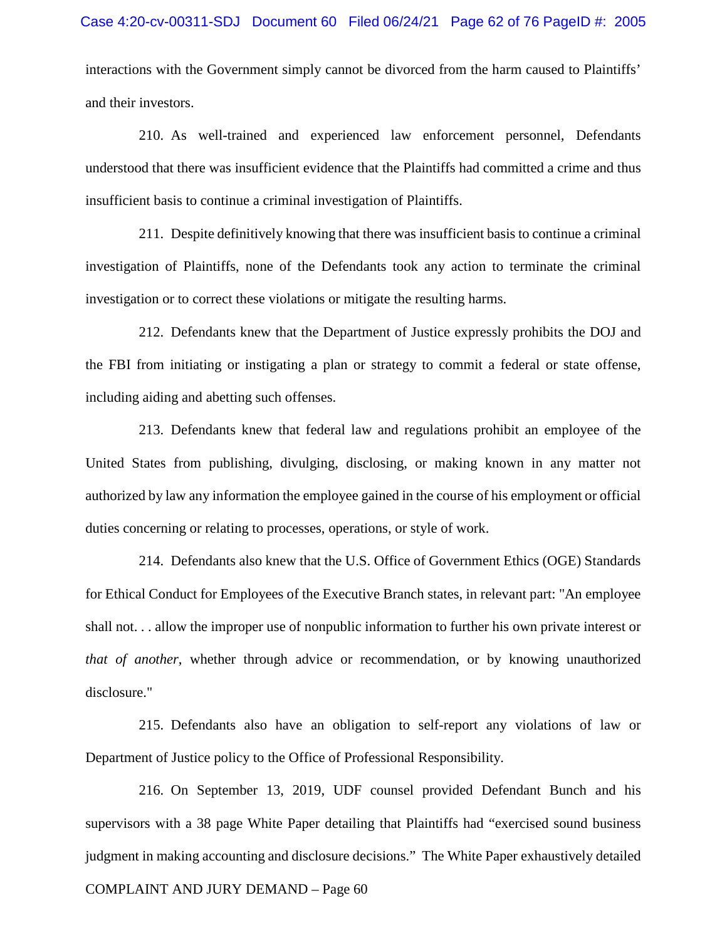interactions with the Government simply cannot be divorced from the harm caused to Plaintiffs' and their investors.

210. As well-trained and experienced law enforcement personnel, Defendants understood that there was insufficient evidence that the Plaintiffs had committed a crime and thus insufficient basis to continue a criminal investigation of Plaintiffs.

211. Despite definitively knowing that there was insufficient basis to continue a criminal investigation of Plaintiffs, none of the Defendants took any action to terminate the criminal investigation or to correct these violations or mitigate the resulting harms.

212. Defendants knew that the Department of Justice expressly prohibits the DOJ and the FBI from initiating or instigating a plan or strategy to commit a federal or state offense, including aiding and abetting such offenses.

213. Defendants knew that federal law and regulations prohibit an employee of the United States from publishing, divulging, disclosing, or making known in any matter not authorized by law any information the employee gained in the course of his employment or official duties concerning or relating to processes, operations, or style of work.

214. Defendants also knew that the U.S. Office of Government Ethics (OGE) Standards for Ethical Conduct for Employees of the Executive Branch states, in relevant part: "An employee shall not. . . allow the improper use of nonpublic information to further his own private interest or *that of another*, whether through advice or recommendation, or by knowing unauthorized disclosure."

215. Defendants also have an obligation to self-report any violations of law or Department of Justice policy to the Office of Professional Responsibility.

216. On September 13, 2019, UDF counsel provided Defendant Bunch and his supervisors with a 38 page White Paper detailing that Plaintiffs had "exercised sound business judgment in making accounting and disclosure decisions." The White Paper exhaustively detailed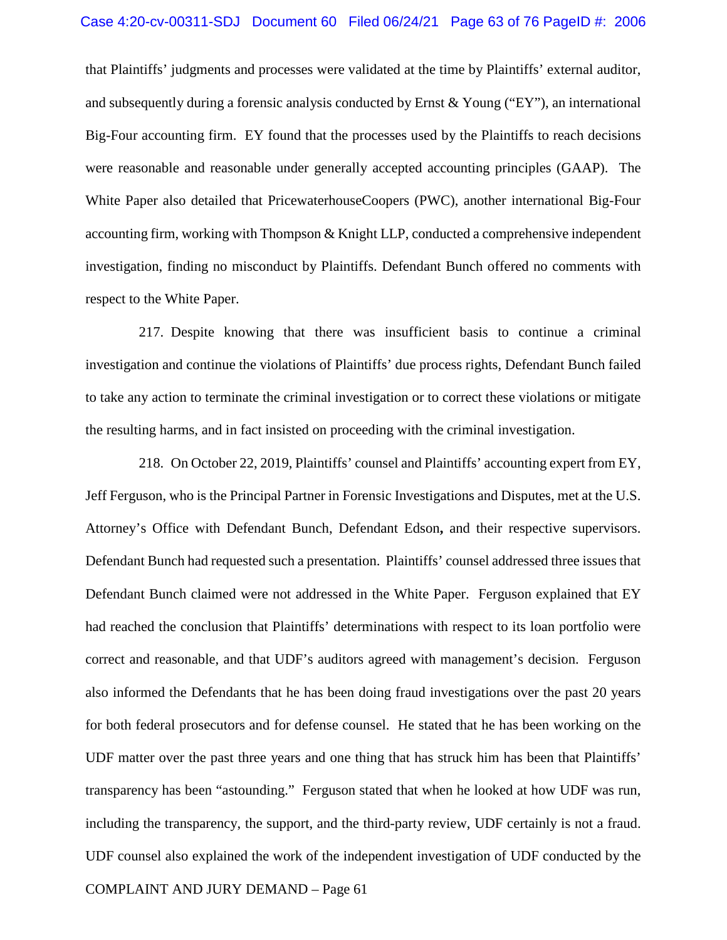#### Case 4:20-cv-00311-SDJ Document 60 Filed 06/24/21 Page 63 of 76 PageID #: 2006

that Plaintiffs' judgments and processes were validated at the time by Plaintiffs' external auditor, and subsequently during a forensic analysis conducted by Ernst  $\&$  Young ("EY"), an international Big-Four accounting firm. EY found that the processes used by the Plaintiffs to reach decisions were reasonable and reasonable under generally accepted accounting principles (GAAP). The White Paper also detailed that PricewaterhouseCoopers (PWC), another international Big-Four accounting firm, working with Thompson & Knight LLP, conducted a comprehensive independent investigation, finding no misconduct by Plaintiffs. Defendant Bunch offered no comments with respect to the White Paper.

217. Despite knowing that there was insufficient basis to continue a criminal investigation and continue the violations of Plaintiffs' due process rights, Defendant Bunch failed to take any action to terminate the criminal investigation or to correct these violations or mitigate the resulting harms, and in fact insisted on proceeding with the criminal investigation.

218. On October 22, 2019, Plaintiffs' counsel and Plaintiffs' accounting expert from EY, Jeff Ferguson, who is the Principal Partner in Forensic Investigations and Disputes, met at the U.S. Attorney's Office with Defendant Bunch, Defendant Edson**,** and their respective supervisors. Defendant Bunch had requested such a presentation. Plaintiffs' counsel addressed three issues that Defendant Bunch claimed were not addressed in the White Paper. Ferguson explained that EY had reached the conclusion that Plaintiffs' determinations with respect to its loan portfolio were correct and reasonable, and that UDF's auditors agreed with management's decision. Ferguson also informed the Defendants that he has been doing fraud investigations over the past 20 years for both federal prosecutors and for defense counsel. He stated that he has been working on the UDF matter over the past three years and one thing that has struck him has been that Plaintiffs' transparency has been "astounding." Ferguson stated that when he looked at how UDF was run, including the transparency, the support, and the third-party review, UDF certainly is not a fraud. UDF counsel also explained the work of the independent investigation of UDF conducted by the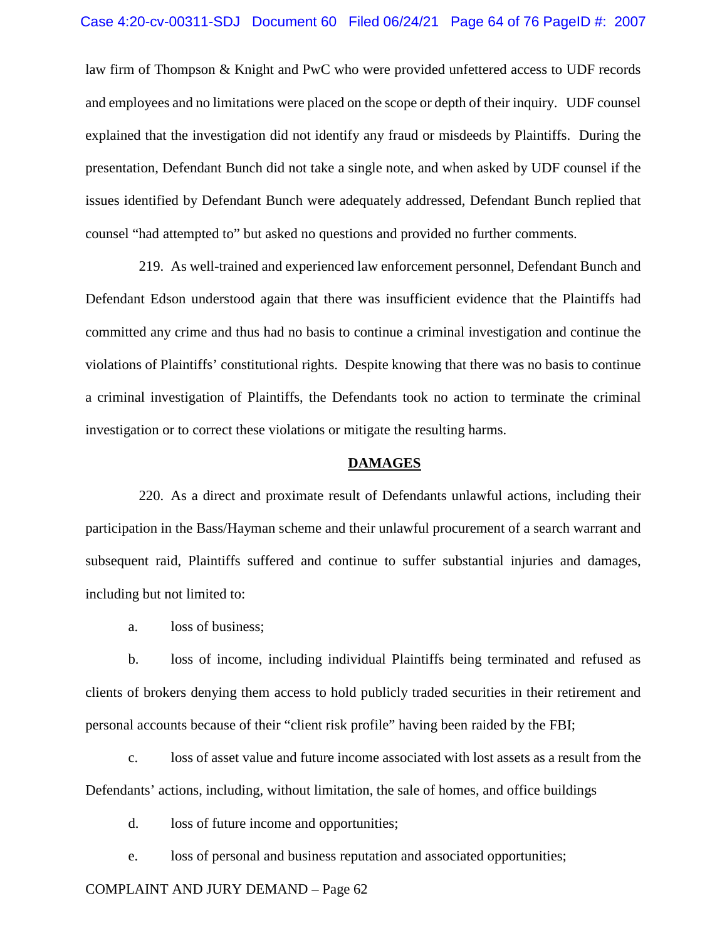law firm of Thompson & Knight and PwC who were provided unfettered access to UDF records and employees and no limitations were placed on the scope or depth of their inquiry. UDF counsel explained that the investigation did not identify any fraud or misdeeds by Plaintiffs. During the presentation, Defendant Bunch did not take a single note, and when asked by UDF counsel if the issues identified by Defendant Bunch were adequately addressed, Defendant Bunch replied that counsel "had attempted to" but asked no questions and provided no further comments.

219. As well-trained and experienced law enforcement personnel, Defendant Bunch and Defendant Edson understood again that there was insufficient evidence that the Plaintiffs had committed any crime and thus had no basis to continue a criminal investigation and continue the violations of Plaintiffs' constitutional rights. Despite knowing that there was no basis to continue a criminal investigation of Plaintiffs, the Defendants took no action to terminate the criminal investigation or to correct these violations or mitigate the resulting harms.

#### **DAMAGES**

220. As a direct and proximate result of Defendants unlawful actions, including their participation in the Bass/Hayman scheme and their unlawful procurement of a search warrant and subsequent raid, Plaintiffs suffered and continue to suffer substantial injuries and damages, including but not limited to:

a. loss of business;

b. loss of income, including individual Plaintiffs being terminated and refused as clients of brokers denying them access to hold publicly traded securities in their retirement and personal accounts because of their "client risk profile" having been raided by the FBI;

c. loss of asset value and future income associated with lost assets as a result from the Defendants' actions, including, without limitation, the sale of homes, and office buildings

d. loss of future income and opportunities;

e. loss of personal and business reputation and associated opportunities;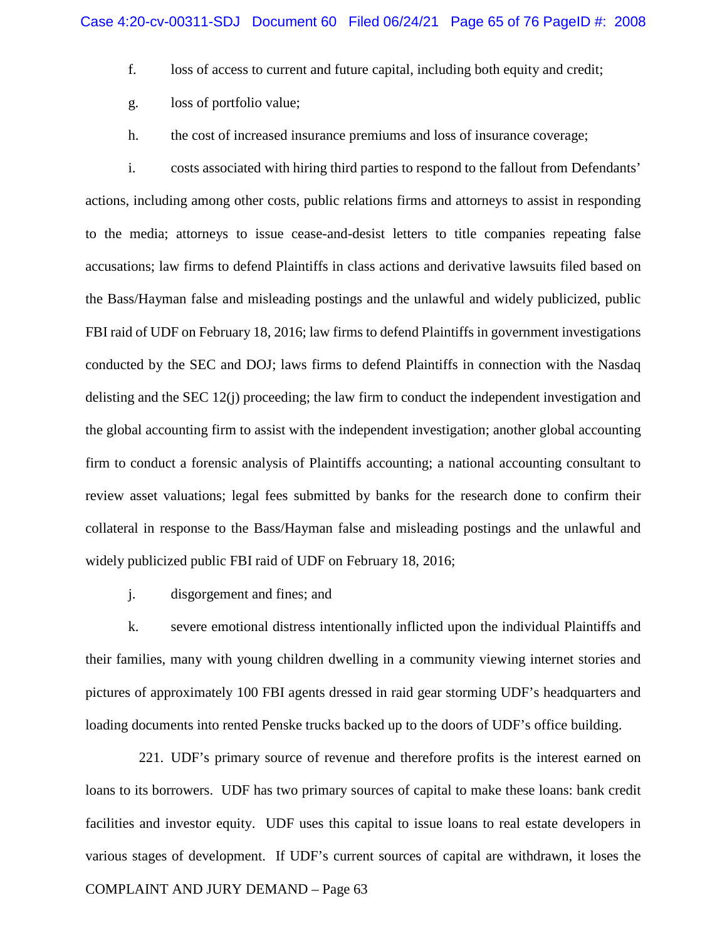- f. loss of access to current and future capital, including both equity and credit;
- g. loss of portfolio value;
- h. the cost of increased insurance premiums and loss of insurance coverage;

i. costs associated with hiring third parties to respond to the fallout from Defendants' actions, including among other costs, public relations firms and attorneys to assist in responding to the media; attorneys to issue cease-and-desist letters to title companies repeating false accusations; law firms to defend Plaintiffs in class actions and derivative lawsuits filed based on the Bass/Hayman false and misleading postings and the unlawful and widely publicized, public FBI raid of UDF on February 18, 2016; law firms to defend Plaintiffs in government investigations conducted by the SEC and DOJ; laws firms to defend Plaintiffs in connection with the Nasdaq delisting and the SEC 12(j) proceeding; the law firm to conduct the independent investigation and the global accounting firm to assist with the independent investigation; another global accounting firm to conduct a forensic analysis of Plaintiffs accounting; a national accounting consultant to review asset valuations; legal fees submitted by banks for the research done to confirm their collateral in response to the Bass/Hayman false and misleading postings and the unlawful and widely publicized public FBI raid of UDF on February 18, 2016;

j. disgorgement and fines; and

k. severe emotional distress intentionally inflicted upon the individual Plaintiffs and their families, many with young children dwelling in a community viewing internet stories and pictures of approximately 100 FBI agents dressed in raid gear storming UDF's headquarters and loading documents into rented Penske trucks backed up to the doors of UDF's office building.

COMPLAINT AND JURY DEMAND – Page 63 221. UDF's primary source of revenue and therefore profits is the interest earned on loans to its borrowers. UDF has two primary sources of capital to make these loans: bank credit facilities and investor equity. UDF uses this capital to issue loans to real estate developers in various stages of development. If UDF's current sources of capital are withdrawn, it loses the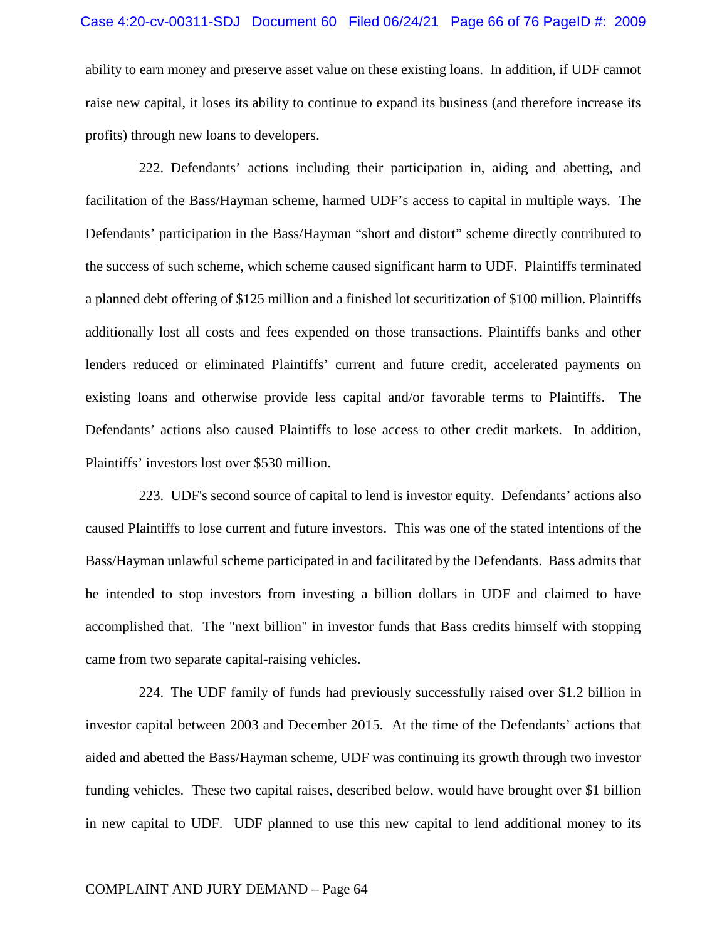#### Case 4:20-cv-00311-SDJ Document 60 Filed 06/24/21 Page 66 of 76 PageID #: 2009

ability to earn money and preserve asset value on these existing loans. In addition, if UDF cannot raise new capital, it loses its ability to continue to expand its business (and therefore increase its profits) through new loans to developers.

222. Defendants' actions including their participation in, aiding and abetting, and facilitation of the Bass/Hayman scheme, harmed UDF's access to capital in multiple ways. The Defendants' participation in the Bass/Hayman "short and distort" scheme directly contributed to the success of such scheme, which scheme caused significant harm to UDF. Plaintiffs terminated a planned debt offering of \$125 million and a finished lot securitization of \$100 million. Plaintiffs additionally lost all costs and fees expended on those transactions. Plaintiffs banks and other lenders reduced or eliminated Plaintiffs' current and future credit, accelerated payments on existing loans and otherwise provide less capital and/or favorable terms to Plaintiffs. The Defendants' actions also caused Plaintiffs to lose access to other credit markets. In addition, Plaintiffs' investors lost over \$530 million.

223. UDF's second source of capital to lend is investor equity. Defendants' actions also caused Plaintiffs to lose current and future investors. This was one of the stated intentions of the Bass/Hayman unlawful scheme participated in and facilitated by the Defendants. Bass admits that he intended to stop investors from investing a billion dollars in UDF and claimed to have accomplished that. The "next billion" in investor funds that Bass credits himself with stopping came from two separate capital-raising vehicles.

224. The UDF family of funds had previously successfully raised over \$1.2 billion in investor capital between 2003 and December 2015. At the time of the Defendants' actions that aided and abetted the Bass/Hayman scheme, UDF was continuing its growth through two investor funding vehicles. These two capital raises, described below, would have brought over \$1 billion in new capital to UDF. UDF planned to use this new capital to lend additional money to its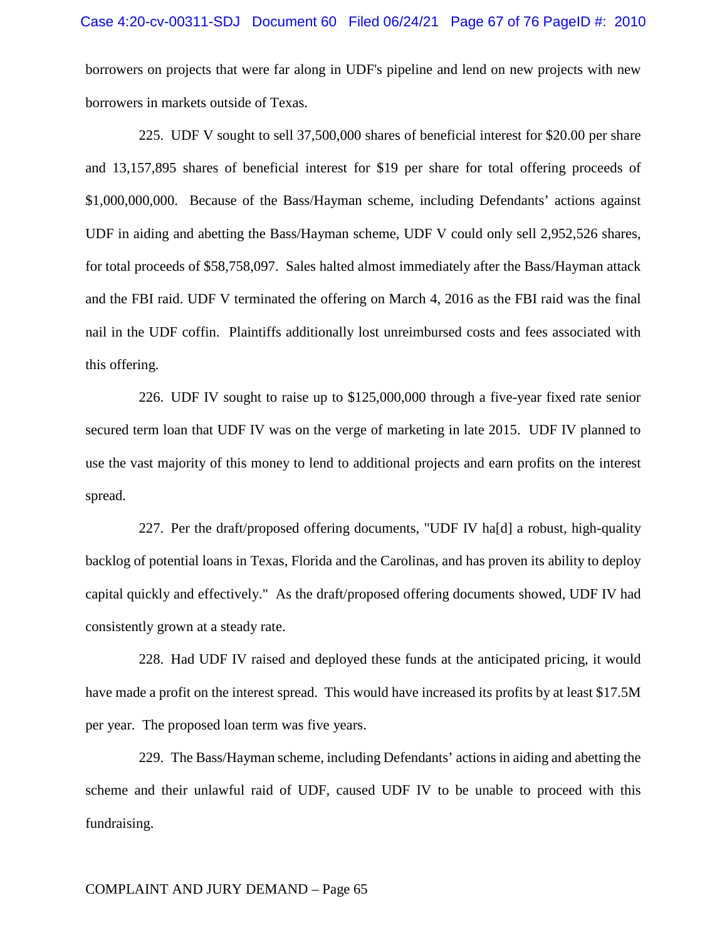borrowers on projects that were far along in UDF's pipeline and lend on new projects with new borrowers in markets outside of Texas.

225. UDF V sought to sell 37,500,000 shares of beneficial interest for \$20.00 per share and 13,157,895 shares of beneficial interest for \$19 per share for total offering proceeds of \$1,000,000,000. Because of the Bass/Hayman scheme, including Defendants' actions against UDF in aiding and abetting the Bass/Hayman scheme, UDF V could only sell 2,952,526 shares, for total proceeds of \$58,758,097. Sales halted almost immediately after the Bass/Hayman attack and the FBI raid. UDF V terminated the offering on March 4, 2016 as the FBI raid was the final nail in the UDF coffin. Plaintiffs additionally lost unreimbursed costs and fees associated with this offering.

226. UDF IV sought to raise up to \$125,000,000 through a five-year fixed rate senior secured term loan that UDF IV was on the verge of marketing in late 2015. UDF IV planned to use the vast majority of this money to lend to additional projects and earn profits on the interest spread.

227. Per the draft/proposed offering documents, "UDF IV ha[d] a robust, high-quality backlog of potential loans in Texas, Florida and the Carolinas, and has proven its ability to deploy capital quickly and effectively." As the draft/proposed offering documents showed, UDF IV had consistently grown at a steady rate.

228. Had UDF IV raised and deployed these funds at the anticipated pricing, it would have made a profit on the interest spread. This would have increased its profits by at least \$17.5M per year. The proposed loan term was five years.

229. The Bass/Hayman scheme, including Defendants' actions in aiding and abetting the scheme and their unlawful raid of UDF, caused UDF IV to be unable to proceed with this fundraising.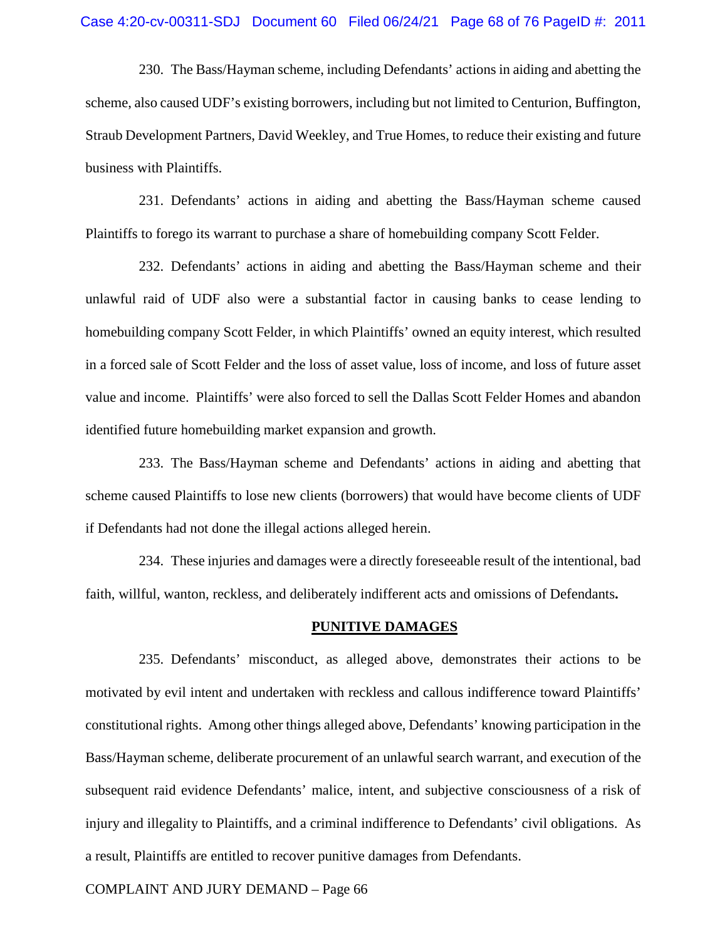230. The Bass/Hayman scheme, including Defendants' actions in aiding and abetting the scheme, also caused UDF's existing borrowers, including but not limited to Centurion, Buffington, Straub Development Partners, David Weekley, and True Homes, to reduce their existing and future business with Plaintiffs.

231. Defendants' actions in aiding and abetting the Bass/Hayman scheme caused Plaintiffs to forego its warrant to purchase a share of homebuilding company Scott Felder.

232. Defendants' actions in aiding and abetting the Bass/Hayman scheme and their unlawful raid of UDF also were a substantial factor in causing banks to cease lending to homebuilding company Scott Felder, in which Plaintiffs' owned an equity interest, which resulted in a forced sale of Scott Felder and the loss of asset value, loss of income, and loss of future asset value and income. Plaintiffs' were also forced to sell the Dallas Scott Felder Homes and abandon identified future homebuilding market expansion and growth.

233. The Bass/Hayman scheme and Defendants' actions in aiding and abetting that scheme caused Plaintiffs to lose new clients (borrowers) that would have become clients of UDF if Defendants had not done the illegal actions alleged herein.

234. These injuries and damages were a directly foreseeable result of the intentional, bad faith, willful, wanton, reckless, and deliberately indifferent acts and omissions of Defendants**.**

#### **PUNITIVE DAMAGES**

235. Defendants' misconduct, as alleged above, demonstrates their actions to be motivated by evil intent and undertaken with reckless and callous indifference toward Plaintiffs' constitutional rights. Among other things alleged above, Defendants' knowing participation in the Bass/Hayman scheme, deliberate procurement of an unlawful search warrant, and execution of the subsequent raid evidence Defendants' malice, intent, and subjective consciousness of a risk of injury and illegality to Plaintiffs, and a criminal indifference to Defendants' civil obligations. As a result, Plaintiffs are entitled to recover punitive damages from Defendants.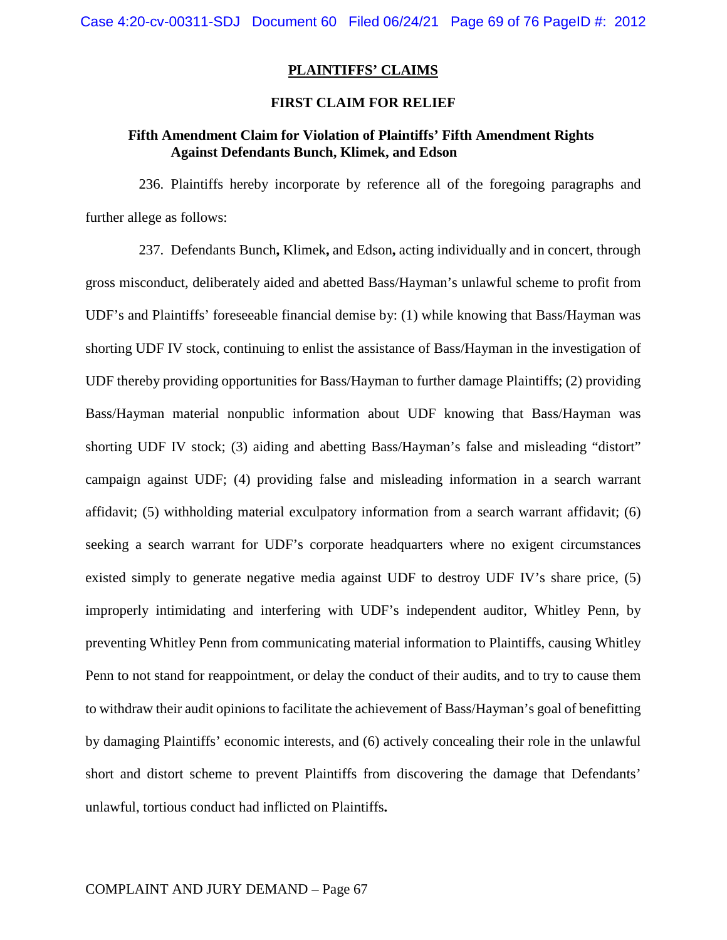## **PLAINTIFFS' CLAIMS**

#### **FIRST CLAIM FOR RELIEF**

## **Fifth Amendment Claim for Violation of Plaintiffs' Fifth Amendment Rights Against Defendants Bunch, Klimek, and Edson**

236. Plaintiffs hereby incorporate by reference all of the foregoing paragraphs and further allege as follows:

237. Defendants Bunch**,** Klimek**,** and Edson**,** acting individually and in concert, through gross misconduct, deliberately aided and abetted Bass/Hayman's unlawful scheme to profit from UDF's and Plaintiffs' foreseeable financial demise by: (1) while knowing that Bass/Hayman was shorting UDF IV stock, continuing to enlist the assistance of Bass/Hayman in the investigation of UDF thereby providing opportunities for Bass/Hayman to further damage Plaintiffs; (2) providing Bass/Hayman material nonpublic information about UDF knowing that Bass/Hayman was shorting UDF IV stock; (3) aiding and abetting Bass/Hayman's false and misleading "distort" campaign against UDF; (4) providing false and misleading information in a search warrant affidavit; (5) withholding material exculpatory information from a search warrant affidavit; (6) seeking a search warrant for UDF's corporate headquarters where no exigent circumstances existed simply to generate negative media against UDF to destroy UDF IV's share price, (5) improperly intimidating and interfering with UDF's independent auditor, Whitley Penn, by preventing Whitley Penn from communicating material information to Plaintiffs, causing Whitley Penn to not stand for reappointment, or delay the conduct of their audits, and to try to cause them to withdraw their audit opinions to facilitate the achievement of Bass/Hayman's goal of benefitting by damaging Plaintiffs' economic interests, and (6) actively concealing their role in the unlawful short and distort scheme to prevent Plaintiffs from discovering the damage that Defendants' unlawful, tortious conduct had inflicted on Plaintiffs**.**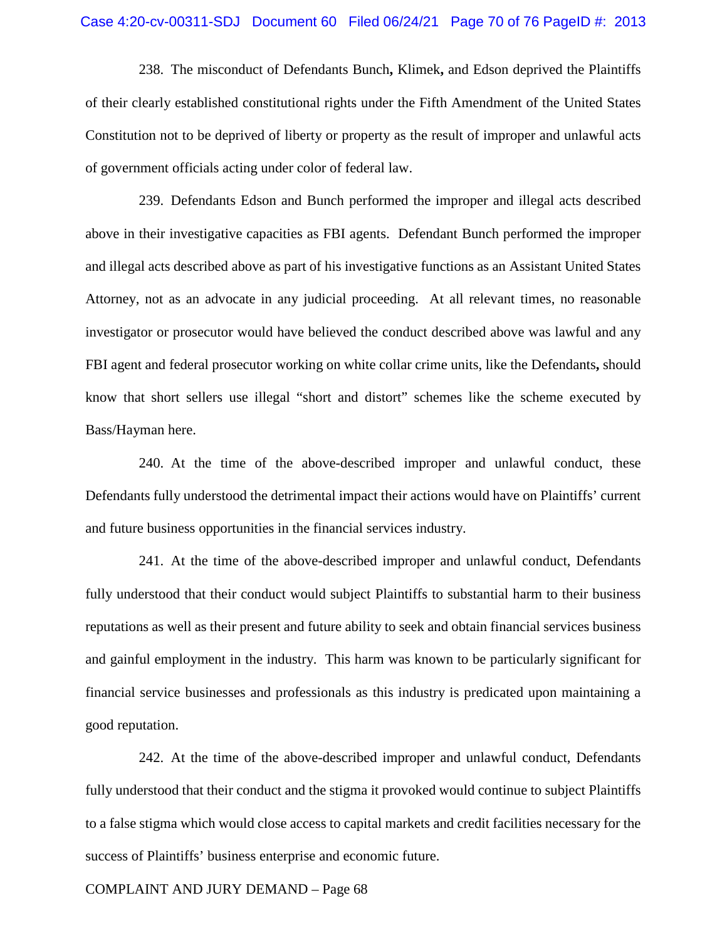238. The misconduct of Defendants Bunch**,** Klimek**,** and Edson deprived the Plaintiffs of their clearly established constitutional rights under the Fifth Amendment of the United States Constitution not to be deprived of liberty or property as the result of improper and unlawful acts of government officials acting under color of federal law.

239. Defendants Edson and Bunch performed the improper and illegal acts described above in their investigative capacities as FBI agents. Defendant Bunch performed the improper and illegal acts described above as part of his investigative functions as an Assistant United States Attorney, not as an advocate in any judicial proceeding. At all relevant times, no reasonable investigator or prosecutor would have believed the conduct described above was lawful and any FBI agent and federal prosecutor working on white collar crime units, like the Defendants**,** should know that short sellers use illegal "short and distort" schemes like the scheme executed by Bass/Hayman here.

240. At the time of the above-described improper and unlawful conduct, these Defendants fully understood the detrimental impact their actions would have on Plaintiffs' current and future business opportunities in the financial services industry.

241. At the time of the above-described improper and unlawful conduct, Defendants fully understood that their conduct would subject Plaintiffs to substantial harm to their business reputations as well as their present and future ability to seek and obtain financial services business and gainful employment in the industry. This harm was known to be particularly significant for financial service businesses and professionals as this industry is predicated upon maintaining a good reputation.

242. At the time of the above-described improper and unlawful conduct, Defendants fully understood that their conduct and the stigma it provoked would continue to subject Plaintiffs to a false stigma which would close access to capital markets and credit facilities necessary for the success of Plaintiffs' business enterprise and economic future.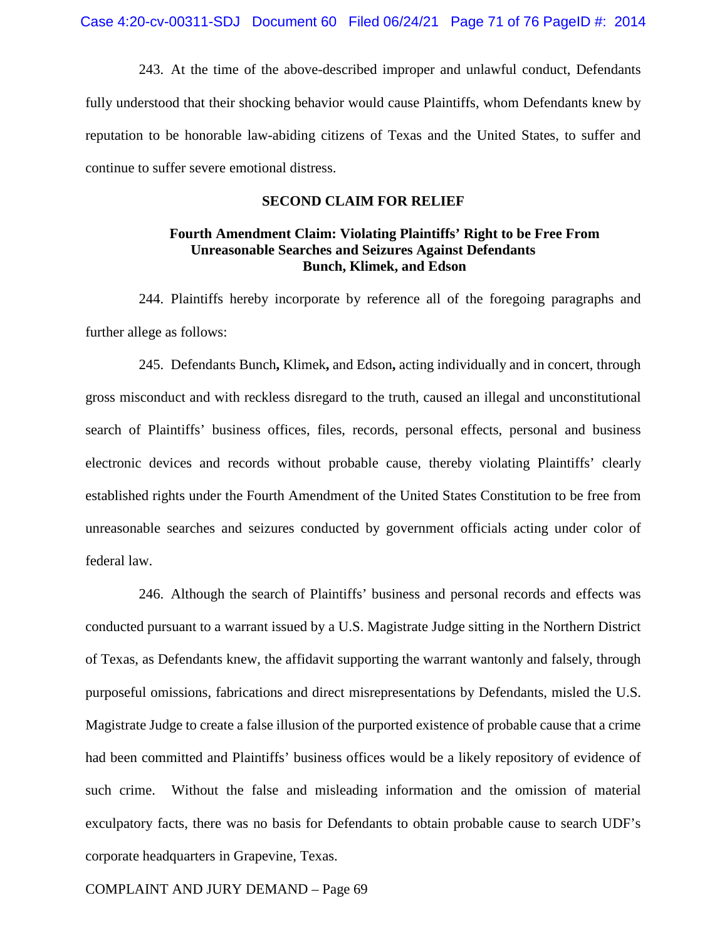243. At the time of the above-described improper and unlawful conduct, Defendants fully understood that their shocking behavior would cause Plaintiffs, whom Defendants knew by reputation to be honorable law-abiding citizens of Texas and the United States, to suffer and continue to suffer severe emotional distress.

#### **SECOND CLAIM FOR RELIEF**

# **Fourth Amendment Claim: Violating Plaintiffs' Right to be Free From Unreasonable Searches and Seizures Against Defendants Bunch, Klimek, and Edson**

244. Plaintiffs hereby incorporate by reference all of the foregoing paragraphs and further allege as follows:

245. Defendants Bunch**,** Klimek**,** and Edson**,** acting individually and in concert, through gross misconduct and with reckless disregard to the truth, caused an illegal and unconstitutional search of Plaintiffs' business offices, files, records, personal effects, personal and business electronic devices and records without probable cause, thereby violating Plaintiffs' clearly established rights under the Fourth Amendment of the United States Constitution to be free from unreasonable searches and seizures conducted by government officials acting under color of federal law.

246. Although the search of Plaintiffs' business and personal records and effects was conducted pursuant to a warrant issued by a U.S. Magistrate Judge sitting in the Northern District of Texas, as Defendants knew, the affidavit supporting the warrant wantonly and falsely, through purposeful omissions, fabrications and direct misrepresentations by Defendants, misled the U.S. Magistrate Judge to create a false illusion of the purported existence of probable cause that a crime had been committed and Plaintiffs' business offices would be a likely repository of evidence of such crime. Without the false and misleading information and the omission of material exculpatory facts, there was no basis for Defendants to obtain probable cause to search UDF's corporate headquarters in Grapevine, Texas.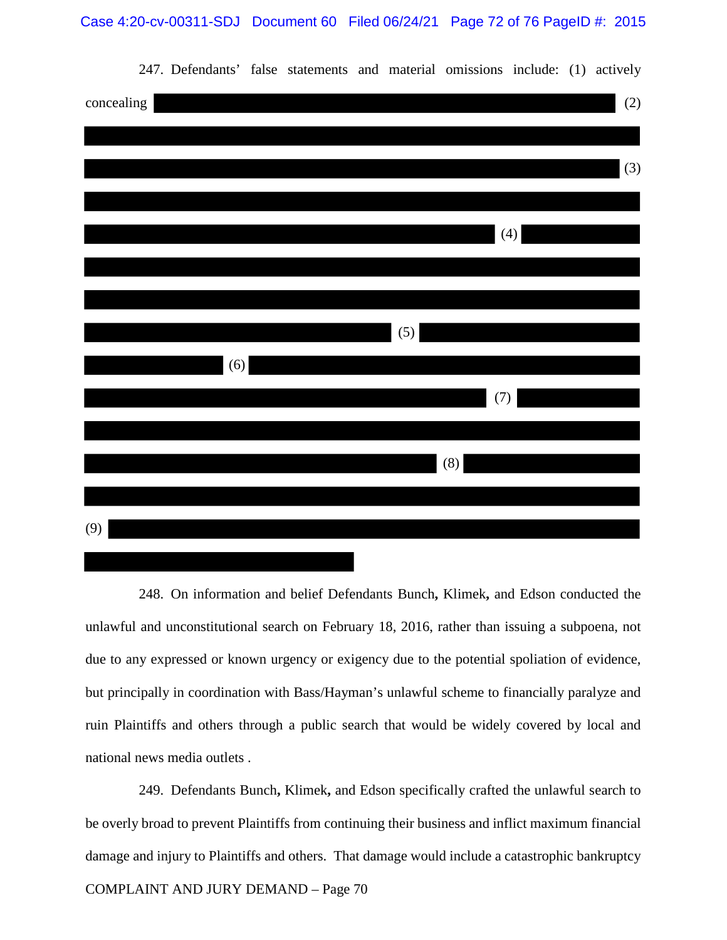Case 4:20-cv-00311-SDJ Document 60 Filed 06/24/21 Page 72 of 76 PageID #: 2015



247. Defendants' false statements and material omissions include: (1) actively

248. On information and belief Defendants Bunch**,** Klimek**,** and Edson conducted the unlawful and unconstitutional search on February 18, 2016, rather than issuing a subpoena, not due to any expressed or known urgency or exigency due to the potential spoliation of evidence, but principally in coordination with Bass/Hayman's unlawful scheme to financially paralyze and ruin Plaintiffs and others through a public search that would be widely covered by local and national news media outlets .

COMPLAINT AND JURY DEMAND – Page 70 249. Defendants Bunch**,** Klimek**,** and Edson specifically crafted the unlawful search to be overly broad to prevent Plaintiffs from continuing their business and inflict maximum financial damage and injury to Plaintiffs and others. That damage would include a catastrophic bankruptcy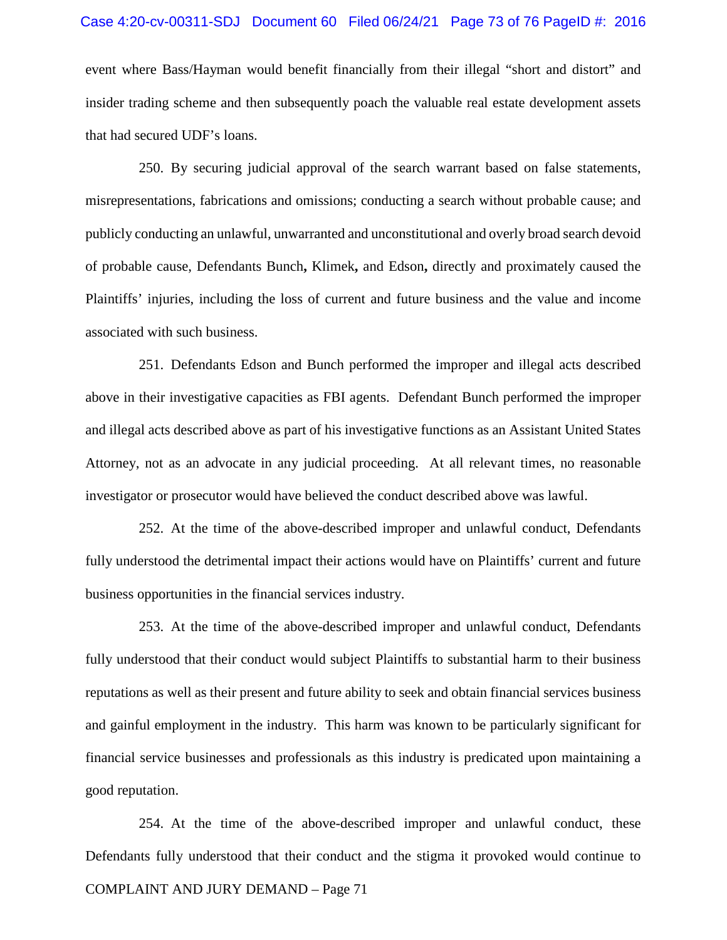#### Case 4:20-cv-00311-SDJ Document 60 Filed 06/24/21 Page 73 of 76 PageID #: 2016

event where Bass/Hayman would benefit financially from their illegal "short and distort" and insider trading scheme and then subsequently poach the valuable real estate development assets that had secured UDF's loans.

250. By securing judicial approval of the search warrant based on false statements, misrepresentations, fabrications and omissions; conducting a search without probable cause; and publicly conducting an unlawful, unwarranted and unconstitutional and overly broad search devoid of probable cause, Defendants Bunch**,** Klimek**,** and Edson**,** directly and proximately caused the Plaintiffs' injuries, including the loss of current and future business and the value and income associated with such business.

251. Defendants Edson and Bunch performed the improper and illegal acts described above in their investigative capacities as FBI agents. Defendant Bunch performed the improper and illegal acts described above as part of his investigative functions as an Assistant United States Attorney, not as an advocate in any judicial proceeding. At all relevant times, no reasonable investigator or prosecutor would have believed the conduct described above was lawful.

252. At the time of the above-described improper and unlawful conduct, Defendants fully understood the detrimental impact their actions would have on Plaintiffs' current and future business opportunities in the financial services industry.

253. At the time of the above-described improper and unlawful conduct, Defendants fully understood that their conduct would subject Plaintiffs to substantial harm to their business reputations as well as their present and future ability to seek and obtain financial services business and gainful employment in the industry. This harm was known to be particularly significant for financial service businesses and professionals as this industry is predicated upon maintaining a good reputation.

COMPLAINT AND JURY DEMAND – Page 71 254. At the time of the above-described improper and unlawful conduct, these Defendants fully understood that their conduct and the stigma it provoked would continue to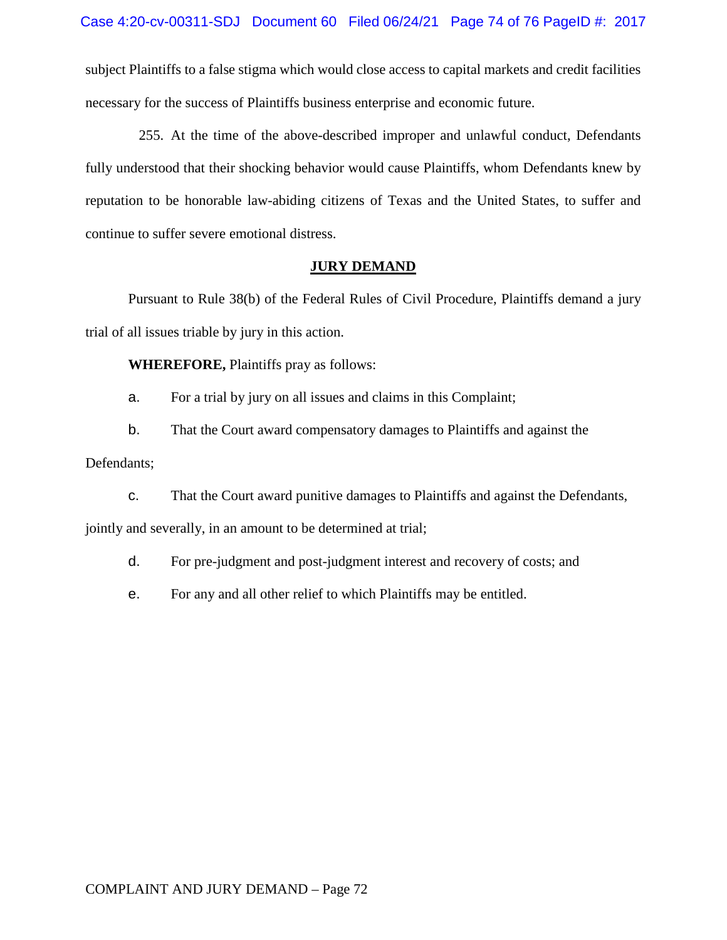subject Plaintiffs to a false stigma which would close access to capital markets and credit facilities necessary for the success of Plaintiffs business enterprise and economic future.

255. At the time of the above-described improper and unlawful conduct, Defendants fully understood that their shocking behavior would cause Plaintiffs, whom Defendants knew by reputation to be honorable law-abiding citizens of Texas and the United States, to suffer and continue to suffer severe emotional distress.

#### **JURY DEMAND**

 Pursuant to Rule 38(b) of the Federal Rules of Civil Procedure, Plaintiffs demand a jury trial of all issues triable by jury in this action.

**WHEREFORE,** Plaintiffs pray as follows:

a. For a trial by jury on all issues and claims in this Complaint;

b. That the Court award compensatory damages to Plaintiffs and against the Defendants;

c. That the Court award punitive damages to Plaintiffs and against the Defendants, jointly and severally, in an amount to be determined at trial;

d. For pre-judgment and post-judgment interest and recovery of costs; and

e. For any and all other relief to which Plaintiffs may be entitled.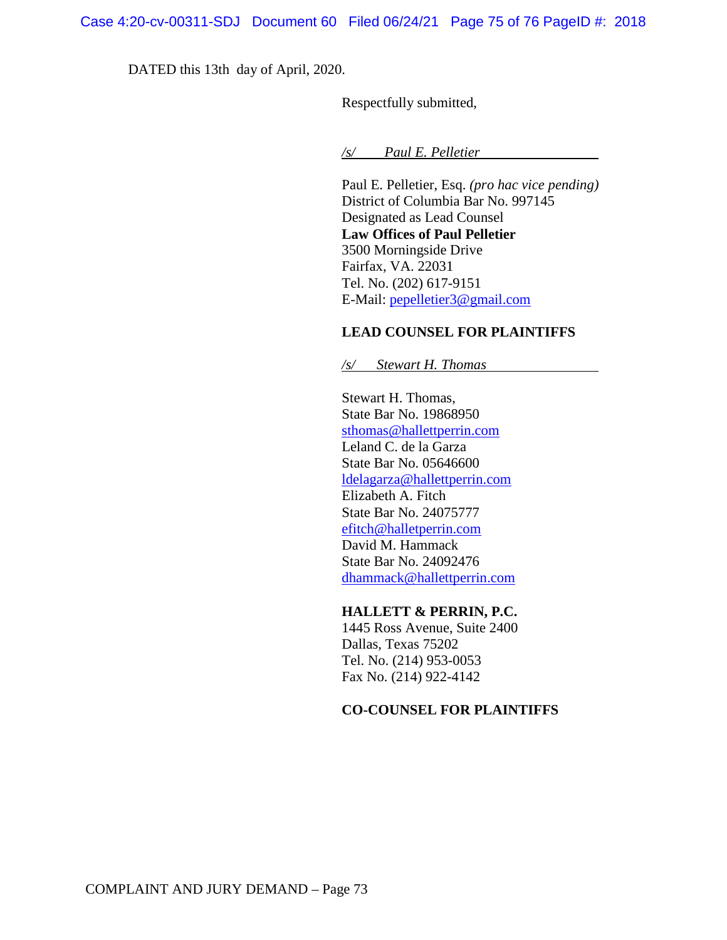DATED this 13th day of April, 2020.

Respectfully submitted,

*/s/ Paul E. Pelletier* 

 Paul E. Pelletier, Esq. *(pro hac vice pending)*  District of Columbia Bar No. 997145 Designated as Lead Counsel **Law Offices of Paul Pelletier** 3500 Morningside Drive Fairfax, VA. 22031 Tel. No. (202) 617-9151 E-Mail: pepelletier3@gmail.com

### **LEAD COUNSEL FOR PLAINTIFFS**

 */s/ Stewart H. Thomas* 

Stewart H. Thomas, State Bar No. 19868950 sthomas@hallettperrin.com Leland C. de la Garza State Bar No. 05646600 ldelagarza@hallettperrin.com Elizabeth A. Fitch State Bar No. 24075777 efitch@halletperrin.com David M. Hammack State Bar No. 24092476 dhammack@hallettperrin.com

#### **HALLETT & PERRIN, P.C.**

 1445 Ross Avenue, Suite 2400 Dallas, Texas 75202 Tel. No. (214) 953-0053 Fax No. (214) 922-4142

### **CO-COUNSEL FOR PLAINTIFFS**